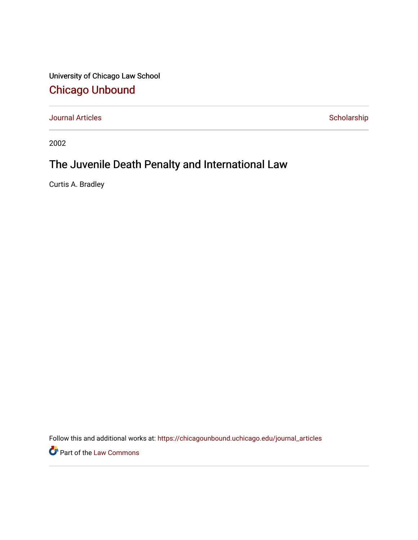University of Chicago Law School [Chicago Unbound](https://chicagounbound.uchicago.edu/)

[Journal Articles](https://chicagounbound.uchicago.edu/journal_articles) **Scholarship** Scholarship

2002

# The Juvenile Death Penalty and International Law

Curtis A. Bradley

Follow this and additional works at: [https://chicagounbound.uchicago.edu/journal\\_articles](https://chicagounbound.uchicago.edu/journal_articles?utm_source=chicagounbound.uchicago.edu%2Fjournal_articles%2F10194&utm_medium=PDF&utm_campaign=PDFCoverPages) 

**P** Part of the [Law Commons](http://network.bepress.com/hgg/discipline/578?utm_source=chicagounbound.uchicago.edu%2Fjournal_articles%2F10194&utm_medium=PDF&utm_campaign=PDFCoverPages)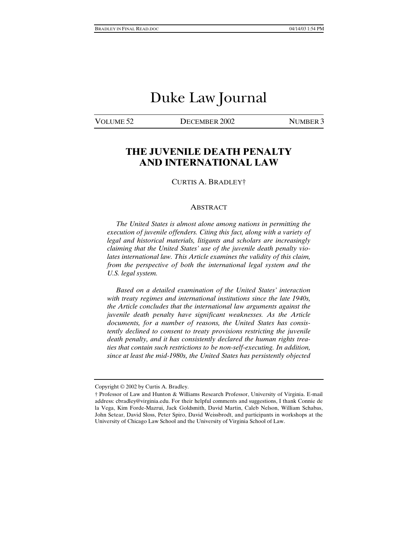# Duke Law Journal

VOLUME 52 DECEMBER 2002 NUMBER 3

# **THE JUVENILE DEATH PENALTY AND INTERNATIONAL LAW**

CURTIS A. BRADLEY†

#### ABSTRACT

*The United States is almost alone among nations in permitting the execution of juvenile offenders. Citing this fact, along with a variety of legal and historical materials, litigants and scholars are increasingly claiming that the United States' use of the juvenile death penalty violates international law. This Article examines the validity of this claim, from the perspective of both the international legal system and the U.S. legal system.*

*Based on a detailed examination of the United States' interaction with treaty regimes and international institutions since the late 1940s, the Article concludes that the international law arguments against the juvenile death penalty have significant weaknesses. As the Article documents, for a number of reasons, the United States has consistently declined to consent to treaty provisions restricting the juvenile death penalty, and it has consistently declared the human rights treaties that contain such restrictions to be non-self-executing. In addition, since at least the mid-1980s, the United States has persistently objected*

Copyright © 2002 by Curtis A. Bradley.

<sup>†</sup> Professor of Law and Hunton & Williams Research Professor, University of Virginia. E-mail address: cbradley@virginia.edu. For their helpful comments and suggestions, I thank Connie de la Vega, Kim Forde-Mazrui, Jack Goldsmith, David Martin, Caleb Nelson, William Schabas, John Setear, David Sloss, Peter Spiro, David Weissbrodt, and participants in workshops at the University of Chicago Law School and the University of Virginia School of Law.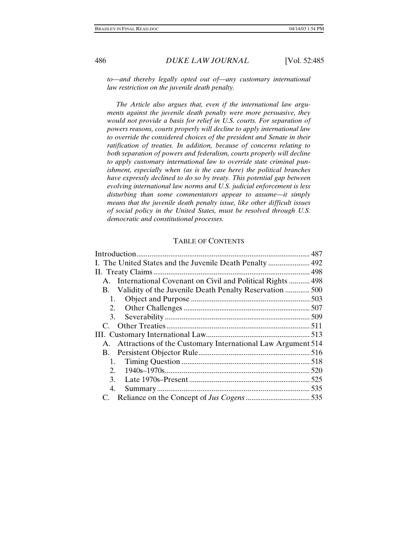*to—and thereby legally opted out of—any customary international law restriction on the juvenile death penalty.*

*The Article also argues that, even if the international law arguments against the juvenile death penalty were more persuasive, they would not provide a basis for relief in U.S. courts. For separation of powers reasons, courts properly will decline to apply international law to override the considered choices of the president and Senate in their ratification of treaties. In addition, because of concerns relating to both separation of powers and federalism, courts properly will decline to apply customary international law to override state criminal punishment, especially when (as is the case here) the political branches have expressly declined to do so by treaty. This potential gap between evolving international law norms and U.S. judicial enforcement is less disturbing than some commentators appear to assume—it simply means that the juvenile death penalty issue, like other difficult issues of social policy in the United States, must be resolved through U.S. democratic and constitutional processes.*

## TABLE OF CONTENTS

| A. International Covenant on Civil and Political Rights  498   |  |
|----------------------------------------------------------------|--|
| B. Validity of the Juvenile Death Penalty Reservation 500      |  |
|                                                                |  |
|                                                                |  |
|                                                                |  |
|                                                                |  |
|                                                                |  |
| A. Attractions of the Customary International Law Argument 514 |  |
|                                                                |  |
| 1.                                                             |  |
| 2.                                                             |  |
| 3.                                                             |  |
| 4.                                                             |  |
|                                                                |  |
|                                                                |  |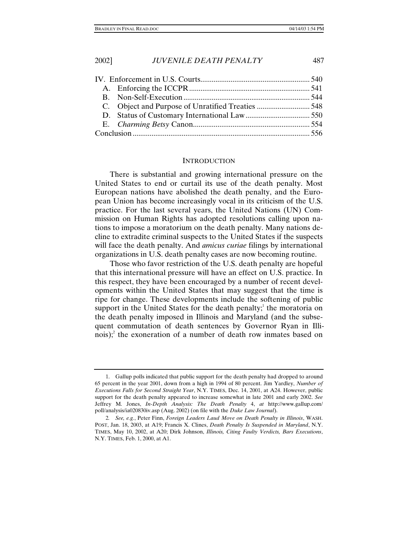#### **INTRODUCTION**

There is substantial and growing international pressure on the United States to end or curtail its use of the death penalty. Most European nations have abolished the death penalty, and the European Union has become increasingly vocal in its criticism of the U.S. practice. For the last several years, the United Nations (UN) Commission on Human Rights has adopted resolutions calling upon nations to impose a moratorium on the death penalty. Many nations decline to extradite criminal suspects to the United States if the suspects will face the death penalty. And *amicus curiae* filings by international organizations in U.S. death penalty cases are now becoming routine.

Those who favor restriction of the U.S. death penalty are hopeful that this international pressure will have an effect on U.S. practice. In this respect, they have been encouraged by a number of recent developments within the United States that may suggest that the time is ripe for change. These developments include the softening of public support in the United States for the death penalty; $^1$  the moratoria on the death penalty imposed in Illinois and Maryland (and the subsequent commutation of death sentences by Governor Ryan in Illinois);<sup>2</sup> the exoneration of a number of death row inmates based on

<sup>1.</sup> Gallup polls indicated that public support for the death penalty had dropped to around 65 percent in the year 2001, down from a high in 1994 of 80 percent. Jim Yardley, *Number of Executions Falls for Second Straight Year*, N.Y. TIMES, Dec. 14, 2001, at A24. However, public support for the death penalty appeared to increase somewhat in late 2001 and early 2002. *See* Jeffrey M. Jones, *In-Depth Analysis: The Death Penalty* 4, *at* http://www.gallup.com/ poll/analysis/ia020830iv.asp (Aug. 2002) (on file with the *Duke Law Journal*).

<sup>2</sup>*. See, e.g.*, Peter Finn, *Foreign Leaders Laud Move on Death Penalty in Illinois*, WASH. POST, Jan. 18, 2003, at A19; Francis X. Clines, *Death Penalty Is Suspended in Maryland*, N.Y. TIMES, May 10, 2002, at A20; Dirk Johnson, *Illinois, Citing Faulty Verdicts, Bars Executions*, N.Y. TIMES, Feb. 1, 2000, at A1.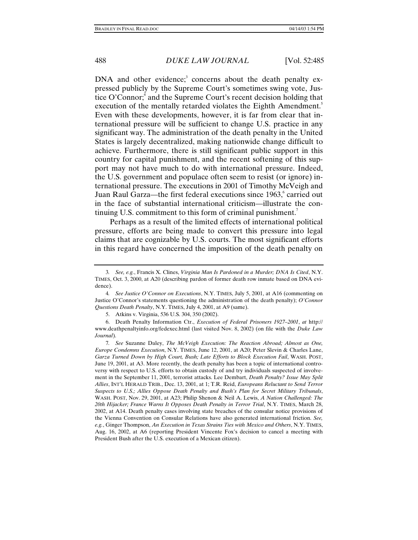DNA and other evidence;<sup>3</sup> concerns about the death penalty expressed publicly by the Supreme Court's sometimes swing vote, Justice O'Connor;<sup>4</sup> and the Supreme Court's recent decision holding that execution of the mentally retarded violates the Eighth Amendment.<sup>5</sup> Even with these developments, however, it is far from clear that international pressure will be sufficient to change U.S. practice in any significant way. The administration of the death penalty in the United States is largely decentralized, making nationwide change difficult to achieve. Furthermore, there is still significant public support in this country for capital punishment, and the recent softening of this support may not have much to do with international pressure. Indeed, the U.S. government and populace often seem to resist (or ignore) international pressure. The executions in 2001 of Timothy McVeigh and Juan Raul Garza—the first federal executions since 1963, <sup>6</sup> carried out in the face of substantial international criticism—illustrate the continuing U.S. commitment to this form of criminal punishment.<sup>7</sup>

Perhaps as a result of the limited effects of international political pressure, efforts are being made to convert this pressure into legal claims that are cognizable by U.S. courts. The most significant efforts in this regard have concerned the imposition of the death penalty on

<sup>3</sup>*. See, e.g.*, Francis X. Clines, *Virginia Man Is Pardoned in a Murder; DNA Is Cited*, N.Y. TIMES, Oct. 3, 2000, at A20 (describing pardon of former death row inmate based on DNA evidence).

<sup>4</sup>*. See Justice O'Connor on Executions*, N.Y. TIMES, July 5, 2001, at A16 (commenting on Justice O'Connor's statements questioning the administration of the death penalty); *O'Connor Questions Death Penalty*, N.Y. TIMES, July 4, 2001, at A9 (same).

<sup>5.</sup> Atkins v. Virginia, 536 U.S. 304, 350 (2002).

<sup>6.</sup> Death Penalty Information Ctr., *Execution of Federal Prisoners 1927–2001*, *at* http:// www.deathpenaltyinfo.org/fedexec.html (last visited Nov. 8, 2002) (on file with the *Duke Law Journal*).

<sup>7</sup>*. See* Suzanne Daley, *The McVeigh Execution: The Reaction Abroad; Almost as One, Europe Condemns Execution*, N.Y. TIMES, June 12, 2001, at A20; Peter Slevin & Charles Lane, *Garza Turned Down by High Court, Bush; Late Efforts to Block Execution Fail*, WASH. POST, June 19, 2001, at A3. More recently, the death penalty has been a topic of international controversy with respect to U.S. efforts to obtain custody of and try individuals suspected of involvement in the September 11, 2001, terrorist attacks. Lee Dembart, *Death Penalty? Issue May Split Allies*, INT'L HERALD TRIB., Dec. 13, 2001, at 1; T.R. Reid, *Europeans Reluctant to Send Terror Suspects to U.S.; Allies Oppose Death Penalty and Bush's Plan for Secret Military Tribunals*, WASH. POST, Nov. 29, 2001, at A23; Philip Shenon & Neil A. Lewis, *A Nation Challenged: The 20th Hijacker; France Warns It Opposes Death Penalty in Terror Trial*, N.Y. TIMES, March 28, 2002, at A14. Death penalty cases involving state breaches of the consular notice provisions of the Vienna Convention on Consular Relations have also generated international friction. *See, e.g.*, Ginger Thompson, *An Execution in Texas Strains Ties with Mexico and Others*, N.Y. TIMES, Aug. 16, 2002, at A6 (reporting President Vincente Fox's decision to cancel a meeting with President Bush after the U.S. execution of a Mexican citizen).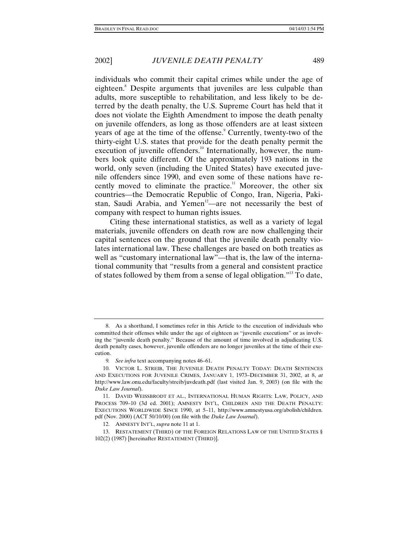individuals who commit their capital crimes while under the age of eighteen.<sup>8</sup> Despite arguments that juveniles are less culpable than adults, more susceptible to rehabilitation, and less likely to be deterred by the death penalty, the U.S. Supreme Court has held that it does not violate the Eighth Amendment to impose the death penalty on juvenile offenders, as long as those offenders are at least sixteen years of age at the time of the offense.<sup>9</sup> Currently, twenty-two of the thirty-eight U.S. states that provide for the death penalty permit the execution of juvenile offenders.<sup>10</sup> Internationally, however, the numbers look quite different. Of the approximately 193 nations in the world, only seven (including the United States) have executed juvenile offenders since 1990, and even some of these nations have recently moved to eliminate the practice.<sup>11</sup> Moreover, the other six countries—the Democratic Republic of Congo, Iran, Nigeria, Pakistan, Saudi Arabia, and Yemen<sup>12</sup>—are not necessarily the best of company with respect to human rights issues.

Citing these international statistics, as well as a variety of legal materials, juvenile offenders on death row are now challenging their capital sentences on the ground that the juvenile death penalty violates international law. These challenges are based on both treaties as well as "customary international law"—that is, the law of the international community that "results from a general and consistent practice of states followed by them from a sense of legal obligation."<sup>13</sup> To date,

<sup>8.</sup> As a shorthand, I sometimes refer in this Article to the execution of individuals who committed their offenses while under the age of eighteen as "juvenile executions" or as involving the "juvenile death penalty." Because of the amount of time involved in adjudicating U.S. death penalty cases, however, juvenile offenders are no longer juveniles at the time of their execution.

<sup>9</sup>*. See infra* text accompanying notes 46–61.

<sup>10.</sup> VICTOR L. STREIB, THE JUVENILE DEATH PENALTY TODAY: DEATH SENTENCES AND EXECUTIONS FOR JUVENILE CRIMES, JANUARY 1, 1973–DECEMBER 31, 2002, at 8, *at* http://www.law.onu.edu/faculty/streib/juvdeath.pdf (last visited Jan. 9, 2003) (on file with the *Duke Law Journal*).

<sup>11.</sup> DAVID WEISSBRODT ET AL., INTERNATIONAL HUMAN RIGHTS: LAW, POLICY, AND PROCESS 709–10 (3d ed. 2001); AMNESTY INT'L, CHILDREN AND THE DEATH PENALTY: EXECUTIONS WORLDWIDE SINCE 1990, at 5–11, http://www.amnestyusa.org/abolish/children. pdf (Nov. 2000) (ACT 50/10/00) (on file with the *Duke Law Journal*).

<sup>12.</sup> AMNESTY INT'L, *supra* note 11 at 1.

<sup>13.</sup> RESTATEMENT (THIRD) OF THE FOREIGN RELATIONS LAW OF THE UNITED STATES § 102(2) (1987) [hereinafter RESTATEMENT (THIRD)].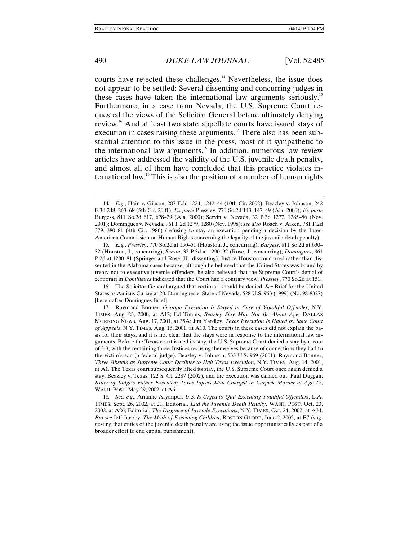courts have rejected these challenges.<sup>14</sup> Nevertheless, the issue does not appear to be settled: Several dissenting and concurring judges in these cases have taken the international law arguments seriously.<sup>15</sup> Furthermore, in a case from Nevada, the U.S. Supreme Court requested the views of the Solicitor General before ultimately denying review.<sup>16</sup> And at least two state appellate courts have issued stays of execution in cases raising these arguments.<sup>17</sup> There also has been substantial attention to this issue in the press, most of it sympathetic to the international law arguments.<sup>18</sup> In addition, numerous law review articles have addressed the validity of the U.S. juvenile death penalty, and almost all of them have concluded that this practice violates international law.<sup>19</sup> This is also the position of a number of human rights

<sup>14</sup>*. E.g.*, Hain v. Gibson, 287 F.3d 1224, 1242–44 (10th Cir. 2002); Beazley v. Johnson, 242 F.3d 248, 263–68 (5th Cir. 2001); *Ex parte* Pressley, 770 So.2d 143, 147–49 (Ala. 2000); *Ex parte* Burgess, 811 So.2d 617, 628–29 (Ala. 2000); Servin v. Nevada, 32 P.3d 1277, 1285–86 (Nev. 2001); Domingues v. Nevada, 961 P.2d 1279, 1280 (Nev. 1998); *see also* Roach v. Aiken, 781 F.2d 379, 380–81 (4th Cir. 1986) (refusing to stay an execution pending a decision by the Inter-American Commission on Human Rights concerning the legality of the juvenile death penalty).

<sup>15</sup>*. E.g.*, *Pressley*, 770 So.2d at 150–51 (Houston, J., concurring); *Burgess*, 811 So.2d at 630– 32 (Houston, J., concurring); *Servin*, 32 P.3d at 1290–92 (Rose, J., concurring); *Domingues*, 961 P.2d at 1280–81 (Springer and Rose, JJ., dissenting). Justice Houston concurred rather than dissented in the Alabama cases because, although he believed that the United States was bound by treaty not to executive juvenile offenders, he also believed that the Supreme Court's denial of certiorari in *Domingues* indicated that the Court had a contrary view. *Pressley*, 770 So.2d at 151.

<sup>16.</sup> The Solicitor General argued that certiorari should be denied. *See* Brief for the United States as Amicus Curiae at 20, Domingues v. State of Nevada, 528 U.S. 963 (1999) (No. 98-8327) [hereinafter Domingues Brief].

<sup>17.</sup> Raymond Bonner, *Georgia Execution Is Stayed in Case of Youthful Offender*, N.Y. TIMES, Aug. 23, 2000, at A12; Ed Timms, *Beazley Stay May Not Be About Age*, DALLAS MORNING NEWS, Aug. 17, 2001, at 35A; Jim Yardley, *Texas Execution Is Halted by State Court of Appeals*, N.Y. TIMES, Aug. 16, 2001, at A10. The courts in these cases did not explain the basis for their stays, and it is not clear that the stays were in response to the international law arguments. Before the Texas court issued its stay, the U.S. Supreme Court denied a stay by a vote of 3-3, with the remaining three Justices recusing themselves because of connections they had to the victim's son (a federal judge). Beazley v. Johnson, 533 U.S. 969 (2001); Raymond Bonner, *Three Abstain as Supreme Court Declines to Halt Texas Execution*, N.Y. TIMES, Aug. 14, 2001, at A1. The Texas court subsequently lifted its stay, the U.S. Supreme Court once again denied a stay, Beazley v. Texas, 122 S. Ct. 2287 (2002), and the execution was carried out. Paul Duggan, *Killer of Judge's Father Executed; Texas Injects Man Charged in Carjack Murder at Age 17*, WASH. POST, May 29, 2002, at A6.

<sup>18</sup>*. See, e.g*., Arianne Aryanpur, *U.S. Is Urged to Quit Executing Youthful Offenders*, L.A. TIMES, Sept. 26, 2002, at 21; Editorial, *End the Juvenile Death Penalty*, WASH. POST, Oct. 23, 2002, at A26; Editorial, *The Disgrace of Juvenile Executions*, N.Y. TIMES, Oct. 24, 2002, at A34. *But see* Jeff Jacoby, *The Myth of Executing Children*, BOSTON GLOBE, June 2, 2002, at E7 (suggesting that critics of the juvenile death penalty are using the issue opportunistically as part of a broader effort to end capital punishment).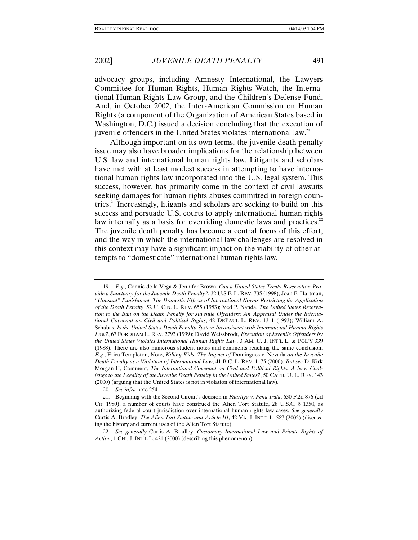advocacy groups, including Amnesty International, the Lawyers Committee for Human Rights, Human Rights Watch, the International Human Rights Law Group, and the Children's Defense Fund. And, in October 2002, the Inter-American Commission on Human Rights (a component of the Organization of American States based in Washington, D.C.) issued a decision concluding that the execution of juvenile offenders in the United States violates international law.<sup>20</sup>

Although important on its own terms, the juvenile death penalty issue may also have broader implications for the relationship between U.S. law and international human rights law. Litigants and scholars have met with at least modest success in attempting to have international human rights law incorporated into the U.S. legal system. This success, however, has primarily come in the context of civil lawsuits seeking damages for human rights abuses committed in foreign countries.<sup>21</sup> Increasingly, litigants and scholars are seeking to build on this success and persuade U.S. courts to apply international human rights law internally as a basis for overriding domestic laws and practices.<sup>22</sup> The juvenile death penalty has become a central focus of this effort, and the way in which the international law challenges are resolved in this context may have a significant impact on the viability of other attempts to "domesticate" international human rights law.

<sup>19</sup>*. E.g.*, Connie de la Vega & Jennifer Brown, *Can a United States Treaty Reservation Provide a Sanctuary for the Juvenile Death Penalty?*, 32 U.S.F. L. REV. 735 (1998); Joan F. Hartman, *"Unusual" Punishment: The Domestic Effects of International Norms Restricting the Application of the Death Penalty*, 52 U. CIN. L. REV. 655 (1983); Ved P. Nanda, *The United States Reservation to the Ban on the Death Penalty for Juvenile Offenders: An Appraisal Under the International Covenant on Civil and Political Rights*, 42 DEPAUL L. REV. 1311 (1993); William A. Schabas, *Is the United States Death Penalty System Inconsistent with International Human Rights Law?*, 67 FORDHAM L. REV. 2793 (1999); David Weissbrodt, *Execution of Juvenile Offenders by the United States Violates International Human Rights Law*, 3 AM. U. J. INT'L L. & POL'Y 339 (1988). There are also numerous student notes and comments reaching the same conclusion. *E.g.*, Erica Templeton, Note, *Killing Kids: The Impact of* Domingues v. Nevada *on the Juvenile Death Penalty as a Violation of International Law*, 41 B.C. L. REV. 1175 (2000). *But see* D. Kirk Morgan II, Comment, *The International Covenant on Civil and Political Rights: A New Challenge to the Legality of the Juvenile Death Penalty in the United States?*, 50 CATH. U. L. REV. 143 (2000) (arguing that the United States is not in violation of international law).

<sup>20</sup>*. See infra* note 254.

<sup>21.</sup> Beginning with the Second Circuit's decision in *Filartiga v. Pena-Irala*, 630 F.2d 876 (2d Cir. 1980), a number of courts have construed the Alien Tort Statute, 28 U.S.C. § 1350, as authorizing federal court jurisdiction over international human rights law cases. *See generally* Curtis A. Bradley, *The Alien Tort Statute and Article III*, 42 VA. J. INT'L L. 587 (2002) (discussing the history and current uses of the Alien Tort Statute).

<sup>22</sup>*. See generally* Curtis A. Bradley, *Customary International Law and Private Rights of Action*, 1 CHI. J. INT'L L. 421 (2000) (describing this phenomenon).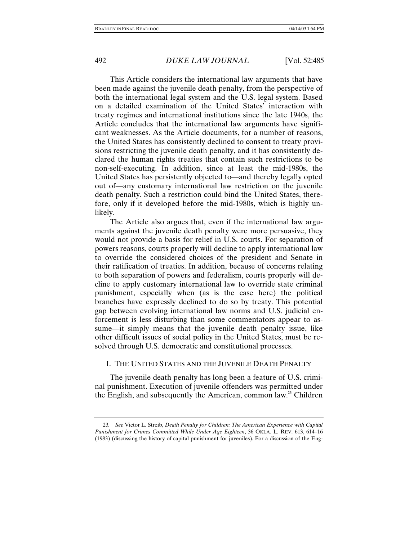This Article considers the international law arguments that have been made against the juvenile death penalty, from the perspective of both the international legal system and the U.S. legal system. Based on a detailed examination of the United States' interaction with treaty regimes and international institutions since the late 1940s, the Article concludes that the international law arguments have significant weaknesses. As the Article documents, for a number of reasons, the United States has consistently declined to consent to treaty provisions restricting the juvenile death penalty, and it has consistently declared the human rights treaties that contain such restrictions to be non-self-executing. In addition, since at least the mid-1980s, the United States has persistently objected to—and thereby legally opted out of—any customary international law restriction on the juvenile death penalty. Such a restriction could bind the United States, therefore, only if it developed before the mid-1980s, which is highly unlikely.

The Article also argues that, even if the international law arguments against the juvenile death penalty were more persuasive, they would not provide a basis for relief in U.S. courts. For separation of powers reasons, courts properly will decline to apply international law to override the considered choices of the president and Senate in their ratification of treaties. In addition, because of concerns relating to both separation of powers and federalism, courts properly will decline to apply customary international law to override state criminal punishment, especially when (as is the case here) the political branches have expressly declined to do so by treaty. This potential gap between evolving international law norms and U.S. judicial enforcement is less disturbing than some commentators appear to assume—it simply means that the juvenile death penalty issue, like other difficult issues of social policy in the United States, must be resolved through U.S. democratic and constitutional processes.

# I. THE UNITED STATES AND THE JUVENILE DEATH PENALTY

The juvenile death penalty has long been a feature of U.S. criminal punishment. Execution of juvenile offenders was permitted under the English, and subsequently the American, common law.<sup>23</sup> Children

<sup>23</sup>*. See* Victor L. Streib, *Death Penalty for Children: The American Experience with Capital Punishment for Crimes Committed While Under Age Eighteen*, 36 OKLA. L. REV. 613, 614–16 (1983) (discussing the history of capital punishment for juveniles). For a discussion of the Eng-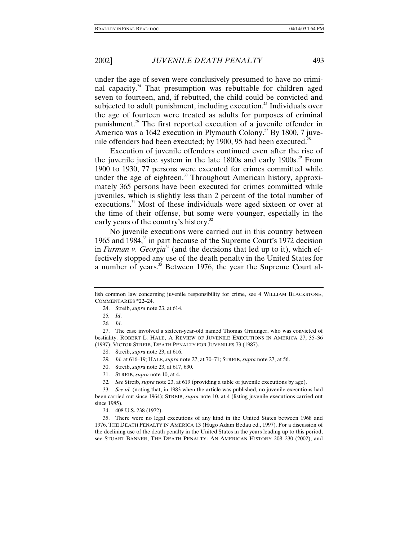under the age of seven were conclusively presumed to have no criminal capacity.<sup>24</sup> That presumption was rebuttable for children aged seven to fourteen, and, if rebutted, the child could be convicted and subjected to adult punishment, including execution.<sup>25</sup> Individuals over the age of fourteen were treated as adults for purposes of criminal punishment.<sup>26</sup> The first reported execution of a juvenile offender in America was a 1642 execution in Plymouth Colony.<sup>27</sup> By 1800, 7 juvenile offenders had been executed; by 1900, 95 had been executed.<sup>28</sup>

Execution of juvenile offenders continued even after the rise of the juvenile justice system in the late  $1800s$  and early  $1900s$ <sup>29</sup> From 1900 to 1930, 77 persons were executed for crimes committed while under the age of eighteen.<sup>30</sup> Throughout American history, approximately 365 persons have been executed for crimes committed while juveniles, which is slightly less than 2 percent of the total number of executions.<sup>31</sup> Most of these individuals were aged sixteen or over at the time of their offense, but some were younger, especially in the early years of the country's history.<sup>32</sup>

No juvenile executions were carried out in this country between 1965 and 1984,<sup>33</sup> in part because of the Supreme Court's 1972 decision in *Furman v. Georgia*<sup>34</sup> (and the decisions that led up to it), which effectively stopped any use of the death penalty in the United States for a number of years.<sup>35</sup> Between 1976, the year the Supreme Court al-

27. The case involved a sixteen-year-old named Thomas Graunger, who was convicted of bestiality. ROBERT L. HALE, A REVIEW OF JUVENILE EXECUTIONS IN AMERICA 27, 35–36 (1997); VICTOR STREIB, DEATH PENALTY FOR JUVENILES 73 (1987).

28. Streib, *supra* note 23, at 616.

29*. Id.* at 616–19; HALE, *supra* note 27, at 70–71; STREIB, *supra* note 27, at 56.

30. Streib, *supra* note 23, at 617, 630.

31. STREIB, *supra* note 10, at 4.

32*. See* Streib, *supra* note 23, at 619 (providing a table of juvenile executions by age).

33*. See id.* (noting that, in 1983 when the article was published, no juvenile executions had been carried out since 1964); STREIB, *supra* note 10, at 4 (listing juvenile executions carried out since 1985).

34. 408 U.S. 238 (1972).

35. There were no legal executions of any kind in the United States between 1968 and 1976. THE DEATH PENALTY IN AMERICA 13 (Hugo Adam Bedau ed., 1997). For a discussion of the declining use of the death penalty in the United States in the years leading up to this period, see STUART BANNER, THE DEATH PENALTY: AN AMERICAN HISTORY 208–230 (2002), and

lish common law concerning juvenile responsibility for crime, see 4 WILLIAM BLACKSTONE, COMMENTARIES \*22–24.

<sup>24.</sup> Streib, *supra* note 23, at 614.

<sup>25</sup>*. Id*.

<sup>26</sup>*. Id*.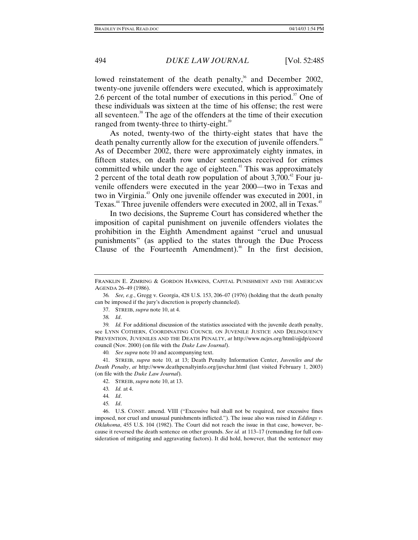lowed reinstatement of the death penalty,<sup>36</sup> and December 2002, twenty-one juvenile offenders were executed, which is approximately 2.6 percent of the total number of executions in this period.<sup>37</sup> One of these individuals was sixteen at the time of his offense; the rest were all seventeen. $38$  The age of the offenders at the time of their execution ranged from twenty-three to thirty-eight.<sup>39</sup>

As noted, twenty-two of the thirty-eight states that have the death penalty currently allow for the execution of juvenile offenders.<sup>40</sup> As of December 2002, there were approximately eighty inmates, in fifteen states, on death row under sentences received for crimes committed while under the age of eighteen.<sup>41</sup> This was approximately 2 percent of the total death row population of about 3,700.<sup>42</sup> Four juvenile offenders were executed in the year 2000—two in Texas and two in Virginia.43 Only one juvenile offender was executed in 2001, in Texas.<sup>44</sup> Three juvenile offenders were executed in 2002, all in Texas.<sup>45</sup>

In two decisions, the Supreme Court has considered whether the imposition of capital punishment on juvenile offenders violates the prohibition in the Eighth Amendment against "cruel and unusual punishments" (as applied to the states through the Due Process Clause of the Fourteenth Amendment).<sup>46</sup> In the first decision,

40*. See supra* note 10 and accompanying text.

41. STREIB, *supra* note 10, at 13; Death Penalty Information Center, *Juveniles and the Death Penalty*, *at* http://www.deathpenaltyinfo.org/juvchar.html (last visited February 1, 2003) (on file with the *Duke Law Journal*).

45*. Id*.

46. U.S. CONST. amend. VIII ("Excessive bail shall not be required, nor excessive fines imposed, nor cruel and unusual punishments inflicted."). The issue also was raised in *Eddings v. Oklahoma*, 455 U.S. 104 (1982). The Court did not reach the issue in that case, however, because it reversed the death sentence on other grounds. *See id.* at 113–17 (remanding for full consideration of mitigating and aggravating factors). It did hold, however, that the sentencer may

FRANKLIN E. ZIMRING & GORDON HAWKINS, CAPITAL PUNISHMENT AND THE AMERICAN AGENDA 26–49 (1986).

<sup>36</sup>*. See, e.g.*, Gregg v. Georgia, 428 U.S. 153, 206–07 (1976) (holding that the death penalty can be imposed if the jury's discretion is properly channeled).

<sup>37.</sup> STREIB, *supra* note 10, at 4.

<sup>38</sup>*. Id*.

<sup>39</sup>*. Id.* For additional discussion of the statistics associated with the juvenile death penalty, see LYNN COTHERN, COORDINATING COUNCIL ON JUVENILE JUSTICE AND DELINQUENCY PREVENTION, JUVENILES AND THE DEATH PENALTY, *at* http://www.ncjrs.org/html/ojjdp/coord council (Nov. 2000) (on file with the *Duke Law Journal*).

<sup>42.</sup> STREIB, *supra* note 10, at 13.

<sup>43</sup>*. Id.* at 4.

<sup>44</sup>*. Id*.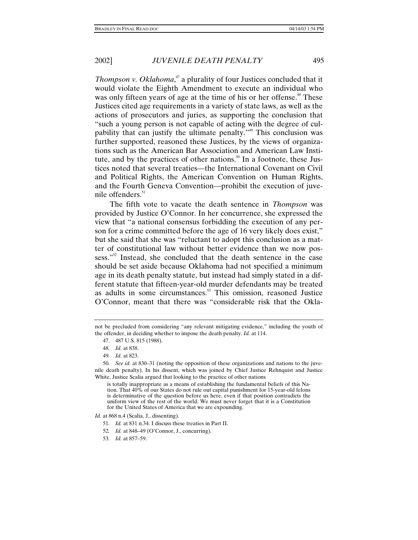*Thompson v. Oklahoma*, 47 a plurality of four Justices concluded that it would violate the Eighth Amendment to execute an individual who was only fifteen years of age at the time of his or her offense.<sup>48</sup> These Justices cited age requirements in a variety of state laws, as well as the actions of prosecutors and juries, as supporting the conclusion that "such a young person is not capable of acting with the degree of culpability that can justify the ultimate penalty." 49 This conclusion was further supported, reasoned these Justices, by the views of organizations such as the American Bar Association and American Law Institute, and by the practices of other nations.<sup>50</sup> In a footnote, these Justices noted that several treaties—the International Covenant on Civil and Political Rights, the American Convention on Human Rights, and the Fourth Geneva Convention—prohibit the execution of juvenile offenders. $51$ 

The fifth vote to vacate the death sentence in *Thompson* was provided by Justice O'Connor. In her concurrence, she expressed the view that "a national consensus forbidding the execution of any person for a crime committed before the age of 16 very likely does exist," but she said that she was "reluctant to adopt this conclusion as a matter of constitutional law without better evidence than we now possess."<sup>52</sup> Instead, she concluded that the death sentence in the case should be set aside because Oklahoma had not specified a minimum age in its death penalty statute, but instead had simply stated in a different statute that fifteen-year-old murder defendants may be treated as adults in some circumstances.<sup>53</sup> This omission, reasoned Justice O'Connor, meant that there was "considerable risk that the Okla-

not be precluded from considering "any relevant mitigating evidence," including the youth of the offender, in deciding whether to impose the death penalty. *Id.* at 114.

<sup>47. 487</sup> U.S. 815 (1988).

<sup>48</sup>*. Id.* at 838.

<sup>49</sup>*. Id.* at 823.

<sup>50</sup>*. See id.* at 830–31 (noting the opposition of these organizations and nations to the juvenile death penalty). In his dissent, which was joined by Chief Justice Rehnquist and Justice White, Justice Scalia argued that looking to the practice of other nations

is totally inappropriate as a means of establishing the fundamental beliefs of this Nation. That 40% of our States do not rule out capital punishment for 15-year-old felons is determinative of the question before us here, even if that position contradicts the uniform view of the rest of the world. We must never forget that it is a Constitution for the United States of America that we are expounding.

*Id.* at 868 n.4 (Scalia, J., dissenting).

<sup>51</sup>*. Id.* at 831 n.34. I discuss these treaties in Part II.

<sup>52</sup>*. Id.* at 848–49 (O'Connor, J., concurring).

<sup>53</sup>*. Id.* at 857–59.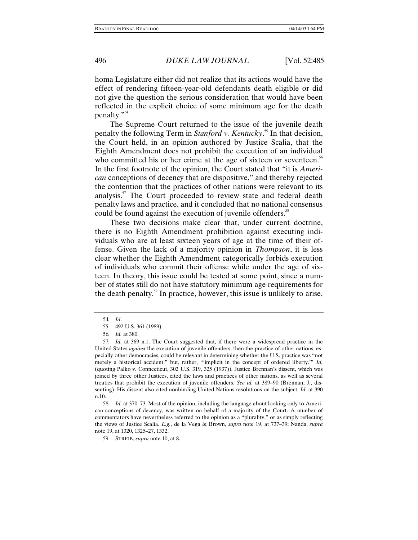homa Legislature either did not realize that its actions would have the effect of rendering fifteen-year-old defendants death eligible or did not give the question the serious consideration that would have been reflected in the explicit choice of some minimum age for the death penalty." 54

The Supreme Court returned to the issue of the juvenile death penalty the following Term in *Stanford v. Kentucky*. 55 In that decision, the Court held, in an opinion authored by Justice Scalia, that the Eighth Amendment does not prohibit the execution of an individual who committed his or her crime at the age of sixteen or seventeen.<sup>56</sup> In the first footnote of the opinion, the Court stated that "it is *American* conceptions of decency that are dispositive," and thereby rejected the contention that the practices of other nations were relevant to its analysis.<sup>57</sup> The Court proceeded to review state and federal death penalty laws and practice, and it concluded that no national consensus could be found against the execution of juvenile offenders.<sup>58</sup>

These two decisions make clear that, under current doctrine, there is no Eighth Amendment prohibition against executing individuals who are at least sixteen years of age at the time of their offense. Given the lack of a majority opinion in *Thompson*, it is less clear whether the Eighth Amendment categorically forbids execution of individuals who commit their offense while under the age of sixteen. In theory, this issue could be tested at some point, since a number of states still do not have statutory minimum age requirements for the death penalty.<sup>59</sup> In practice, however, this issue is unlikely to arise,

58*. Id.* at 370–73. Most of the opinion, including the language about looking only to American conceptions of decency, was written on behalf of a majority of the Court. A number of commentators have nevertheless referred to the opinion as a "plurality," or as simply reflecting the views of Justice Scalia*. E.g.*, de la Vega & Brown, *supra* note 19, at 737–39; Nanda, *supra* note 19, at 1320, 1325–27, 1332.

59. STREIB, *supra* note 10, at 8.

<sup>54</sup>*. Id*.

<sup>55. 492</sup> U.S. 361 (1989).

<sup>56</sup>*. Id.* at 380.

<sup>57</sup>*. Id.* at 369 n.1. The Court suggested that, if there were a widespread practice in the United States *against* the execution of juvenile offenders, then the practice of other nations, especially other democracies, could be relevant in determining whether the U.S. practice was "not merely a historical accident," but, rather, "'implicit in the concept of ordered liberty.'" *Id.* (quoting Palko v. Connecticut, 302 U.S. 319, 325 (1937)). Justice Brennan's dissent, which was joined by three other Justices, cited the laws and practices of other nations, as well as several treaties that prohibit the execution of juvenile offenders. *See id.* at 389–90 (Brennan, J., dissenting). His dissent also cited nonbinding United Nations resolutions on the subject. *Id.* at 390 n.10.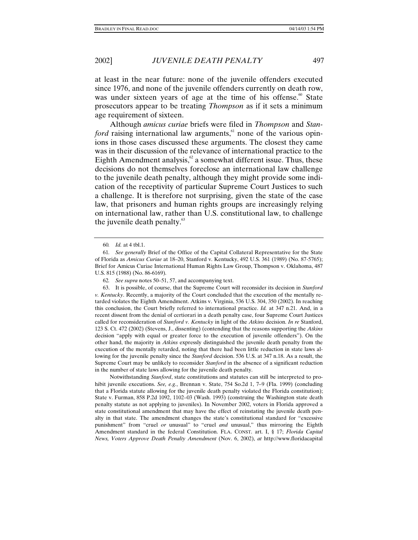at least in the near future: none of the juvenile offenders executed since 1976, and none of the juvenile offenders currently on death row, was under sixteen years of age at the time of his offense.<sup>60</sup> State prosecutors appear to be treating *Thompson* as if it sets a minimum age requirement of sixteen.

Although *amicus curiae* briefs were filed in *Thompson* and *Stanford* raising international law arguments,<sup>61</sup> none of the various opinions in those cases discussed these arguments. The closest they came was in their discussion of the relevance of international practice to the Eighth Amendment analysis, $\alpha$  a somewhat different issue. Thus, these decisions do not themselves foreclose an international law challenge to the juvenile death penalty, although they might provide some indication of the receptivity of particular Supreme Court Justices to such a challenge. It is therefore not surprising, given the state of the case law, that prisoners and human rights groups are increasingly relying on international law, rather than U.S. constitutional law, to challenge the juvenile death penalty.<sup>63</sup>

62*. See supra* notes 50–51, 57, and accompanying text.

63. It is possible, of course, that the Supreme Court will reconsider its decision in *Stanford v. Kentucky*. Recently, a majority of the Court concluded that the execution of the mentally retarded violates the Eighth Amendment. Atkins v. Virginia, 536 U.S. 304, 350 (2002). In reaching this conclusion, the Court briefly referred to international practice. *Id.* at 347 n.21. And, in a recent dissent from the denial of certiorari in a death penalty case, four Supreme Court Justices called for reconsideration of *Stanford v. Kentucky* in light of the *Atkins* decision. *In re* Stanford, 123 S. Ct. 472 (2002) (Stevens, J., dissenting) (contending that the reasons supporting the *Atkins* decision "apply with equal or greater force to the execution of juvenile offenders"). On the other hand, the majority in *Atkins* expressly distinguished the juvenile death penalty from the execution of the mentally retarded, noting that there had been little reduction in state laws allowing for the juvenile penalty since the *Stanford* decision. 536 U.S. at 347 n.18. As a result, the Supreme Court may be unlikely to reconsider *Stanford* in the absence of a significant reduction in the number of state laws allowing for the juvenile death penalty.

Notwithstanding *Stanford*, state constitutions and statutes can still be interpreted to prohibit juvenile executions. *See, e.g.*, Brennan v. State, 754 So.2d 1, 7–9 (Fla. 1999) (concluding that a Florida statute allowing for the juvenile death penalty violated the Florida constitution); State v. Furman, 858 P.2d 1092, 1102–03 (Wash. 1993) (construing the Washington state death penalty statute as not applying to juveniles). In November 2002, voters in Florida approved a state constitutional amendment that may have the effect of reinstating the juvenile death penalty in that state. The amendment changes the state's constitutional standard for "excessive punishment" from "cruel *or* unusual" to "cruel *and* unusual," thus mirroring the Eighth Amendment standard in the federal Constitution. FLA. CONST. art. I, § 17; *Florida Capital News, Voters Approve Death Penalty Amendment* (Nov. 6, 2002), *at* http://www.floridacapital

<sup>60</sup>*. Id.* at 4 tbl.1.

<sup>61</sup>*. See generally* Brief of the Office of the Capital Collateral Representative for the State of Florida as *Amicus Curiae* at 18–20, Stanford v. Kentucky, 492 U.S. 361 (1989) (No. 87-5765); Brief for Amicus Curiae International Human Rights Law Group, Thompson v. Oklahoma, 487 U.S. 815 (1988) (No. 86-6169).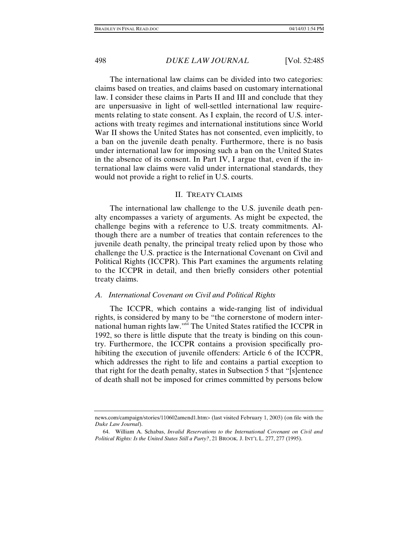The international law claims can be divided into two categories: claims based on treaties, and claims based on customary international law. I consider these claims in Parts II and III and conclude that they are unpersuasive in light of well-settled international law requirements relating to state consent. As I explain, the record of U.S. interactions with treaty regimes and international institutions since World War II shows the United States has not consented, even implicitly, to a ban on the juvenile death penalty. Furthermore, there is no basis under international law for imposing such a ban on the United States in the absence of its consent. In Part IV, I argue that, even if the international law claims were valid under international standards, they would not provide a right to relief in U.S. courts.

# II. TREATY CLAIMS

The international law challenge to the U.S. juvenile death penalty encompasses a variety of arguments. As might be expected, the challenge begins with a reference to U.S. treaty commitments. Although there are a number of treaties that contain references to the juvenile death penalty, the principal treaty relied upon by those who challenge the U.S. practice is the International Covenant on Civil and Political Rights (ICCPR). This Part examines the arguments relating to the ICCPR in detail, and then briefly considers other potential treaty claims.

# *A. International Covenant on Civil and Political Rights*

The ICCPR, which contains a wide-ranging list of individual rights, is considered by many to be "the cornerstone of modern international human rights law." 64 The United States ratified the ICCPR in 1992, so there is little dispute that the treaty is binding on this country. Furthermore, the ICCPR contains a provision specifically prohibiting the execution of juvenile offenders: Article 6 of the ICCPR, which addresses the right to life and contains a partial exception to that right for the death penalty, states in Subsection 5 that "[s]entence of death shall not be imposed for crimes committed by persons below

news.com/campaign/stories/110602amend1.htm> (last visited February 1, 2003) (on file with the *Duke Law Journal*).

<sup>64.</sup> William A. Schabas, *Invalid Reservations to the International Covenant on Civil and Political Rights: Is the United States Still a Party?*, 21 BROOK. J. INT'L L. 277, 277 (1995).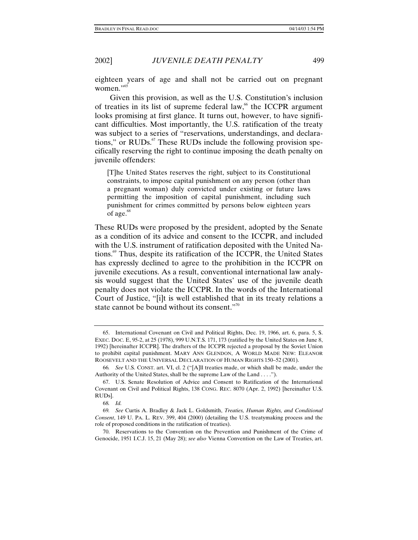eighteen years of age and shall not be carried out on pregnant women."<sup>65</sup>

Given this provision, as well as the U.S. Constitution's inclusion of treaties in its list of supreme federal law, $66$  the ICCPR argument looks promising at first glance. It turns out, however, to have significant difficulties. Most importantly, the U.S. ratification of the treaty was subject to a series of "reservations, understandings, and declarations," or RUDs. $\degree$  These RUDs include the following provision specifically reserving the right to continue imposing the death penalty on juvenile offenders:

[T]he United States reserves the right, subject to its Constitutional constraints, to impose capital punishment on any person (other than a pregnant woman) duly convicted under existing or future laws permitting the imposition of capital punishment, including such punishment for crimes committed by persons below eighteen years of age.<sup>68</sup>

These RUDs were proposed by the president, adopted by the Senate as a condition of its advice and consent to the ICCPR, and included with the U.S. instrument of ratification deposited with the United Nations.<sup>69</sup> Thus, despite its ratification of the ICCPR, the United States has expressly declined to agree to the prohibition in the ICCPR on juvenile executions. As a result, conventional international law analysis would suggest that the United States' use of the juvenile death penalty does not violate the ICCPR. In the words of the International Court of Justice, "[i]t is well established that in its treaty relations a state cannot be bound without its consent."<sup>70</sup>

<sup>65.</sup> International Covenant on Civil and Political Rights, Dec. 19, 1966, art. 6, para. 5, S. EXEC. DOC. E, 95-2, at 25 (1978), 999 U.N.T.S. 171, 173 (ratified by the United States on June 8, 1992) [hereinafter ICCPR]. The drafters of the ICCPR rejected a proposal by the Soviet Union to prohibit capital punishment. MARY ANN GLENDON, A WORLD MADE NEW: ELEANOR ROOSEVELT AND THE UNIVERSAL DECLARATION OF HUMAN RIGHTS 150–52 (2001).

<sup>66</sup>*. See* U.S. CONST. art. VI, cl. 2 ("[A]ll treaties made, or which shall be made, under the Authority of the United States, shall be the supreme Law of the Land . . . .").

<sup>67.</sup> U.S. Senate Resolution of Advice and Consent to Ratification of the International Covenant on Civil and Political Rights, 138 CONG. REC. 8070 (Apr. 2, 1992) [hereinafter U.S. RUDs].

<sup>68</sup>*. Id.*

<sup>69</sup>*. See* Curtis A. Bradley & Jack L. Goldsmith, *Treaties, Human Rights, and Conditional Consent*, 149 U. PA. L. REV. 399, 404 (2000) (detailing the U.S. treatymaking process and the role of proposed conditions in the ratification of treaties).

<sup>70.</sup> Reservations to the Convention on the Prevention and Punishment of the Crime of Genocide, 1951 I.C.J. 15, 21 (May 28); *see also* Vienna Convention on the Law of Treaties, art.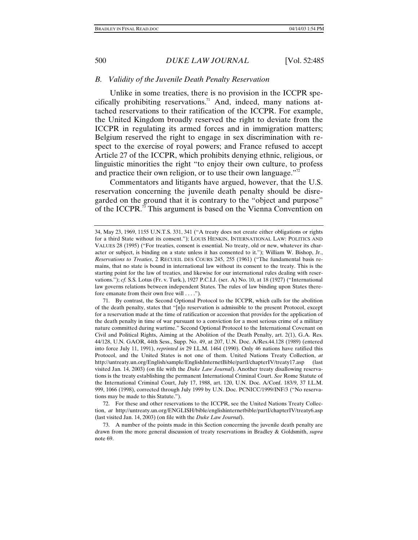## *B. Validity of the Juvenile Death Penalty Reservation*

Unlike in some treaties, there is no provision in the ICCPR specifically prohibiting reservations.<sup>71</sup> And, indeed, many nations attached reservations to their ratification of the ICCPR. For example, the United Kingdom broadly reserved the right to deviate from the ICCPR in regulating its armed forces and in immigration matters; Belgium reserved the right to engage in sex discrimination with respect to the exercise of royal powers; and France refused to accept Article 27 of the ICCPR, which prohibits denying ethnic, religious, or linguistic minorities the right "to enjoy their own culture, to profess and practice their own religion, or to use their own language."<sup>72</sup>

Commentators and litigants have argued, however, that the U.S. reservation concerning the juvenile death penalty should be disregarded on the ground that it is contrary to the "object and purpose" of the ICCPR.<sup>73</sup> This argument is based on the Vienna Convention on

72. For these and other reservations to the ICCPR, see the United Nations Treaty Collection, *at* http://untreaty.un.org/ENGLISH/bible/englishinternetbible/partI/chapterIV/treaty6.asp (last visited Jan. 14, 2003) (on file with the *Duke Law Journal*).

73. A number of the points made in this Section concerning the juvenile death penalty are drawn from the more general discussion of treaty reservations in Bradley & Goldsmith, *supra* note 69.

<sup>34,</sup> May 23, 1969, 1155 U.N.T.S. 331, 341 ("A treaty does not create either obligations or rights for a third State without its consent."); LOUIS HENKIN, INTERNATIONAL LAW: POLITICS AND VALUES 28 (1995) ("For treaties, consent is essential. No treaty, old or new, whatever its character or subject, is binding on a state unless it has consented to it."); William W. Bishop, Jr., *Reservations to Treaties*, 2 RECUEIL DES COURS 245, 255 (1961) ("The fundamental basis remains, that no state is bound in international law without its consent to the treaty. This is the starting point for the law of treaties, and likewise for our international rules dealing with reservations."); *cf.* S.S. Lotus (Fr. v. Turk.), 1927 P.C.I.J. (ser. A) No. 10, at 18 (1927) ("International law governs relations between independent States. The rules of law binding upon States therefore emanate from their own free will . . . .").

<sup>71.</sup> By contrast, the Second Optional Protocol to the ICCPR, which calls for the abolition of the death penalty, states that "[n]o reservation is admissible to the present Protocol, except for a reservation made at the time of ratification or accession that provides for the application of the death penalty in time of war pursuant to a conviction for a most serious crime of a military nature committed during wartime." Second Optional Protocol to the International Covenant on Civil and Political Rights, Aiming at the Abolition of the Death Penalty, art. 2(1), G.A. Res. 44/128, U.N. GAOR, 44th Sess., Supp. No. 49, at 207, U.N. Doc. A/Res.44.128 (1989) (entered into force July 11, 1991), *reprinted in* 29 I.L.M. 1464 (1990). Only 46 nations have ratified this Protocol, and the United States is not one of them. United Nations Treaty Collection, *at* http://untreaty.un.org/English/sample/EnglishInternetBible/partI/chapterIV/treaty17.asp (last visited Jan. 14, 2003) (on file with the *Duke Law Journal*). Another treaty disallowing reservations is the treaty establishing the permanent International Criminal Court. *See* Rome Statute of the International Criminal Court, July 17, 1988, art. 120, U.N. Doc. A/Conf. 183/9, 37 I.L.M. 999, 1066 (1998), corrected through July 1999 by U.N. Doc. PCNICC/1999/INF/3 ("No reservations may be made to this Statute.").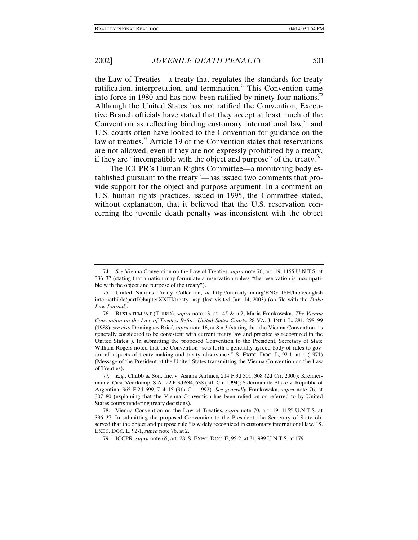the Law of Treaties—a treaty that regulates the standards for treaty ratification, interpretation, and termination.<sup>74</sup> This Convention came into force in 1980 and has now been ratified by ninety-four nations.<sup>75</sup> Although the United States has not ratified the Convention, Executive Branch officials have stated that they accept at least much of the Convention as reflecting binding customary international law, $\frac{7}{6}$  and U.S. courts often have looked to the Convention for guidance on the law of treaties.<sup>77</sup> Article 19 of the Convention states that reservations are not allowed, even if they are not expressly prohibited by a treaty, if they are "incompatible with the object and purpose" of the treaty.<sup>78</sup>

The ICCPR's Human Rights Committee—a monitoring body established pursuant to the treaty<sup>79</sup>—has issued two comments that provide support for the object and purpose argument. In a comment on U.S. human rights practices, issued in 1995, the Committee stated, without explanation, that it believed that the U.S. reservation concerning the juvenile death penalty was inconsistent with the object

<sup>74</sup>*. See* Vienna Convention on the Law of Treaties, *supra* note 70, art. 19, 1155 U.N.T.S. at 336–37 (stating that a nation may formulate a reservation unless "the reservation is incompatible with the object and purpose of the treaty").

<sup>75.</sup> United Nations Treaty Collection, *at* http://untreaty.un.org/ENGLISH/bible/english internetbible/partI/chapterXXIII/treaty1.asp (last visited Jan. 14, 2003) (on file with the *Duke Law Journal*).

<sup>76.</sup> RESTATEMENT (THIRD), *supra* note 13, at 145 & n.2; Maria Frankowska, *The Vienna Convention on the Law of Treaties Before United States Courts*, 28 VA. J. INT'L L. 281, 298–99 (1988); *see also* Domingues Brief, *supra* note 16, at 8 n.3 (stating that the Vienna Convention "is generally considered to be consistent with current treaty law and practice as recognized in the United States"). In submitting the proposed Convention to the President, Secretary of State William Rogers noted that the Convention "sets forth a generally agreed body of rules to govern all aspects of treaty making and treaty observance." S. EXEC. DOC. L, 92-1, at 1 (1971) (Message of the President of the United States transmitting the Vienna Convention on the Law of Treaties).

<sup>77</sup>*. E.g.*, Chubb & Son, Inc. v. Asiana Airlines, 214 F.3d 301, 308 (2d Cir. 2000); Kreimerman v. Casa Veerkamp, S.A., 22 F.3d 634, 638 (5th Cir. 1994); Siderman de Blake v. Republic of Argentina, 965 F.2d 699, 714–15 (9th Cir. 1992). *See generally* Frankowska, *supra* note 76, at 307–80 (explaining that the Vienna Convention has been relied on or referred to by United States courts rendering treaty decisions).

<sup>78.</sup> Vienna Convention on the Law of Treaties, *supra* note 70, art. 19, 1155 U.N.T.S. at 336–37. In submitting the proposed Convention to the President, the Secretary of State observed that the object and purpose rule "is widely recognized in customary international law." S. EXEC. DOC. L, 92-1, *supra* note 76, at 2.

<sup>79.</sup> ICCPR, *supra* note 65, art. 28, S. EXEC. DOC. E, 95-2, at 31, 999 U.N.T.S. at 179.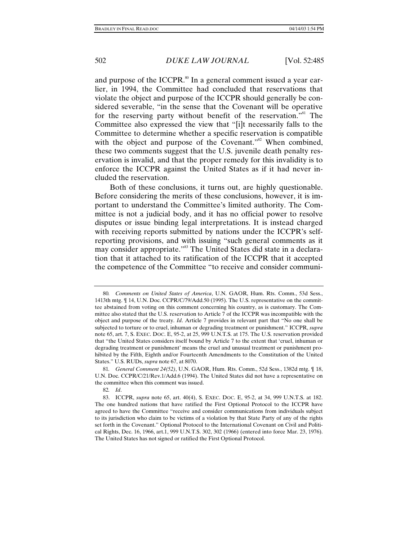and purpose of the ICCPR.<sup>80</sup> In a general comment issued a year earlier, in 1994, the Committee had concluded that reservations that violate the object and purpose of the ICCPR should generally be considered severable, "in the sense that the Covenant will be operative for the reserving party without benefit of the reservation."<sup>81</sup> The Committee also expressed the view that "[i]t necessarily falls to the Committee to determine whether a specific reservation is compatible with the object and purpose of the Covenant."<sup>82</sup> When combined, these two comments suggest that the U.S. juvenile death penalty reservation is invalid, and that the proper remedy for this invalidity is to enforce the ICCPR against the United States as if it had never included the reservation.

Both of these conclusions, it turns out, are highly questionable. Before considering the merits of these conclusions, however, it is important to understand the Committee's limited authority. The Committee is not a judicial body, and it has no official power to resolve disputes or issue binding legal interpretations. It is instead charged with receiving reports submitted by nations under the ICCPR's selfreporting provisions, and with issuing "such general comments as it may consider appropriate."<sup>33</sup> The United States did state in a declaration that it attached to its ratification of the ICCPR that it accepted the competence of the Committee "to receive and consider communi-

<sup>80</sup>*. Comments on United States of America*, U.N. GAOR, Hum. Rts. Comm., 53d Sess., 1413th mtg. ¶ 14, U.N. Doc. CCPR/C/79/Add.50 (1995). The U.S. representative on the committee abstained from voting on this comment concerning his country, as is customary. The Committee also stated that the U.S. reservation to Article 7 of the ICCPR was incompatible with the object and purpose of the treaty. *Id*. Article 7 provides in relevant part that "No one shall be subjected to torture or to cruel, inhuman or degrading treatment or punishment." ICCPR, *supra* note 65, art. 7, S. EXEC. DOC. E, 95-2, at 25, 999 U.N.T.S. at 175. The U.S. reservation provided that "the United States considers itself bound by Article 7 to the extent that 'cruel, inhuman or degrading treatment or punishment' means the cruel and unusual treatment or punishment prohibited by the Fifth, Eighth and/or Fourteenth Amendments to the Constitution of the United States." U.S. RUDs, *supra* note 67, at 8070.

<sup>81</sup>*. General Comment 24(52)*, U.N. GAOR, Hum. Rts. Comm., 52d Sess., 1382d mtg. ¶ 18, U.N. Doc. CCPR/C/21/Rev.1/Add.6 (1994). The United States did not have a representative on the committee when this comment was issued.

<sup>82</sup>*. Id*.

<sup>83.</sup> ICCPR, *supra* note 65, art. 40(4), S. EXEC. DOC. E, 95-2, at 34, 999 U.N.T.S. at 182. The one hundred nations that have ratified the First Optional Protocol to the ICCPR have agreed to have the Committee "receive and consider communications from individuals subject to its jurisdiction who claim to be victims of a violation by that State Party of any of the rights set forth in the Covenant." Optional Protocol to the International Covenant on Civil and Political Rights, Dec. 16, 1966, art.1, 999 U.N.T.S. 302, 302 (1966) (entered into force Mar. 23, 1976). The United States has not signed or ratified the First Optional Protocol.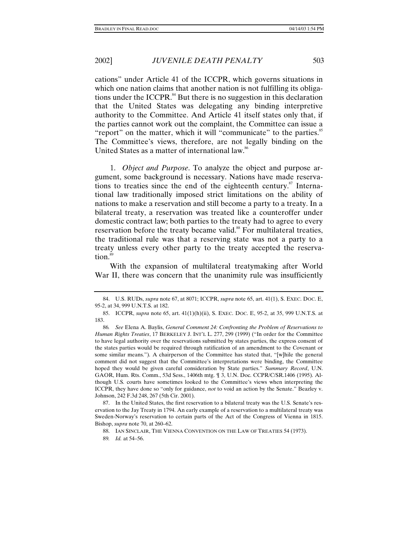cations" under Article 41 of the ICCPR, which governs situations in which one nation claims that another nation is not fulfilling its obligations under the ICCPR. $^{84}$  But there is no suggestion in this declaration that the United States was delegating any binding interpretive authority to the Committee. And Article 41 itself states only that, if the parties cannot work out the complaint, the Committee can issue a "report" on the matter, which it will "communicate" to the parties.<sup>85</sup> The Committee's views, therefore, are not legally binding on the United States as a matter of international law.<sup>86</sup>

1. *Object and Purpose*. To analyze the object and purpose argument, some background is necessary. Nations have made reservations to treaties since the end of the eighteenth century.<sup>87</sup> International law traditionally imposed strict limitations on the ability of nations to make a reservation and still become a party to a treaty. In a bilateral treaty, a reservation was treated like a counteroffer under domestic contract law; both parties to the treaty had to agree to every reservation before the treaty became valid.<sup>88</sup> For multilateral treaties, the traditional rule was that a reserving state was not a party to a treaty unless every other party to the treaty accepted the reservation.<sup>89</sup>

With the expansion of multilateral treatymaking after World War II, there was concern that the unanimity rule was insufficiently

87. In the United States, the first reservation to a bilateral treaty was the U.S. Senate's reservation to the Jay Treaty in 1794. An early example of a reservation to a multilateral treaty was Sweden-Norway's reservation to certain parts of the Act of the Congress of Vienna in 1815. Bishop, *supra* note 70, at 260–62.

<sup>84.</sup> U.S. RUDs, *supra* note 67, at 8071; ICCPR, *supra* note 65, art. 41(1), S. EXEC. DOC. E, 95-2, at 34, 999 U.N.T.S. at 182.

<sup>85.</sup> ICCPR, *supra* note 65, art. 41(1)(h)(ii), S. EXEC. DOC. E, 95-2, at 35, 999 U.N.T.S. at 183.

<sup>86</sup>*. See* Elena A. Baylis, *General Comment 24: Confronting the Problem of Reservations to Human Rights Treaties*, 17 BERKELEY J. INT'L L. 277, 299 (1999) ("In order for the Committee to have legal authority over the reservations submitted by states parties, the express consent of the states parties would be required through ratification of an amendment to the Covenant or some similar means."). A chairperson of the Committee has stated that, "[w]hile the general comment did not suggest that the Committee's interpretations were binding, the Committee hoped they would be given careful consideration by State parties." *Summary Record*, U.N. GAOR, Hum. Rts. Comm., 53d Sess., 1406th mtg. ¶ 3, U.N. Doc. CCPR/C/SR.1406 (1995). Although U.S. courts have sometimes looked to the Committee's views when interpreting the ICCPR, they have done so "only for guidance, *not* to void an action by the Senate." Beazley v. Johnson, 242 F.3d 248, 267 (5th Cir. 2001).

<sup>88.</sup> IAN SINCLAIR, THE VIENNA CONVENTION ON THE LAW OF TREATIES 54 (1973).

<sup>89</sup>*. Id.* at 54–56.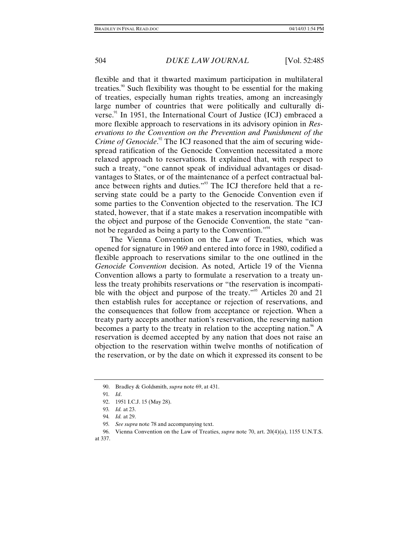flexible and that it thwarted maximum participation in multilateral treaties.<sup>90</sup> Such flexibility was thought to be essential for the making of treaties, especially human rights treaties, among an increasingly large number of countries that were politically and culturally diverse.<sup>91</sup> In 1951, the International Court of Justice (ICJ) embraced a more flexible approach to reservations in its advisory opinion in *Reservations to the Convention on the Prevention and Punishment of the Crime of Genocide*.<sup>92</sup> The ICJ reasoned that the aim of securing widespread ratification of the Genocide Convention necessitated a more relaxed approach to reservations. It explained that, with respect to such a treaty, "one cannot speak of individual advantages or disadvantages to States, or of the maintenance of a perfect contractual balance between rights and duties."<sup>33</sup> The ICJ therefore held that a reserving state could be a party to the Genocide Convention even if some parties to the Convention objected to the reservation. The ICJ stated, however, that if a state makes a reservation incompatible with the object and purpose of the Genocide Convention, the state "cannot be regarded as being a party to the Convention."<sup>94</sup>

The Vienna Convention on the Law of Treaties, which was opened for signature in 1969 and entered into force in 1980, codified a flexible approach to reservations similar to the one outlined in the *Genocide Convention* decision. As noted, Article 19 of the Vienna Convention allows a party to formulate a reservation to a treaty unless the treaty prohibits reservations or "the reservation is incompatible with the object and purpose of the treaty."<sup>55</sup> Articles 20 and 21 then establish rules for acceptance or rejection of reservations, and the consequences that follow from acceptance or rejection. When a treaty party accepts another nation's reservation, the reserving nation becomes a party to the treaty in relation to the accepting nation.<sup>96</sup> A reservation is deemed accepted by any nation that does not raise an objection to the reservation within twelve months of notification of the reservation, or by the date on which it expressed its consent to be

<sup>90.</sup> Bradley & Goldsmith, *supra* note 69, at 431.

<sup>91</sup>*. Id*.

<sup>92. 1951</sup> I.C.J. 15 (May 28).

<sup>93</sup>*. Id.* at 23.

<sup>94</sup>*. Id.* at 29.

<sup>95</sup>*. See supra* note 78 and accompanying text.

<sup>96.</sup> Vienna Convention on the Law of Treaties, *supra* note 70, art. 20(4)(a), 1155 U.N.T.S.

at 337.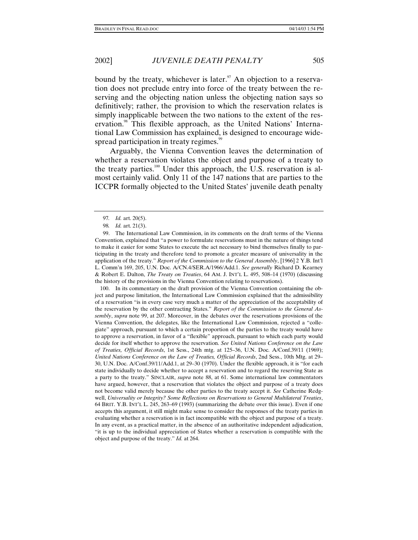bound by the treaty, whichever is later.<sup>97</sup> An objection to a reservation does not preclude entry into force of the treaty between the reserving and the objecting nation unless the objecting nation says so definitively; rather, the provision to which the reservation relates is simply inapplicable between the two nations to the extent of the reservation.<sup>98</sup> This flexible approach, as the United Nations' International Law Commission has explained, is designed to encourage widespread participation in treaty regimes.<sup>99</sup>

Arguably, the Vienna Convention leaves the determination of whether a reservation violates the object and purpose of a treaty to the treaty parties.<sup>100</sup> Under this approach, the U.S. reservation is almost certainly valid. Only 11 of the 147 nations that are parties to the ICCPR formally objected to the United States' juvenile death penalty

100. In its commentary on the draft provision of the Vienna Convention containing the object and purpose limitation, the International Law Commission explained that the admissibility of a reservation "is in every case very much a matter of the appreciation of the acceptability of the reservation by the other contracting States." *Report of the Commission to the General Assembly*, *supra* note 99, at 207. Moreover, in the debates over the reservations provisions of the Vienna Convention, the delegates, like the International Law Commission, rejected a "collegiate" approach, pursuant to which a certain proportion of the parties to the treaty would have to approve a reservation, in favor of a "flexible" approach, pursuant to which each party would decide for itself whether to approve the reservation. *See United Nations Conference on the Law of Treaties, Official Records*, 1st Sess., 24th mtg. at 125–36, U.N. Doc. A/Conf.39/11 (1969); *United Nations Conference on the Law of Treaties, Official Records*, 2nd Sess., 10th Mtg. at 29– 30, U.N. Doc. A/Conf.39/11/Add.1, at 29–30 (1970). Under the flexible approach, it is "for each state individually to decide whether to accept a reservation and to regard the reserving State as a party to the treaty." SINCLAIR, *supra* note 88, at 61. Some international law commentators have argued, however, that a reservation that violates the object and purpose of a treaty does not become valid merely because the other parties to the treaty accept it. *See* Catherine Redgwell, *Universality or Integrity? Some Reflections on Reservations to General Multilateral Treaties*, 64 BRIT. Y.B. INT'L L. 245, 263–69 (1993) (summarizing the debate over this issue). Even if one accepts this argument, it still might make sense to consider the responses of the treaty parties in evaluating whether a reservation is in fact incompatible with the object and purpose of a treaty. In any event, as a practical matter, in the absence of an authoritative independent adjudication, "it is up to the individual appreciation of States whether a reservation is compatible with the object and purpose of the treaty." *Id.* at 264.

<sup>97</sup>*. Id.* art. 20(5).

<sup>98</sup>*. Id.* art. 21(3).

<sup>99.</sup> The International Law Commission, in its comments on the draft terms of the Vienna Convention, explained that "a power to formulate reservations must in the nature of things tend to make it easier for some States to execute the act necessary to bind themselves finally to participating in the treaty and therefore tend to promote a greater measure of universality in the application of the treaty." *Report of the Commission to the General Assembly*, [1966] 2 Y.B. Int'l L. Comm'n 169, 205, U.N. Doc. A/CN.4/SER.A/1966/Add.1. *See generally* Richard D. Kearney & Robert E. Dalton, *The Treaty on Treaties*, 64 AM. J. INT'L L. 495, 508–14 (1970) (discussing the history of the provisions in the Vienna Convention relating to reservations).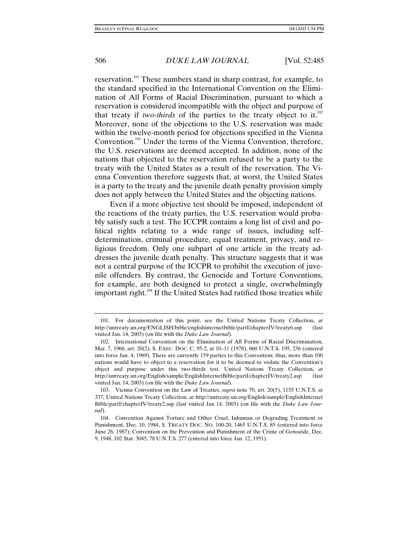reservation.<sup>101</sup> These numbers stand in sharp contrast, for example, to the standard specified in the International Convention on the Elimination of All Forms of Racial Discrimination, pursuant to which a reservation is considered incompatible with the object and purpose of that treaty if *two-thirds* of the parties to the treaty object to it.<sup>102</sup> Moreover, none of the objections to the U.S. reservation was made within the twelve-month period for objections specified in the Vienna Convention.<sup>103</sup> Under the terms of the Vienna Convention, therefore, the U.S. reservations are deemed accepted. In addition, none of the nations that objected to the reservation refused to be a party to the treaty with the United States as a result of the reservation. The Vienna Convention therefore suggests that, at worst, the United States is a party to the treaty and the juvenile death penalty provision simply does not apply between the United States and the objecting nations.

Even if a more objective test should be imposed, independent of the reactions of the treaty parties, the U.S. reservation would probably satisfy such a test. The ICCPR contains a long list of civil and political rights relating to a wide range of issues, including selfdetermination, criminal procedure, equal treatment, privacy, and religious freedom. Only one subpart of one article in the treaty addresses the juvenile death penalty. This structure suggests that it was not a central purpose of the ICCPR to prohibit the execution of juvenile offenders. By contrast, the Genocide and Torture Conventions, for example, are both designed to protect a single, overwhelmingly important right.<sup>104</sup> If the United States had ratified those treaties while

<sup>101.</sup> For documentation of this point, see the United Nations Treaty Collection, *at* http://untreaty.un.org/ENGLISH/bible/englishinternetbible/partI/chapterIV/treaty6.asp (last visited Jan. 14, 2003) (on file with the *Duke Law Journal*).

<sup>102.</sup> International Convention on the Elimination of All Forms of Racial Discrimination, Mar. 7, 1966, art. 20(2), S. EXEC. DOC. C, 95-2, at 10–11 (1978), 660 U.N.T.S. 195, 236 (entered into force Jan. 4, 1969). There are currently 159 parties to this Convention; thus, more than 100 nations would have to object to a reservation for it to be deemed to violate the Convention's object and purpose under this two-thirds test. United Nations Treaty Collection, *at* http://untreaty.un.org/English/sample/EnglishInternetBible/partI/chapterIV/treaty2.asp (last visited Jan. 14, 2003) (on file with the *Duke Law Journal*).

<sup>103.</sup> Vienna Convention on the Law of Treaties, *supra* note 70, art. 20(5), 1155 U.N.T.S. at 337; United Nations Treaty Collection, *at* http://untreaty.un.org/English/sample/EnglishInternet Bible/partI/chapterIV/treaty2.asp (last visited Jan 14, 2003) (on file with the *Duke Law Journal*).

<sup>104.</sup> Convention Against Torture and Other Cruel, Inhuman or Degrading Treatment or Punishment, Dec. 10, 1984, S. TREATY DOC. NO. 100-20, 1465 U.N.T.S. 85 (entered into force June 26, 1987); Convention on the Prevention and Punishment of the Crime of Genocide, Dec. 9, 1948, 102 Stat. 3045, 78 U.N.T.S. 277 (entered into force Jan. 12, 1951).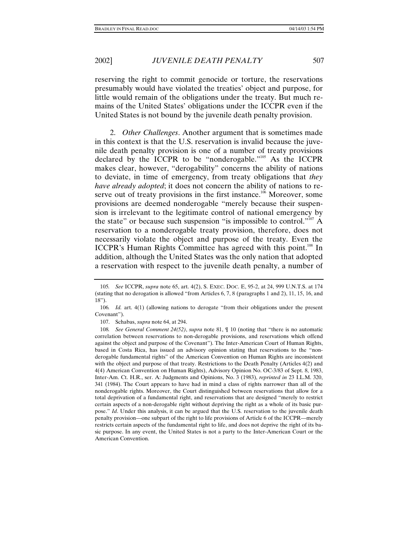reserving the right to commit genocide or torture, the reservations presumably would have violated the treaties' object and purpose, for little would remain of the obligations under the treaty. But much remains of the United States' obligations under the ICCPR even if the United States is not bound by the juvenile death penalty provision.

2. *Other Challenges*. Another argument that is sometimes made in this context is that the U.S. reservation is invalid because the juvenile death penalty provision is one of a number of treaty provisions declared by the ICCPR to be "nonderogable."<sup>105</sup> As the ICCPR makes clear, however, "derogability" concerns the ability of nations to deviate, in time of emergency, from treaty obligations that *they have already adopted*; it does not concern the ability of nations to reserve out of treaty provisions in the first instance.<sup>106</sup> Moreover, some provisions are deemed nonderogable "merely because their suspension is irrelevant to the legitimate control of national emergency by the state" or because such suspension "is impossible to control."<sup>107</sup> A reservation to a nonderogable treaty provision, therefore, does not necessarily violate the object and purpose of the treaty. Even the ICCPR's Human Rights Committee has agreed with this point.<sup>108</sup> In addition, although the United States was the only nation that adopted a reservation with respect to the juvenile death penalty, a number of

<sup>105</sup>*. See* ICCPR, *supra* note 65, art. 4(2), S. EXEC. DOC. E, 95-2, at 24, 999 U.N.T.S. at 174 (stating that no derogation is allowed "from Articles 6, 7, 8 (paragraphs 1 and 2), 11, 15, 16, and 18").

<sup>106</sup>*. Id.* art. 4(1) (allowing nations to derogate "from their obligations under the present Covenant").

<sup>107.</sup> Schabas, *supra* note 64, at 294.

<sup>108</sup>*. See General Comment 24(52)*, *supra* note 81, ¶ 10 (noting that "there is no automatic correlation between reservations to non-derogable provisions, and reservations which offend against the object and purpose of the Covenant"). The Inter-American Court of Human Rights, based in Costa Rica, has issued an advisory opinion stating that reservations to the "nonderogable fundamental rights" of the American Convention on Human Rights are inconsistent with the object and purpose of that treaty. Restrictions to the Death Penalty (Articles 4(2) and 4(4) American Convention on Human Rights), Advisory Opinion No. OC-3/83 of Sept. 8, 1983, Inter-Am. Ct. H.R., ser. A: Judgments and Opinions, No. 3 (1983), *reprinted in* 23 I.L.M. 320, 341 (1984). The Court appears to have had in mind a class of rights narrower than all of the nonderogable rights. Moreover, the Court distinguished between reservations that allow for a total deprivation of a fundamental right, and reservations that are designed "merely to restrict certain aspects of a non-derogable right without depriving the right as a whole of its basic purpose." *Id*. Under this analysis, it can be argued that the U.S. reservation to the juvenile death penalty provision—one subpart of the right to life provisions of Article 6 of the ICCPR—merely restricts certain aspects of the fundamental right to life, and does not deprive the right of its basic purpose. In any event, the United States is not a party to the Inter-American Court or the American Convention.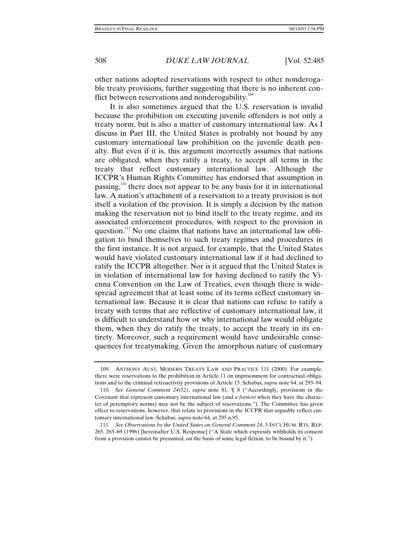other nations adopted reservations with respect to other nonderogable treaty provisions, further suggesting that there is no inherent conflict between reservations and nonderogability. $109$ 

It is also sometimes argued that the U.S. reservation is invalid because the prohibition on executing juvenile offenders is not only a treaty norm, but is also a matter of customary international law. As I discuss in Part III, the United States is probably not bound by any customary international law prohibition on the juvenile death penalty. But even if it is, this argument incorrectly assumes that nations are obligated, when they ratify a treaty, to accept all terms in the treaty that reflect customary international law. Although the ICCPR's Human Rights Committee has endorsed that assumption in passing,<sup>110</sup> there does not appear to be any basis for it in international law. A nation's attachment of a reservation to a treaty provision is not itself a violation of the provision. It is simply a decision by the nation making the reservation not to bind itself to the treaty regime, and its associated enforcement procedures, with respect to the provision in question.<sup>111</sup> No one claims that nations have an international law obligation to bind themselves to such treaty regimes and procedures in the first instance. It is not argued, for example, that the United States would have violated customary international law if it had declined to ratify the ICCPR altogether. Nor is it argued that the United States is in violation of international law for having declined to ratify the Vienna Convention on the Law of Treaties, even though there is widespread agreement that at least some of its terms reflect customary international law. Because it is clear that nations can refuse to ratify a treaty with terms that are reflective of customary international law, it is difficult to understand how or why international law would obligate them, when they do ratify the treaty, to accept the treaty in its entirety. Moreover, such a requirement would have undesirable consequences for treatymaking. Given the amorphous nature of customary

<sup>109.</sup> ANTHONY AUST, MODERN TREATY LAW AND PRACTICE 111 (2000). For example, there were reservations to the prohibition in Article 11 on imprisonment for contractual obligations and to the criminal retroactivity provisions of Article 15. Schabas, *supra* note 64, at 293–94.

<sup>110</sup>*. See General Comment 24(52)*, *supra* note 81, ¶ 8 ("Accordingly, provisions in the Covenant that represent customary international law (and *a fortiori* when they have the character of peremptory norms) may not be the subject of reservations."). The Committee has given effect to reservations, however, that relate to provisions in the ICCPR that arguably reflect customary international law. Schabas, *supra* note 64, at 295 n.95.

<sup>111</sup>*. See Observations by the United States on General Comment 24*, 3 INT'L HUM. RTS. REP. 265, 265–69 (1996) [hereinafter U.S. Response] ("A State which expressly withholds its consent from a provision cannot be presumed, on the basis of some legal fiction, to be bound by it.").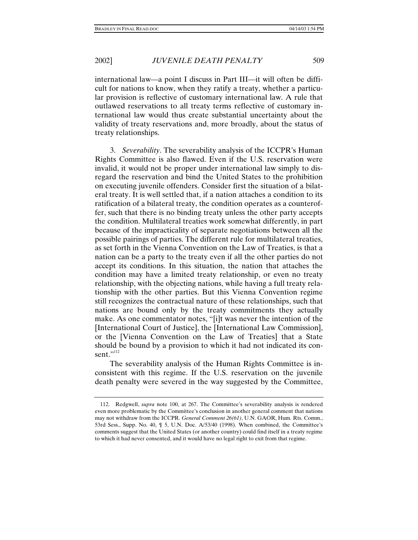international law—a point I discuss in Part III—it will often be difficult for nations to know, when they ratify a treaty, whether a particular provision is reflective of customary international law. A rule that outlawed reservations to all treaty terms reflective of customary international law would thus create substantial uncertainty about the validity of treaty reservations and, more broadly, about the status of treaty relationships.

3. *Severability*. The severability analysis of the ICCPR's Human Rights Committee is also flawed. Even if the U.S. reservation were invalid, it would not be proper under international law simply to disregard the reservation and bind the United States to the prohibition on executing juvenile offenders. Consider first the situation of a bilateral treaty. It is well settled that, if a nation attaches a condition to its ratification of a bilateral treaty, the condition operates as a counteroffer, such that there is no binding treaty unless the other party accepts the condition. Multilateral treaties work somewhat differently, in part because of the impracticality of separate negotiations between all the possible pairings of parties. The different rule for multilateral treaties, as set forth in the Vienna Convention on the Law of Treaties, is that a nation can be a party to the treaty even if all the other parties do not accept its conditions. In this situation, the nation that attaches the condition may have a limited treaty relationship, or even no treaty relationship, with the objecting nations, while having a full treaty relationship with the other parties. But this Vienna Convention regime still recognizes the contractual nature of these relationships, such that nations are bound only by the treaty commitments they actually make. As one commentator notes, "[i]t was never the intention of the [International Court of Justice], the [International Law Commission], or the [Vienna Convention on the Law of Treaties] that a State should be bound by a provision to which it had not indicated its consent."<sup>112</sup>

The severability analysis of the Human Rights Committee is inconsistent with this regime. If the U.S. reservation on the juvenile death penalty were severed in the way suggested by the Committee,

<sup>112.</sup> Redgwell, *supra* note 100, at 267. The Committee's severability analysis is rendered even more problematic by the Committee's conclusion in another general comment that nations may not withdraw from the ICCPR. *General Comment 26(61)*, U.N. GAOR, Hum. Rts. Comm., 53rd Sess., Supp. No. 40, ¶ 5, U.N. Doc. A/53/40 (1998). When combined, the Committee's comments suggest that the United States (or another country) could find itself in a treaty regime to which it had never consented, and it would have no legal right to exit from that regime.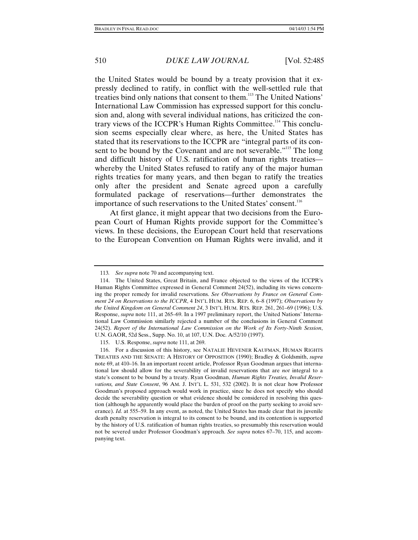the United States would be bound by a treaty provision that it expressly declined to ratify, in conflict with the well-settled rule that treaties bind only nations that consent to them.113 The United Nations' International Law Commission has expressed support for this conclusion and, along with several individual nations, has criticized the contrary views of the ICCPR's Human Rights Committee.114 This conclusion seems especially clear where, as here, the United States has stated that its reservations to the ICCPR are "integral parts of its consent to be bound by the Covenant and are not severable."<sup>115</sup> The long and difficult history of U.S. ratification of human rights treaties whereby the United States refused to ratify any of the major human rights treaties for many years, and then began to ratify the treaties only after the president and Senate agreed upon a carefully formulated package of reservations—further demonstrates the importance of such reservations to the United States' consent.<sup>116</sup>

At first glance, it might appear that two decisions from the European Court of Human Rights provide support for the Committee's views. In these decisions, the European Court held that reservations to the European Convention on Human Rights were invalid, and it

<sup>113</sup>*. See supra* note 70 and accompanying text.

<sup>114.</sup> The United States, Great Britain, and France objected to the views of the ICCPR's Human Rights Committee expressed in General Comment 24(52), including its views concerning the proper remedy for invalid reservations. *See Observations by France on General Comment 24 on Reservations to the ICCPR*, 4 INT'L HUM. RTS. REP. 6, 6–8 (1997); *Observations by the United Kingdom on General Comment 24*, 3 INT'L HUM. RTS. REP. 261, 261–69 (1996); U.S. Response, *supra* note 111, at 265–69. In a 1997 preliminary report, the United Nations' International Law Commission similarly rejected a number of the conclusions in General Comment 24(52). *Report of the International Law Commission on the Work of Its Forty-Ninth Session*, U.N. GAOR, 52d Sess., Supp. No. 10, at 107, U.N. Doc. A/52/10 (1997).

<sup>115.</sup> U.S. Response, *supra* note 111, at 269.

<sup>116.</sup> For a discussion of this history, see NATALIE HEVENER KAUFMAN, HUMAN RIGHTS TREATIES AND THE SENATE: A HISTORY OF OPPOSITION (1990); Bradley & Goldsmith, *supra* note 69, at 410–16. In an important recent article, Professor Ryan Goodman argues that international law should allow for the severability of invalid reservations that are *not* integral to a state's consent to be bound by a treaty. Ryan Goodman, *Human Rights Treaties, Invalid Reservations, and State Consent*, 96 AM. J. INT'L L. 531, 532 (2002). It is not clear how Professor Goodman's proposed approach would work in practice, since he does not specify who should decide the severability question or what evidence should be considered in resolving this question (although he apparently would place the burden of proof on the party seeking to avoid severance). *Id.* at 555–59. In any event, as noted, the United States has made clear that its juvenile death penalty reservation is integral to its consent to be bound, and its contention is supported by the history of U.S. ratification of human rights treaties, so presumably this reservation would not be severed under Professor Goodman's approach. *See supra* notes 67–70, 115, and accompanying text.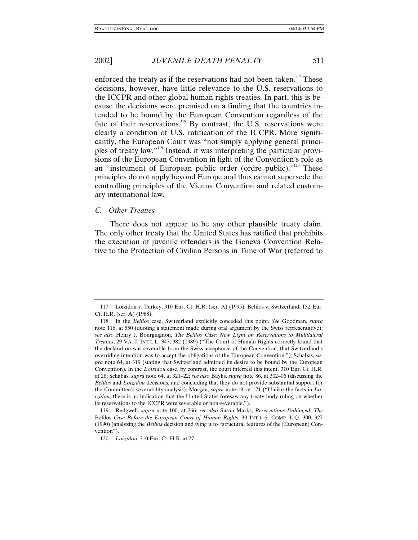enforced the treaty as if the reservations had not been taken.<sup>117</sup> These decisions, however, have little relevance to the U.S. reservations to the ICCPR and other global human rights treaties. In part, this is because the decisions were premised on a finding that the countries intended to be bound by the European Convention regardless of the fate of their reservations.<sup>118</sup> By contrast, the U.S. reservations were clearly a condition of U.S. ratification of the ICCPR. More significantly, the European Court was "not simply applying general principles of treaty law."<sup>119</sup> Instead, it was interpreting the particular provisions of the European Convention in light of the Convention's role as an "instrument of European public order (ordre public)."<sup>120</sup> These principles do not apply beyond Europe and thus cannot supersede the controlling principles of the Vienna Convention and related customary international law.

# *C. Other Treaties*

There does not appear to be any other plausible treaty claim. The only other treaty that the United States has ratified that prohibits the execution of juvenile offenders is the Geneva Convention Relative to the Protection of Civilian Persons in Time of War (referred to

<sup>117.</sup> Loizidou v. Turkey, 310 Eur. Ct. H.R. (ser. A) (1995); Belilos v. Switzerland, 132 Eur. Ct. H.R. (ser. A) (1988).

<sup>118.</sup> In the *Belilos* case, Switzerland explicitly conceded this point. *See* Goodman, *supra* note 116, at 550 (quoting a statement made during oral argument by the Swiss representative); *see also* Henry J. Bourguignon, *The Belilos Case: New Light on Reservations to Multilateral Treaties*, 29 VA. J. INT'L L. 347, 382 (1989) ("The Court of Human Rights correctly found that the declaration was severable from the Swiss acceptance of the Convention; that Switzerland's overriding intention was to accept the obligations of the European Convention."); Schabas, *supra* note 64, at 319 (stating that Switzerland admitted its desire to be bound by the European Convention). In the *Loizidou* case, by contrast, the court inferred this intent. 310 Eur. Ct. H.R. at 28; Schabas, *supra* note 64, at 321–22; *see also* Baylis, *supra* note 86, at 302–06 (discussing the *Belilos* and *Loizidou* decisions, and concluding that they do not provide substantial support for the Committee's severability analysis); Morgan, *supra* note 19, at 171 ("Unlike the facts in *Loizidou*, there is no indication that the United States foresaw any treaty body ruling on whether its reservations to the ICCPR were severable or non-severable.").

<sup>119.</sup> Redgwell, *supra* note 100, at 266; *see also* Susan Marks, *Reservations Unhinged: The* Belilos *Case Before the European Court of Human Rights*, 39 INT'L & COMP. L.Q. 300, 327 (1990) (analyzing the *Belilos* decision and tying it to "structural features of the [European] Convention").

<sup>120</sup>*. Loizidou*, 310 Eur. Ct. H.R. at 27.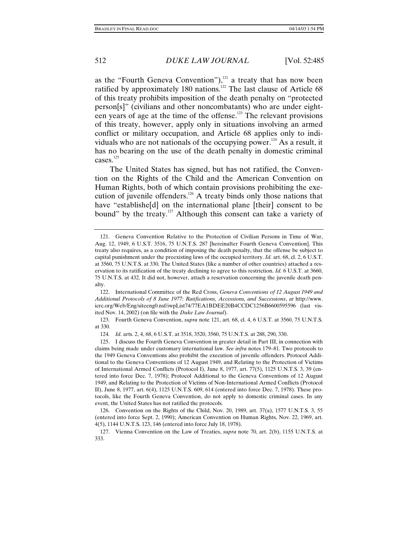as the "Fourth Geneva Convention"), $^{121}$  a treaty that has now been ratified by approximately 180 nations.<sup>122</sup> The last clause of Article 68 of this treaty prohibits imposition of the death penalty on "protected person[s]" (civilians and other noncombatants) who are under eighteen years of age at the time of the offense.<sup>123</sup> The relevant provisions of this treaty, however, apply only in situations involving an armed conflict or military occupation, and Article 68 applies only to individuals who are not nationals of the occupying power.<sup>124</sup> As a result, it has no bearing on the use of the death penalty in domestic criminal cases.<sup>125</sup>

The United States has signed, but has not ratified, the Convention on the Rights of the Child and the American Convention on Human Rights, both of which contain provisions prohibiting the execution of juvenile offenders.<sup>126</sup> A treaty binds only those nations that have "establishe[d] on the international plane [their] consent to be bound" by the treaty.<sup>127</sup> Although this consent can take a variety of

<sup>121.</sup> Geneva Convention Relative to the Protection of Civilian Persons in Time of War, Aug. 12, 1949, 6 U.S.T. 3516, 75 U.N.T.S. 287 [hereinafter Fourth Geneva Convention]. This treaty also requires, as a condition of imposing the death penalty, that the offense be subject to capital punishment under the preexisting laws of the occupied territory. *Id.* art. 68, cl. 2, 6 U.S.T. at 3560, 75 U.N.T.S. at 330. The United States (like a number of other countries) attached a reservation to its ratification of the treaty declining to agree to this restriction. *Id.* 6 U.S.T. at 3660, 75 U.N.T.S. at 432. It did not, however, attach a reservation concerning the juvenile death penalty.

<sup>122.</sup> International Committee of the Red Cross, *Geneva Conventions of 12 August 1949 and Additional Protocols of 8 June 1977: Ratifications, Accessions, and Successions*, *at* http://www. icrc.org/Web/Eng/siteeng0.nsf/iwpList74/77EA1BDEE20B4CCDC1256B6600595596 (last visited Nov. 14, 2002) (on file with the *Duke Law Journal*).

<sup>123.</sup> Fourth Geneva Convention, *supra* note 121, art. 68, cl. 4, 6 U.S.T. at 3560, 75 U.N.T.S. at 330.

<sup>124</sup>*. Id.* arts. 2, 4, 68, 6 U.S.T. at 3518, 3520, 3560, 75 U.N.T.S. at 288, 290, 330.

<sup>125.</sup> I discuss the Fourth Geneva Convention in greater detail in Part III, in connection with claims being made under customary international law. *See infra* notes 179–81. Two protocols to the 1949 Geneva Conventions also prohibit the execution of juvenile offenders. Protocol Additional to the Geneva Conventions of 12 August 1949, and Relating to the Protection of Victims of International Armed Conflicts (Protocol I), June 8, 1977, art. 77(5), 1125 U.N.T.S. 3, 39 (entered into force Dec. 7, 1978); Protocol Additional to the Geneva Conventions of 12 August 1949, and Relating to the Protection of Victims of Non-International Armed Conflicts (Protocol II), June 8, 1977, art. 6(4), 1125 U.N.T.S. 609, 614 (entered into force Dec. 7, 1978). These protocols, like the Fourth Geneva Convention, do not apply to domestic criminal cases. In any event, the United States has not ratified the protocols.

<sup>126.</sup> Convention on the Rights of the Child, Nov. 20, 1989, art. 37(a), 1577 U.N.T.S. 3, 55 (entered into force Sept. 2, 1990); American Convention on Human Rights, Nov. 22, 1969, art. 4(5), 1144 U.N.T.S. 123, 146 (entered into force July 18, 1978).

<sup>127.</sup> Vienna Convention on the Law of Treaties, *supra* note 70, art. 2(b), 1155 U.N.T.S. at 333.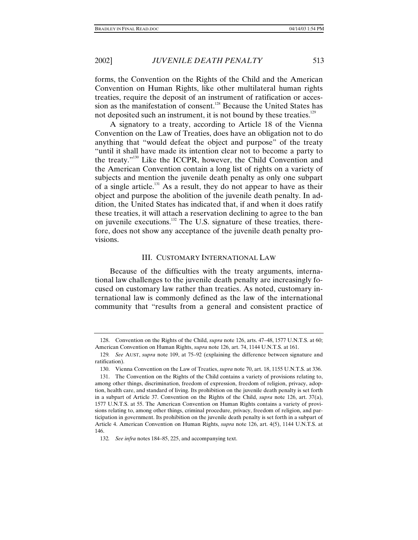forms, the Convention on the Rights of the Child and the American Convention on Human Rights, like other multilateral human rights treaties, require the deposit of an instrument of ratification or accession as the manifestation of consent.<sup>128</sup> Because the United States has not deposited such an instrument, it is not bound by these treaties.<sup>129</sup>

A signatory to a treaty, according to Article 18 of the Vienna Convention on the Law of Treaties, does have an obligation not to do anything that "would defeat the object and purpose" of the treaty "until it shall have made its intention clear not to become a party to the treaty." 130 Like the ICCPR, however, the Child Convention and the American Convention contain a long list of rights on a variety of subjects and mention the juvenile death penalty as only one subpart of a single article.131 As a result, they do not appear to have as their object and purpose the abolition of the juvenile death penalty. In addition, the United States has indicated that, if and when it does ratify these treaties, it will attach a reservation declining to agree to the ban on juvenile executions.132 The U.S. signature of these treaties, therefore, does not show any acceptance of the juvenile death penalty provisions.

## III. CUSTOMARY INTERNATIONAL LAW

Because of the difficulties with the treaty arguments, international law challenges to the juvenile death penalty are increasingly focused on customary law rather than treaties. As noted, customary international law is commonly defined as the law of the international community that "results from a general and consistent practice of

<sup>128.</sup> Convention on the Rights of the Child, *supra* note 126, arts. 47–48, 1577 U.N.T.S. at 60; American Convention on Human Rights, *supra* note 126, art. 74, 1144 U.N.T.S. at 161.

<sup>129</sup>*. See* AUST, *supra* note 109, at 75–92 (explaining the difference between signature and ratification).

<sup>130.</sup> Vienna Convention on the Law of Treaties, *supra* note 70, art. 18, 1155 U.N.T.S. at 336.

<sup>131.</sup> The Convention on the Rights of the Child contains a variety of provisions relating to, among other things, discrimination, freedom of expression, freedom of religion, privacy, adoption, health care, and standard of living. Its prohibition on the juvenile death penalty is set forth in a subpart of Article 37. Convention on the Rights of the Child, *supra* note 126, art. 37(a), 1577 U.N.T.S. at 55. The American Convention on Human Rights contains a variety of provisions relating to, among other things, criminal procedure, privacy, freedom of religion, and participation in government. Its prohibition on the juvenile death penalty is set forth in a subpart of Article 4. American Convention on Human Rights, *supra* note 126, art. 4(5), 1144 U.N.T.S. at 146.

<sup>132</sup>*. See infra* notes 184–85, 225, and accompanying text.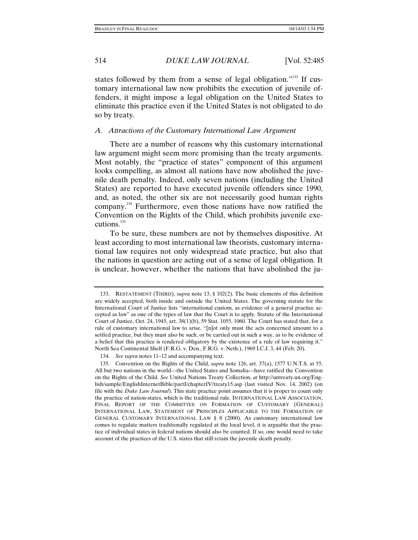states followed by them from a sense of legal obligation."<sup>133</sup> If customary international law now prohibits the execution of juvenile offenders, it might impose a legal obligation on the United States to eliminate this practice even if the United States is not obligated to do so by treaty.

# *A. Attractions of the Customary International Law Argument*

There are a number of reasons why this customary international law argument might seem more promising than the treaty arguments. Most notably, the "practice of states" component of this argument looks compelling, as almost all nations have now abolished the juvenile death penalty. Indeed, only seven nations (including the United States) are reported to have executed juvenile offenders since 1990, and, as noted, the other six are not necessarily good human rights company.134 Furthermore, even those nations have now ratified the Convention on the Rights of the Child, which prohibits juvenile executions.<sup>135</sup>

To be sure, these numbers are not by themselves dispositive. At least according to most international law theorists, customary international law requires not only widespread state practice, but also that the nations in question are acting out of a sense of legal obligation. It is unclear, however, whether the nations that have abolished the ju-

<sup>133.</sup> RESTATEMENT (THIRD), *supra* note 13, § 102(2). The basic elements of this definition are widely accepted, both inside and outside the United States. The governing statute for the International Court of Justice lists "international custom, as evidence of a general practice accepted as law" as one of the types of law that the Court is to apply. Statute of the International Court of Justice, Oct. 24, 1945, art. 38(1)(b), 59 Stat. 1055, 1060. The Court has stated that, for a rule of customary international law to arise, "[n]ot only must the acts concerned amount to a settled practice, but they must also be such, or be carried out in such a way, as to be evidence of a belief that this practice is rendered obligatory by the existence of a rule of law requiring it." North Sea Continental Shelf (F.R.G. v. Den., F.R.G. v. Neth.), 1969 I.C.J. 3, 44 (Feb. 20).

<sup>134</sup>*. See supra* notes 11–12 and accompanying text.

<sup>135.</sup> Convention on the Rights of the Child, *supra* note 126, art. 37(a), 1577 U.N.T.S. at 55. All but two nations in the world—the United States and Somalia—have ratified the Convention on the Rights of the Child. *See* United Nations Treaty Collection, *at* http://untreaty.un.org/English/sample/EnglishInternetBible/partI/chapterIV/treaty15.asp (last visited Nov. 14, 2002) (on file with the *Duke Law Journal*). This state practice point assumes that it is proper to count only the practice of nation-states, which is the traditional rule. INTERNATIONAL LAW ASSOCIATION, FINAL REPORT OF THE COMMITTEE ON FORMATION OF CUSTOMARY (GENERAL) INTERNATIONAL LAW, STATEMENT OF PRINCIPLES APPLICABLE TO THE FORMATION OF GENERAL CUSTOMARY INTERNATIONAL LAW § 8 (2000). As customary international law comes to regulate matters traditionally regulated at the local level, it is arguable that the practice of individual states in federal nations should also be counted. If so, one would need to take account of the practices of the U.S. states that still retain the juvenile death penalty.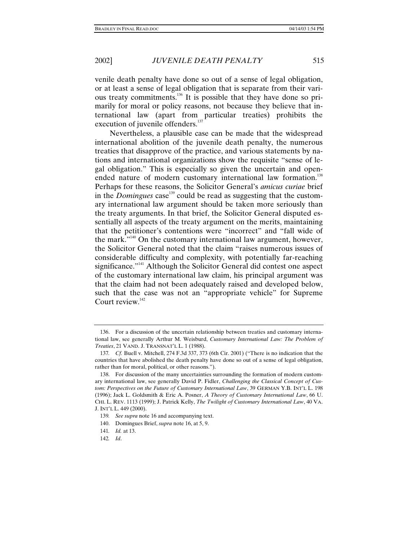venile death penalty have done so out of a sense of legal obligation, or at least a sense of legal obligation that is separate from their various treaty commitments.136 It is possible that they have done so primarily for moral or policy reasons, not because they believe that international law (apart from particular treaties) prohibits the execution of juvenile offenders.<sup>137</sup>

Nevertheless, a plausible case can be made that the widespread international abolition of the juvenile death penalty, the numerous treaties that disapprove of the practice, and various statements by nations and international organizations show the requisite "sense of legal obligation." This is especially so given the uncertain and openended nature of modern customary international law formation.<sup>138</sup> Perhaps for these reasons, the Solicitor General's *amicus curiae* brief in the *Domingues* case<sup>139</sup> could be read as suggesting that the customary international law argument should be taken more seriously than the treaty arguments. In that brief, the Solicitor General disputed essentially all aspects of the treaty argument on the merits, maintaining that the petitioner's contentions were "incorrect" and "fall wide of the mark." 140 On the customary international law argument, however, the Solicitor General noted that the claim "raises numerous issues of considerable difficulty and complexity, with potentially far-reaching significance."<sup>141</sup> Although the Solicitor General did contest one aspect of the customary international law claim, his principal argument was that the claim had not been adequately raised and developed below, such that the case was not an "appropriate vehicle" for Supreme Court review.<sup>142</sup>

<sup>136.</sup> For a discussion of the uncertain relationship between treaties and customary international law, see generally Arthur M. Weisburd, *Customary International Law: The Problem of Treaties*, 21 VAND. J. TRANSNAT'L L. 1 (1988).

<sup>137</sup>*. Cf.* Buell v. Mitchell, 274 F.3d 337, 373 (6th Cir. 2001) ("There is no indication that the countries that have abolished the death penalty have done so out of a sense of legal obligation, rather than for moral, political, or other reasons.").

<sup>138.</sup> For discussion of the many uncertainties surrounding the formation of modern customary international law, see generally David P. Fidler, *Challenging the Classical Concept of Custom: Perspectives on the Future of Customary International Law*, 39 GERMAN Y.B. INT'L L. 198 (1996); Jack L. Goldsmith & Eric A. Posner, *A Theory of Customary International Law*, 66 U. CHI. L. REV. 1113 (1999); J. Patrick Kelly, *The Twilight of Customary International Law*, 40 VA. J. INT'L L. 449 (2000).

<sup>139</sup>*. See supra* note 16 and accompanying text.

<sup>140.</sup> Domingues Brief, *supra* note 16, at 5, 9.

<sup>141</sup>*. Id.* at 13.

<sup>142</sup>*. Id*.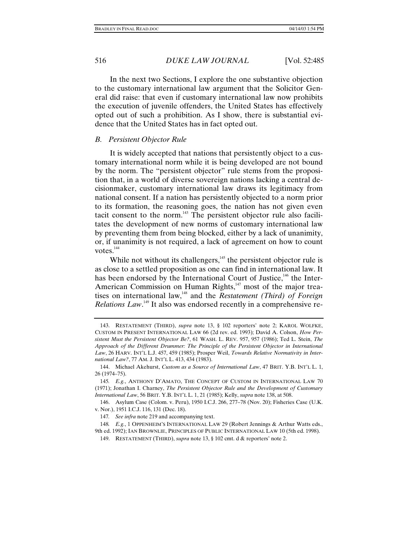In the next two Sections, I explore the one substantive objection to the customary international law argument that the Solicitor General did raise: that even if customary international law now prohibits the execution of juvenile offenders, the United States has effectively opted out of such a prohibition. As I show, there is substantial evidence that the United States has in fact opted out.

## *B. Persistent Objector Rule*

It is widely accepted that nations that persistently object to a customary international norm while it is being developed are not bound by the norm. The "persistent objector" rule stems from the proposition that, in a world of diverse sovereign nations lacking a central decisionmaker, customary international law draws its legitimacy from national consent. If a nation has persistently objected to a norm prior to its formation, the reasoning goes, the nation has not given even tacit consent to the norm.<sup>143</sup> The persistent objector rule also facilitates the development of new norms of customary international law by preventing them from being blocked, either by a lack of unanimity, or, if unanimity is not required, a lack of agreement on how to count votes. $144$ 

While not without its challengers, $145$  the persistent objector rule is as close to a settled proposition as one can find in international law. It has been endorsed by the International Court of Justice, $146$  the Inter-American Commission on Human Rights,<sup>147</sup> most of the major treatises on international law,148 and the *Restatement (Third) of Foreign Relations Law*.<sup>149</sup> It also was endorsed recently in a comprehensive re-

<sup>143.</sup> RESTATEMENT (THIRD), *supra* note 13, § 102 reporters' note 2; KAROL WOLFKE, CUSTOM IN PRESENT INTERNATIONAL LAW 66 (2d rev. ed. 1993); David A. Colson, *How Persistent Must the Persistent Objector Be?*, 61 WASH. L. REV. 957, 957 (1986); Ted L. Stein, *The Approach of the Different Drummer: The Principle of the Persistent Objector in International Law*, 26 HARV. INT'L L.J. 457, 459 (1985); Prosper Weil, *Towards Relative Normativity in International Law?*, 77 AM. J. INT'L L. 413, 434 (1983).

<sup>144.</sup> Michael Akehurst, *Custom as a Source of International Law*, 47 BRIT. Y.B. INT'L L. 1, 26 (1974–75).

<sup>145</sup>*. E.g.*, ANTHONY D'AMATO, THE CONCEPT OF CUSTOM IN INTERNATIONAL LAW 70 (1971); Jonathan I. Charney, *The Persistent Objector Rule and the Development of Customary International Law*, 56 BRIT. Y.B. INT'L L. 1, 21 (1985); Kelly, *supra* note 138, at 508.

<sup>146.</sup> Asylum Case (Colom. v. Peru), 1950 I.C.J. 266, 277–78 (Nov. 20); Fisheries Case (U.K. v. Nor.), 1951 I.C.J. 116, 131 (Dec. 18).

<sup>147</sup>*. See infra* note 219 and accompanying text.

<sup>148</sup>*. E.g.*, 1 OPPENHEIM'S INTERNATIONAL LAW 29 (Robert Jennings & Arthur Watts eds., 9th ed. 1992); IAN BROWNLIE, PRINCIPLES OF PUBLIC INTERNATIONAL LAW 10 (5th ed. 1998).

<sup>149.</sup> RESTATEMENT (THIRD), *supra* note 13, § 102 cmt. d & reporters' note 2.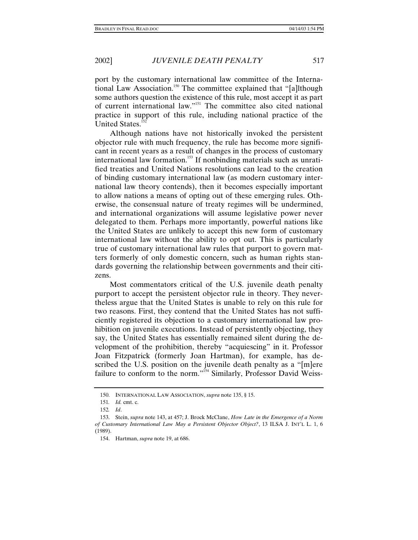port by the customary international law committee of the International Law Association.<sup>150</sup> The committee explained that "[a]lthough some authors question the existence of this rule, most accept it as part of current international law."<sup>151</sup> The committee also cited national practice in support of this rule, including national practice of the United States.<sup>15</sup>

Although nations have not historically invoked the persistent objector rule with much frequency, the rule has become more significant in recent years as a result of changes in the process of customary international law formation.<sup>153</sup> If nonbinding materials such as unratified treaties and United Nations resolutions can lead to the creation of binding customary international law (as modern customary international law theory contends), then it becomes especially important to allow nations a means of opting out of these emerging rules. Otherwise, the consensual nature of treaty regimes will be undermined, and international organizations will assume legislative power never delegated to them. Perhaps more importantly, powerful nations like the United States are unlikely to accept this new form of customary international law without the ability to opt out. This is particularly true of customary international law rules that purport to govern matters formerly of only domestic concern, such as human rights standards governing the relationship between governments and their citizens.

Most commentators critical of the U.S. juvenile death penalty purport to accept the persistent objector rule in theory. They nevertheless argue that the United States is unable to rely on this rule for two reasons. First, they contend that the United States has not sufficiently registered its objection to a customary international law prohibition on juvenile executions. Instead of persistently objecting, they say, the United States has essentially remained silent during the development of the prohibition, thereby "acquiescing" in it. Professor Joan Fitzpatrick (formerly Joan Hartman), for example, has described the U.S. position on the juvenile death penalty as a "[m]ere failure to conform to the norm." 154 Similarly, Professor David Weiss-

<sup>150.</sup> INTERNATIONAL LAW ASSOCIATION, *supra* note 135, § 15.

<sup>151</sup>*. Id.* cmt. c.

<sup>152</sup>*. Id*.

<sup>153.</sup> Stein, *supra* note 143, at 457; J. Brock McClane, *How Late in the Emergence of a Norm of Customary International Law May a Persistent Objector Object?*, 13 ILSA J. INT'L L. 1, 6 (1989).

<sup>154.</sup> Hartman, *supra* note 19, at 686.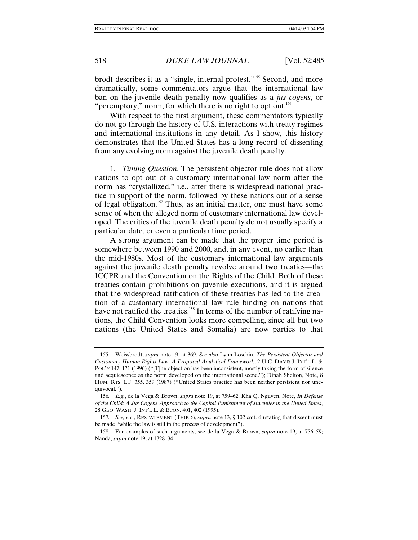brodt describes it as a "single, internal protest." 155 Second, and more dramatically, some commentators argue that the international law ban on the juvenile death penalty now qualifies as a *jus cogens*, or "peremptory," norm, for which there is no right to opt out. $^{156}$ 

With respect to the first argument, these commentators typically do not go through the history of U.S. interactions with treaty regimes and international institutions in any detail. As I show, this history demonstrates that the United States has a long record of dissenting from any evolving norm against the juvenile death penalty.

1. *Timing Question*. The persistent objector rule does not allow nations to opt out of a customary international law norm after the norm has "crystallized," i.e*.*, after there is widespread national practice in support of the norm, followed by these nations out of a sense of legal obligation.<sup>157</sup> Thus, as an initial matter, one must have some sense of when the alleged norm of customary international law developed. The critics of the juvenile death penalty do not usually specify a particular date, or even a particular time period.

A strong argument can be made that the proper time period is somewhere between 1990 and 2000, and, in any event, no earlier than the mid-1980s. Most of the customary international law arguments against the juvenile death penalty revolve around two treaties—the ICCPR and the Convention on the Rights of the Child. Both of these treaties contain prohibitions on juvenile executions, and it is argued that the widespread ratification of these treaties has led to the creation of a customary international law rule binding on nations that have not ratified the treaties.<sup>158</sup> In terms of the number of ratifying nations, the Child Convention looks more compelling, since all but two nations (the United States and Somalia) are now parties to that

<sup>155.</sup> Weissbrodt, *supra* note 19, at 369. *See also* Lynn Loschin, *The Persistent Objector and Customary Human Rights Law: A Proposed Analytical Framework*, 2 U.C. DAVIS J. INT'L L. & POL'Y 147, 171 (1996) ("[T]he objection has been inconsistent, mostly taking the form of silence and acquiescence as the norm developed on the international scene."); Dinah Shelton, Note, 8 HUM. RTS. L.J. 355, 359 (1987) ("United States practice has been neither persistent nor unequivocal.").

<sup>156</sup>*. E.g.*, de la Vega & Brown, *supra* note 19, at 759–62; Kha Q. Nguyen, Note, *In Defense of the Child: A Jus Cogens Approach to the Capital Punishment of Juveniles in the United States*, 28 GEO. WASH. J. INT'L L. & ECON. 401, 402 (1995).

<sup>157</sup>*. See, e.g.*, RESTATEMENT (THIRD), *supra* note 13, § 102 cmt. d (stating that dissent must be made "while the law is still in the process of development").

<sup>158</sup>*.* For examples of such arguments, see de la Vega & Brown, *supra* note 19, at 756–59; Nanda, *supra* note 19, at 1328–34.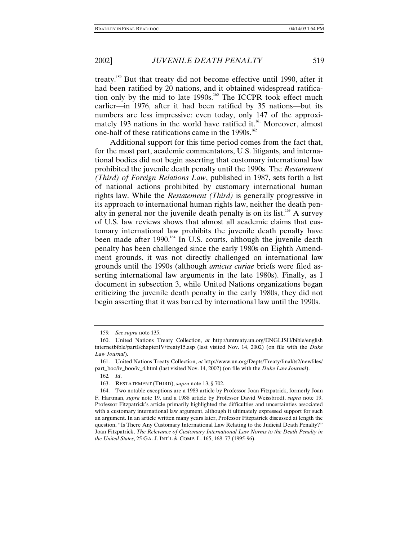treaty.159 But that treaty did not become effective until 1990, after it had been ratified by 20 nations, and it obtained widespread ratification only by the mid to late  $1990s$ .<sup>160</sup> The ICCPR took effect much earlier—in 1976, after it had been ratified by 35 nations—but its numbers are less impressive: even today, only 147 of the approximately 193 nations in the world have ratified it.<sup>161</sup> Moreover, almost one-half of these ratifications came in the 1990s.<sup>162</sup>

Additional support for this time period comes from the fact that, for the most part, academic commentators, U.S. litigants, and international bodies did not begin asserting that customary international law prohibited the juvenile death penalty until the 1990s. The *Restatement (Third) of Foreign Relations Law*, published in 1987, sets forth a list of national actions prohibited by customary international human rights law. While the *Restatement (Third)* is generally progressive in its approach to international human rights law, neither the death penalty in general nor the juvenile death penalty is on its list.<sup>163</sup> A survey of U.S. law reviews shows that almost all academic claims that customary international law prohibits the juvenile death penalty have been made after 1990.<sup>164</sup> In U.S. courts, although the juvenile death penalty has been challenged since the early 1980s on Eighth Amendment grounds, it was not directly challenged on international law grounds until the 1990s (although *amicus curiae* briefs were filed asserting international law arguments in the late 1980s). Finally, as I document in subsection 3, while United Nations organizations began criticizing the juvenile death penalty in the early 1980s, they did not begin asserting that it was barred by international law until the 1990s.

<sup>159</sup>*. See supra* note 135.

<sup>160.</sup> United Nations Treaty Collection, *at* http://untreaty.un.org/ENGLISH/bible/english internetbible/partI/chapterIV/treaty15.asp (last visited Nov. 14, 2002) (on file with the *Duke Law Journal*).

<sup>161.</sup> United Nations Treaty Collection, *at* http://www.un.org/Depts/Treaty/final/ts2/newfiles/ part\_boo/iv\_boo/iv\_4.html (last visited Nov. 14, 2002) (on file with the *Duke Law Journal*).

<sup>162</sup>*. Id*.

<sup>163.</sup> RESTATEMENT (THIRD), *supra* note 13, § 702.

<sup>164.</sup> Two notable exceptions are a 1983 article by Professor Joan Fitzpatrick, formerly Joan F. Hartman, *supra* note 19, and a 1988 article by Professor David Weissbrodt, *supra* note 19. Professor Fitzpatrick's article primarily highlighted the difficulties and uncertainties associated with a customary international law argument, although it ultimately expressed support for such an argument. In an article written many years later, Professor Fitzpatrick discussed at length the question, "Is There Any Customary International Law Relating to the Judicial Death Penalty?" Joan Fitzpatrick, *The Relevance of Customary International Law Norms to the Death Penalty in the United States*, 25 GA. J. INT'L & COMP. L. 165, 168–77 (1995-96).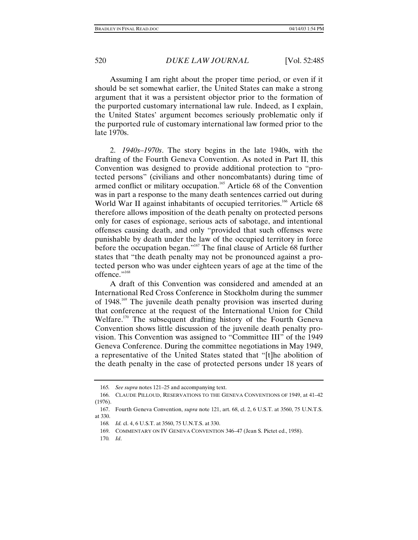Assuming I am right about the proper time period, or even if it should be set somewhat earlier, the United States can make a strong argument that it was a persistent objector prior to the formation of the purported customary international law rule. Indeed, as I explain, the United States' argument becomes seriously problematic only if the purported rule of customary international law formed prior to the late 1970s.

2. *1940s–1970s*. The story begins in the late 1940s, with the drafting of the Fourth Geneva Convention. As noted in Part II, this Convention was designed to provide additional protection to "protected persons" (civilians and other noncombatants) during time of armed conflict or military occupation.<sup>165</sup> Article 68 of the Convention was in part a response to the many death sentences carried out during World War II against inhabitants of occupied territories.<sup>166</sup> Article 68 therefore allows imposition of the death penalty on protected persons only for cases of espionage, serious acts of sabotage, and intentional offenses causing death, and only "provided that such offenses were punishable by death under the law of the occupied territory in force before the occupation began." 167 The final clause of Article 68 further states that "the death penalty may not be pronounced against a protected person who was under eighteen years of age at the time of the offence."<sup>168</sup>

A draft of this Convention was considered and amended at an International Red Cross Conference in Stockholm during the summer of 1948.169 The juvenile death penalty provision was inserted during that conference at the request of the International Union for Child Welfare.<sup>170</sup> The subsequent drafting history of the Fourth Geneva Convention shows little discussion of the juvenile death penalty provision. This Convention was assigned to "Committee III" of the 1949 Geneva Conference. During the committee negotiations in May 1949, a representative of the United States stated that "[t]he abolition of the death penalty in the case of protected persons under 18 years of

<sup>165</sup>*. See supra* notes 121–25 and accompanying text.

<sup>166.</sup> CLAUDE PILLOUD, RESERVATIONS TO THE GENEVA CONVENTIONS OF 1949, at 41–42 (1976).

<sup>167.</sup> Fourth Geneva Convention, *supra* note 121, art. 68, cl. 2, 6 U.S.T. at 3560, 75 U.N.T.S. at 330.

<sup>168</sup>*. Id.* cl. 4, 6 U.S.T. at 3560, 75 U.N.T.S. at 330.

<sup>169.</sup> COMMENTARY ON IV GENEVA CONVENTION 346–47 (Jean S. Pictet ed., 1958).

<sup>170</sup>*. Id*.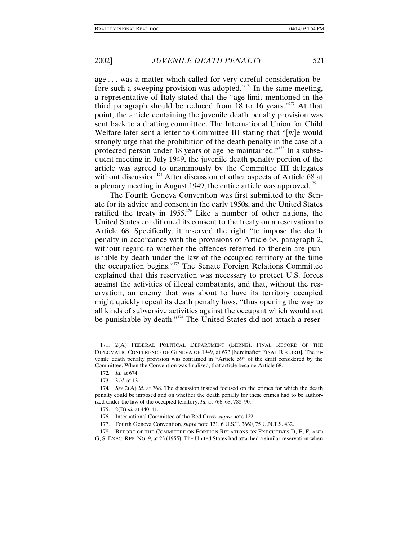age . . . was a matter which called for very careful consideration before such a sweeping provision was adopted."<sup> $171$ </sup> In the same meeting, a representative of Italy stated that the "age-limit mentioned in the third paragraph should be reduced from 18 to 16 years."<sup>172</sup> At that point, the article containing the juvenile death penalty provision was sent back to a drafting committee. The International Union for Child Welfare later sent a letter to Committee III stating that "[w]e would strongly urge that the prohibition of the death penalty in the case of a protected person under 18 years of age be maintained."<sup>173</sup> In a subsequent meeting in July 1949, the juvenile death penalty portion of the article was agreed to unanimously by the Committee III delegates without discussion.<sup>174</sup> After discussion of other aspects of Article 68 at a plenary meeting in August 1949, the entire article was approved.<sup>175</sup>

The Fourth Geneva Convention was first submitted to the Senate for its advice and consent in the early 1950s, and the United States ratified the treaty in 1955.<sup>176</sup> Like a number of other nations, the United States conditioned its consent to the treaty on a reservation to Article 68. Specifically, it reserved the right "to impose the death penalty in accordance with the provisions of Article 68, paragraph 2, without regard to whether the offences referred to therein are punishable by death under the law of the occupied territory at the time the occupation begins." 177 The Senate Foreign Relations Committee explained that this reservation was necessary to protect U.S. forces against the activities of illegal combatants, and that, without the reservation, an enemy that was about to have its territory occupied might quickly repeal its death penalty laws, "thus opening the way to all kinds of subversive activities against the occupant which would not be punishable by death."<sup>178</sup> The United States did not attach a reser-

<sup>171. 2(</sup>A) FEDERAL POLITICAL DEPARTMENT (BERNE), FINAL RECORD OF THE DIPLOMATIC CONFERENCE OF GENEVA OF 1949, at 673 [hereinafter FINAL RECORD]. The juvenile death penalty provision was contained in "Article 59" of the draft considered by the Committee. When the Convention was finalized, that article became Article 68.

<sup>172</sup>*. Id.* at 674.

<sup>173. 3</sup> *id.* at 131.

<sup>174</sup>*. See* 2(A) *id.* at 768. The discussion instead focused on the crimes for which the death penalty could be imposed and on whether the death penalty for these crimes had to be authorized under the law of the occupied territory. *Id.* at 766–68, 788–90.

<sup>175. 2(</sup>B) *id.* at 440–41.

<sup>176.</sup> International Committee of the Red Cross, *supra* note 122.

<sup>177.</sup> Fourth Geneva Convention, *supra* note 121, 6 U.S.T. 3660, 75 U.N.T.S. 432.

<sup>178.</sup> REPORT OF THE COMMITTEE ON FOREIGN RELATIONS ON EXECUTIVES D, E, F, AND

G, S. EXEC. REP. NO. 9, at 23 (1955). The United States had attached a similar reservation when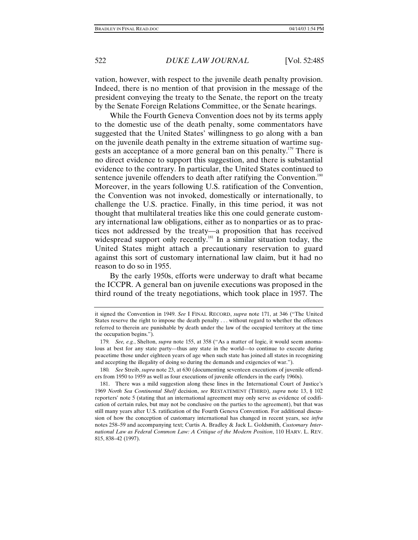vation, however, with respect to the juvenile death penalty provision. Indeed, there is no mention of that provision in the message of the president conveying the treaty to the Senate, the report on the treaty by the Senate Foreign Relations Committee, or the Senate hearings.

While the Fourth Geneva Convention does not by its terms apply to the domestic use of the death penalty, some commentators have suggested that the United States' willingness to go along with a ban on the juvenile death penalty in the extreme situation of wartime suggests an acceptance of a more general ban on this penalty.<sup>179</sup> There is no direct evidence to support this suggestion, and there is substantial evidence to the contrary. In particular, the United States continued to sentence juvenile offenders to death after ratifying the Convention.<sup>180</sup> Moreover, in the years following U.S. ratification of the Convention, the Convention was not invoked, domestically or internationally, to challenge the U.S. practice. Finally, in this time period, it was not thought that multilateral treaties like this one could generate customary international law obligations, either as to nonparties or as to practices not addressed by the treaty—a proposition that has received widespread support only recently.<sup>181</sup> In a similar situation today, the United States might attach a precautionary reservation to guard against this sort of customary international law claim, but it had no reason to do so in 1955.

By the early 1950s, efforts were underway to draft what became the ICCPR. A general ban on juvenile executions was proposed in the third round of the treaty negotiations, which took place in 1957. The

180*. See* Streib, *supra* note 23, at 630 (documenting seventeen executions of juvenile offenders from 1950 to 1959 as well as four executions of juvenile offenders in the early 1960s).

it signed the Convention in 1949. *See* I FINAL RECORD, *supra* note 171, at 346 ("The United States reserve the right to impose the death penalty . . . without regard to whether the offences referred to therein are punishable by death under the law of the occupied territory at the time the occupation begins.").

<sup>179</sup>*. See, e.g.*, Shelton, *supra* note 155, at 358 ("As a matter of logic, it would seem anomalous at best for any state party—thus any state in the world—to continue to execute during peacetime those under eighteen years of age when such state has joined all states in recognizing and accepting the illegality of doing so during the demands and exigencies of war.").

<sup>181.</sup> There was a mild suggestion along these lines in the International Court of Justice's 1969 *North Sea Continental Shelf* decision, *see* RESTATEMENT (THIRD), *supra* note 13, § 102 reporters' note 5 (stating that an international agreement may only serve as evidence of codification of certain rules, but may not be conclusive on the parties to the agreement), but that was still many years after U.S. ratification of the Fourth Geneva Convention. For additional discussion of how the conception of customary international has changed in recent years, see *infra* notes 258–59 and accompanying text; Curtis A. Bradley & Jack L. Goldsmith, *Customary International Law as Federal Common Law: A Critique of the Modern Position*, 110 HARV. L. REV. 815, 838–42 (1997).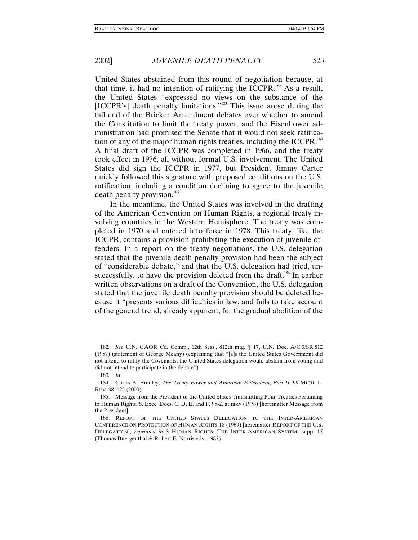United States abstained from this round of negotiation because, at that time, it had no intention of ratifying the ICCPR.<sup>182</sup> As a result, the United States "expressed no views on the substance of the [ICCPR's] death penalty limitations."<sup>183</sup> This issue arose during the tail end of the Bricker Amendment debates over whether to amend the Constitution to limit the treaty power, and the Eisenhower administration had promised the Senate that it would not seek ratification of any of the major human rights treaties, including the ICCPR.<sup>184</sup> A final draft of the ICCPR was completed in 1966, and the treaty took effect in 1976, all without formal U.S. involvement. The United States did sign the ICCPR in 1977, but President Jimmy Carter quickly followed this signature with proposed conditions on the U.S. ratification, including a condition declining to agree to the juvenile death penalty provision.<sup>185</sup>

In the meantime, the United States was involved in the drafting of the American Convention on Human Rights, a regional treaty involving countries in the Western Hemisphere. The treaty was completed in 1970 and entered into force in 1978. This treaty, like the ICCPR, contains a provision prohibiting the execution of juvenile offenders. In a report on the treaty negotiations, the U.S. delegation stated that the juvenile death penalty provision had been the subject of "considerable debate," and that the U.S. delegation had tried, unsuccessfully, to have the provision deleted from the draft.<sup>186</sup> In earlier written observations on a draft of the Convention, the U.S. delegation stated that the juvenile death penalty provision should be deleted because it "presents various difficulties in law, and fails to take account of the general trend, already apparent, for the gradual abolition of the

<sup>182</sup>*. See* U.N. GAOR Cd. Comm., 12th Sess., 812th mtg. ¶ 17, U.N. Doc. A/C.3/SR.812 (1957) (statement of George Meany) (explaining that "[a]s the United States Government did not intend to ratify the Covenants, the United States delegation would abstain from voting and did not intend to participate in the debate").

<sup>183</sup>*. Id*.

<sup>184.</sup> Curtis A. Bradley, *The Treaty Power and American Federalism*, *Part II*, 99 MICH. L. REV. 98, 122 (2000).

<sup>185.</sup> Message from the President of the United States Transmitting Four Treaties Pertaining to Human Rights, S. Exec. Docs. C, D, E, and F, 95-2, at iii-iv (1978) [hereinafter Message from the President].

<sup>186.</sup> REPORT OF THE UNITED STATES DELEGATION TO THE INTER-AMERICAN CONFERENCE ON PROTECTION OF HUMAN RIGHTS 18 (1969) [hereinafter REPORT OF THE U.S. DELEGATION], *reprinted in* 3 HUMAN RIGHTS: THE INTER-AMERICAN SYSTEM, supp. 15 (Thomas Buergenthal & Robert E. Norris eds., 1982).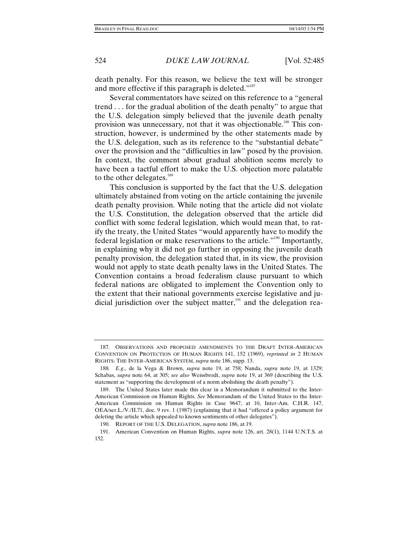death penalty. For this reason, we believe the text will be stronger and more effective if this paragraph is deleted."<sup>187</sup>

Several commentators have seized on this reference to a "general trend . . . for the gradual abolition of the death penalty" to argue that the U.S. delegation simply believed that the juvenile death penalty provision was unnecessary, not that it was objectionable.<sup>188</sup> This construction, however, is undermined by the other statements made by the U.S. delegation, such as its reference to the "substantial debate" over the provision and the "difficulties in law" posed by the provision. In context, the comment about gradual abolition seems merely to have been a tactful effort to make the U.S. objection more palatable to the other delegates. $189$ 

This conclusion is supported by the fact that the U.S. delegation ultimately abstained from voting on the article containing the juvenile death penalty provision. While noting that the article did not violate the U.S. Constitution, the delegation observed that the article did conflict with some federal legislation, which would mean that, to ratify the treaty, the United States "would apparently have to modify the federal legislation or make reservations to the article."<sup>190</sup> Importantly, in explaining why it did not go further in opposing the juvenile death penalty provision, the delegation stated that, in its view, the provision would not apply to state death penalty laws in the United States. The Convention contains a broad federalism clause pursuant to which federal nations are obligated to implement the Convention only to the extent that their national governments exercise legislative and judicial jurisdiction over the subject matter, $191$  and the delegation rea-

<sup>187.</sup> OBSERVATIONS AND PROPOSED AMENDMENTS TO THE DRAFT INTER-AMERICAN CONVENTION ON PROTECTION OF HUMAN RIGHTS 141, 152 (1969), *reprinted in* 2 HUMAN RIGHTS: THE INTER-AMERICAN SYSTEM, *supra* note 186, supp. 13.

<sup>188</sup>*. E.g*., de la Vega & Brown, *supra* note 19, at 758; Nanda, *supra* note 19, at 1329; Schabas, *supra* note 64, at 305; *see also* Weissbrodt, *supra* note 19, at 369 (describing the U.S. statement as "supporting the development of a norm abolishing the death penalty").

<sup>189.</sup> The United States later made this clear in a Memorandum it submitted to the Inter-American Commission on Human Rights. *See* Memorandum of the United States to the Inter-American Commission on Human Rights in Case 9647, at 10, Inter-Am. C.H.R. 147, OEA/ser.L./V./II.71, doc. 9 rev. 1 (1987) (explaining that it had "offered a policy argument for deleting the article which appealed to known sentiments of other delegates").

<sup>190.</sup> REPORT OF THE U.S. DELEGATION, *supra* note 186, at 19.

<sup>191.</sup> American Convention on Human Rights, *supra* note 126, art. 28(1), 1144 U.N.T.S. at 152.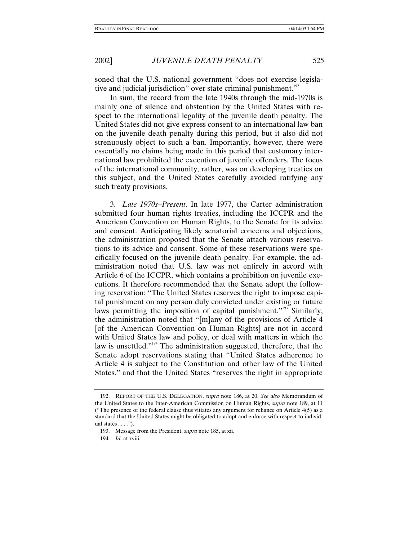soned that the U.S. national government "does not exercise legislative and judicial jurisdiction" over state criminal punishment.<sup>192</sup>

In sum, the record from the late 1940s through the mid-1970s is mainly one of silence and abstention by the United States with respect to the international legality of the juvenile death penalty. The United States did not give express consent to an international law ban on the juvenile death penalty during this period, but it also did not strenuously object to such a ban. Importantly, however, there were essentially no claims being made in this period that customary international law prohibited the execution of juvenile offenders. The focus of the international community, rather, was on developing treaties on this subject, and the United States carefully avoided ratifying any such treaty provisions.

3. *Late 1970s–Present*. In late 1977, the Carter administration submitted four human rights treaties, including the ICCPR and the American Convention on Human Rights, to the Senate for its advice and consent. Anticipating likely senatorial concerns and objections, the administration proposed that the Senate attach various reservations to its advice and consent. Some of these reservations were specifically focused on the juvenile death penalty. For example, the administration noted that U.S. law was not entirely in accord with Article 6 of the ICCPR, which contains a prohibition on juvenile executions. It therefore recommended that the Senate adopt the following reservation: "The United States reserves the right to impose capital punishment on any person duly convicted under existing or future laws permitting the imposition of capital punishment."<sup>193</sup> Similarly, the administration noted that "[m]any of the provisions of Article 4 [of the American Convention on Human Rights] are not in accord with United States law and policy, or deal with matters in which the law is unsettled."<sup>194</sup> The administration suggested, therefore, that the Senate adopt reservations stating that "United States adherence to Article 4 is subject to the Constitution and other law of the United States," and that the United States "reserves the right in appropriate

<sup>192.</sup> REPORT OF THE U.S. DELEGATION, *supra* note 186, at 20. *See also* Memorandum of the United States to the Inter-American Commission on Human Rights, *supra* note 189, at 11 ("The presence of the federal clause thus vitiates any argument for reliance on Article 4(5) as a standard that the United States might be obligated to adopt and enforce with respect to individual states  $\dots$ .").

<sup>193.</sup> Message from the President, *supra* note 185, at xii.

<sup>194</sup>*. Id.* at xviii.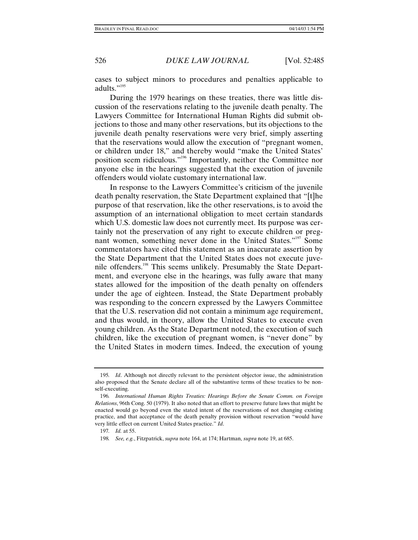cases to subject minors to procedures and penalties applicable to adults."<sup>195</sup>

During the 1979 hearings on these treaties, there was little discussion of the reservations relating to the juvenile death penalty. The Lawyers Committee for International Human Rights did submit objections to those and many other reservations, but its objections to the juvenile death penalty reservations were very brief, simply asserting that the reservations would allow the execution of "pregnant women, or children under 18," and thereby would "make the United States' position seem ridiculous." 196 Importantly, neither the Committee nor anyone else in the hearings suggested that the execution of juvenile offenders would violate customary international law.

In response to the Lawyers Committee's criticism of the juvenile death penalty reservation, the State Department explained that "[t]he purpose of that reservation, like the other reservations, is to avoid the assumption of an international obligation to meet certain standards which U.S. domestic law does not currently meet. Its purpose was certainly not the preservation of any right to execute children or pregnant women, something never done in the United States."<sup>197</sup> Some commentators have cited this statement as an inaccurate assertion by the State Department that the United States does not execute juvenile offenders.198 This seems unlikely. Presumably the State Department, and everyone else in the hearings, was fully aware that many states allowed for the imposition of the death penalty on offenders under the age of eighteen. Instead, the State Department probably was responding to the concern expressed by the Lawyers Committee that the U.S. reservation did not contain a minimum age requirement, and thus would, in theory, allow the United States to execute even young children. As the State Department noted, the execution of such children, like the execution of pregnant women, is "never done" by the United States in modern times. Indeed, the execution of young

<sup>195</sup>*. Id*. Although not directly relevant to the persistent objector issue, the administration also proposed that the Senate declare all of the substantive terms of these treaties to be nonself-executing.

<sup>196</sup>*. International Human Rights Treaties: Hearings Before the Senate Comm. on Foreign Relations*, 96th Cong. 50 (1979). It also noted that an effort to preserve future laws that might be enacted would go beyond even the stated intent of the reservations of not changing existing practice, and that acceptance of the death penalty provision without reservation "would have very little effect on current United States practice." *Id*.

<sup>197</sup>*. Id.* at 55.

<sup>198</sup>*. See, e.g.*, Fitzpatrick, *supra* note 164, at 174; Hartman, *supra* note 19, at 685.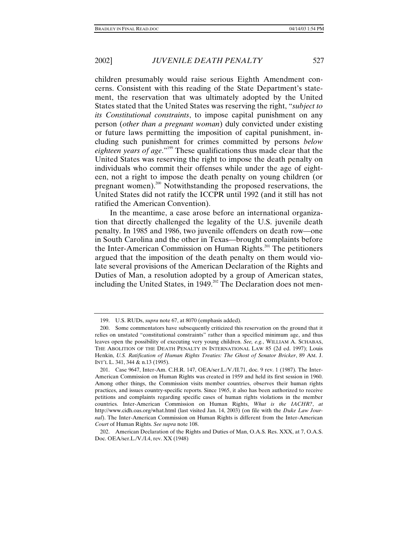children presumably would raise serious Eighth Amendment concerns. Consistent with this reading of the State Department's statement, the reservation that was ultimately adopted by the United States stated that the United States was reserving the right, "*subject to its Constitutional constraints*, to impose capital punishment on any person (*other than a pregnant woman*) duly convicted under existing or future laws permitting the imposition of capital punishment, including such punishment for crimes committed by persons *below eighteen years of age*." 199 These qualifications thus made clear that the United States was reserving the right to impose the death penalty on individuals who commit their offenses while under the age of eighteen, not a right to impose the death penalty on young children (or pregnant women).200 Notwithstanding the proposed reservations, the United States did not ratify the ICCPR until 1992 (and it still has not ratified the American Convention).

In the meantime, a case arose before an international organization that directly challenged the legality of the U.S. juvenile death penalty. In 1985 and 1986, two juvenile offenders on death row—one in South Carolina and the other in Texas—brought complaints before the Inter-American Commission on Human Rights.<sup>201</sup> The petitioners argued that the imposition of the death penalty on them would violate several provisions of the American Declaration of the Rights and Duties of Man, a resolution adopted by a group of American states, including the United States, in  $1949$ <sup>202</sup> The Declaration does not men-

<sup>199.</sup> U.S. RUDs, *supra* note 67, at 8070 (emphasis added).

<sup>200.</sup> Some commentators have subsequently criticized this reservation on the ground that it relies on unstated "constitutional constraints" rather than a specified minimum age, and thus leaves open the possibility of executing very young children. *See, e.g.*, WILLIAM A. SCHABAS, THE ABOLITION OF THE DEATH PENALTY IN INTERNATIONAL LAW 85 (2d ed. 1997); Louis Henkin, *U.S. Ratification of Human Rights Treaties: The Ghost of Senator Bricker*, 89 AM. J. INT'L L. 341, 344 & n.13 (1995).

<sup>201.</sup> Case 9647, Inter-Am. C.H.R. 147, OEA/ser.L./V./II.71, doc. 9 rev. 1 (1987). The Inter-American Commission on Human Rights was created in 1959 and held its first session in 1960. Among other things, the Commission visits member countries, observes their human rights practices, and issues country-specific reports. Since 1965, it also has been authorized to receive petitions and complaints regarding specific cases of human rights violations in the member countries. Inter-American Commission on Human Rights, *What is the IACHR?*, *at* http://www.cidh.oas.org/what.html (last visited Jan. 14, 2003) (on file with the *Duke Law Journal*). The Inter-American Commission on Human Rights is different from the Inter-American *Court* of Human Rights. *See supra* note 108.

<sup>202.</sup> American Declaration of the Rights and Duties of Man, O.A.S. Res. XXX, at 7, O.A.S. Doc. OEA/ser.L./V./I.4, rev. XX (1948)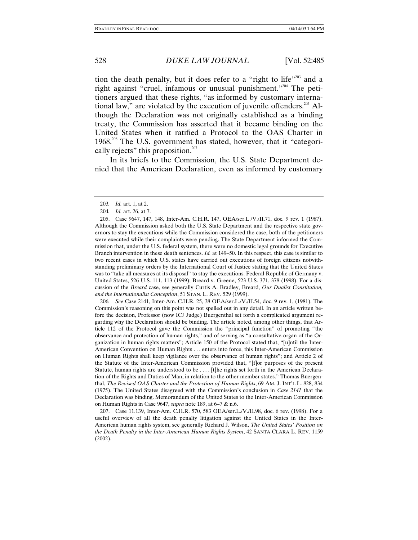tion the death penalty, but it does refer to a "right to life"<sup>203</sup> and a right against "cruel, infamous or unusual punishment." 204 The petitioners argued that these rights, "as informed by customary international law," are violated by the execution of juvenile offenders.<sup>205</sup> Although the Declaration was not originally established as a binding treaty, the Commission has asserted that it became binding on the United States when it ratified a Protocol to the OAS Charter in 1968.<sup>206</sup> The U.S. government has stated, however, that it "categorically rejects" this proposition. $207$ 

In its briefs to the Commission, the U.S. State Department denied that the American Declaration, even as informed by customary

206*. See* Case 2141, Inter-Am. C.H.R. 25, 38 OEA/ser.L./V./II.54, doc. 9 rev. 1, (1981). The Commission's reasoning on this point was not spelled out in any detail. In an article written before the decision, Professor (now ICJ Judge) Buergenthal set forth a complicated argument regarding why the Declaration should be binding. The article noted, among other things, that Article 112 of the Protocol gave the Commission the "principal function" of promoting "the observance and protection of human rights," and of serving as "a consultative organ of the Organization in human rights matters"; Article 150 of the Protocol stated that, "[u]ntil the Inter-American Convention on Human Rights . . . enters into force, this Inter-American Commission on Human Rights shall keep vigilance over the observance of human rights"; and Article 2 of the Statute of the Inter-American Commission provided that, "[f]or purposes of the present Statute, human rights are understood to be .... [t]he rights set forth in the American Declaration of the Rights and Duties of Man, in relation to the other member states." Thomas Buergenthal, *The Revised OAS Charter and the Protection of Human Rights*, 69 AM. J. INT'L L. 828, 834 (1975). The United States disagreed with the Commission's conclusion in *Case 2141* that the Declaration was binding. Memorandum of the United States to the Inter-American Commission on Human Rights in Case 9647, *supra* note 189, at 6–7 & n.6.

207. Case 11.139, Inter-Am. C.H.R. 570, 583 OEA/ser.L./V./II.98, doc. 6 rev. (1998). For a useful overview of all the death penalty litigation against the United States in the Inter-American human rights system, see generally Richard J. Wilson, *The United States' Position on the Death Penalty in the Inter-American Human Rights System*, 42 SANTA CLARA L. REV. 1159 (2002).

<sup>203</sup>*. Id.* art. 1, at 2.

<sup>204</sup>*. Id.* art. 26, at 7.

<sup>205.</sup> Case 9647, 147, 148, Inter-Am. C.H.R. 147, OEA/ser.L./V./II.71, doc. 9 rev. 1 (1987). Although the Commission asked both the U.S. State Department and the respective state governors to stay the executions while the Commission considered the case, both of the petitioners were executed while their complaints were pending. The State Department informed the Commission that, under the U.S. federal system, there were no domestic legal grounds for Executive Branch intervention in these death sentences. *Id.* at 149–50. In this respect, this case is similar to two recent cases in which U.S. states have carried out executions of foreign citizens notwithstanding preliminary orders by the International Court of Justice stating that the United States was to "take all measures at its disposal" to stay the executions. Federal Republic of Germany v. United States, 526 U.S. 111, 113 (1999); Breard v. Greene, 523 U.S. 371, 378 (1998). For a discussion of the *Breard* case, see generally Curtis A. Bradley, Breard, *Our Dualist Constitution, and the Internationalist Conception*, 51 STAN. L. REV. 529 (1999).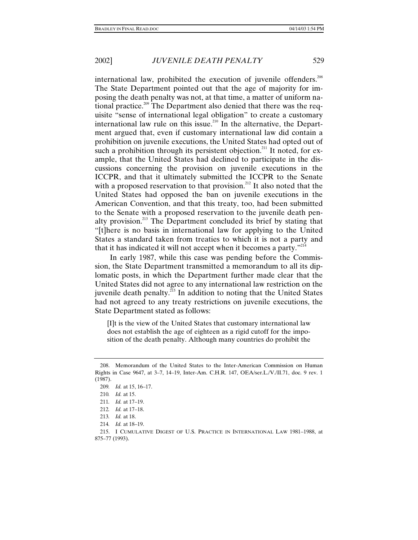international law, prohibited the execution of juvenile offenders.<sup>208</sup> The State Department pointed out that the age of majority for imposing the death penalty was not, at that time, a matter of uniform national practice.<sup>209</sup> The Department also denied that there was the requisite "sense of international legal obligation" to create a customary international law rule on this issue.<sup>210</sup> In the alternative, the Department argued that, even if customary international law did contain a prohibition on juvenile executions, the United States had opted out of such a prohibition through its persistent objection.<sup>211</sup> It noted, for example, that the United States had declined to participate in the discussions concerning the provision on juvenile executions in the ICCPR, and that it ultimately submitted the ICCPR to the Senate with a proposed reservation to that provision.<sup>212</sup> It also noted that the United States had opposed the ban on juvenile executions in the American Convention, and that this treaty, too, had been submitted to the Senate with a proposed reservation to the juvenile death penalty provision.<sup>213</sup> The Department concluded its brief by stating that "[t]here is no basis in international law for applying to the United States a standard taken from treaties to which it is not a party and that it has indicated it will not accept when it becomes a party."<sup>214</sup>

In early 1987, while this case was pending before the Commission, the State Department transmitted a memorandum to all its diplomatic posts, in which the Department further made clear that the United States did not agree to any international law restriction on the juvenile death penalty. $^{215}$  In addition to noting that the United States had not agreed to any treaty restrictions on juvenile executions, the State Department stated as follows:

[I]t is the view of the United States that customary international law does not establish the age of eighteen as a rigid cutoff for the imposition of the death penalty. Although many countries do prohibit the

<sup>208.</sup> Memorandum of the United States to the Inter-American Commission on Human Rights in Case 9647, at 3–7, 14–19, Inter-Am. C.H.R. 147, OEA/ser.L./V./II.71, doc. 9 rev. 1 (1987).

<sup>209</sup>*. Id.* at 15, 16–17.

<sup>210</sup>*. Id.* at 15.

<sup>211</sup>*. Id.* at 17–19.

<sup>212</sup>*. Id.* at 17–18.

<sup>213</sup>*. Id.* at 18.

<sup>214</sup>*. Id.* at 18–19.

<sup>215.</sup> I CUMULATIVE DIGEST OF U.S. PRACTICE IN INTERNATIONAL LAW 1981–1988, at 875–77 (1993).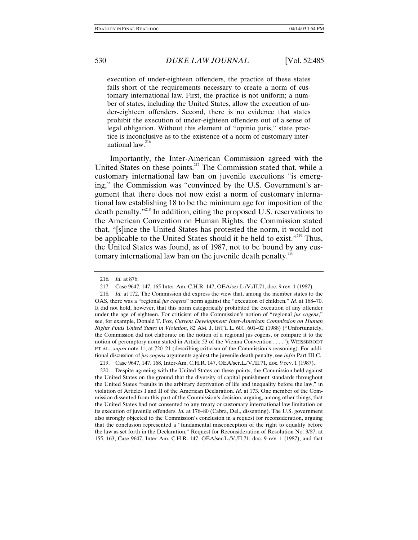execution of under-eighteen offenders, the practice of these states falls short of the requirements necessary to create a norm of customary international law. First, the practice is not uniform; a number of states, including the United States, allow the execution of under-eighteen offenders. Second, there is no evidence that states prohibit the execution of under-eighteen offenders out of a sense of legal obligation. Without this element of "opinio juris," state practice is inconclusive as to the existence of a norm of customary international law.<sup>216</sup>

Importantly, the Inter-American Commission agreed with the United States on these points.<sup>217</sup> The Commission stated that, while a customary international law ban on juvenile executions "is emerging," the Commission was "convinced by the U.S. Government's argument that there does not now exist a norm of customary international law establishing 18 to be the minimum age for imposition of the death penalty." 218 In addition, citing the proposed U.S. reservations to the American Convention on Human Rights, the Commission stated that, "[s]ince the United States has protested the norm, it would not be applicable to the United States should it be held to exist."<sup>219</sup> Thus, the United States was found, as of 1987, not to be bound by any customary international law ban on the juvenile death penalty. $220$ 

220. Despite agreeing with the United States on these points, the Commission held against the United States on the ground that the diversity of capital punishment standards throughout the United States "results in the arbitrary deprivation of life and inequality before the law," in violation of Articles I and II of the American Declaration. *Id*. at 173. One member of the Commission dissented from this part of the Commission's decision, arguing, among other things, that the United States had not consented to any treaty or customary international law limitation on its execution of juvenile offenders. *Id.* at 176–80 (Cabra, Del., dissenting). The U.S. government also strongly objected to the Commission's conclusion in a request for reconsideration, arguing that the conclusion represented a "fundamental misconception of the right to equality before the law as set forth in the Declaration," Request for Reconsideration of Resolution No. 3/87, at 155, 163, Case 9647, Inter-Am. C.H.R. 147, OEA/ser.L./V./II.71, doc. 9 rev. 1 (1987), and that

<sup>216</sup>*. Id.* at 876.

<sup>217.</sup> Case 9647, 147, 165 Inter-Am. C.H.R. 147, OEA/ser.L./V./II.71, doc. 9 rev. 1 (1987).

<sup>218</sup>*. Id.* at 172. The Commission did express the view that, among the member states to the OAS, there was a "regional *jus cogens*" norm against the "execution of children." *Id.* at 168–70. It did not hold, however, that this norm categorically prohibited the execution of any offender under the age of eighteen. For criticism of the Commission's notion of "regional *jus cogens*," see, for example, Donald T. Fox, *Current Development: Inter-American Commission on Human Rights Finds United States in Violation*, 82 AM. J. INT'L L. 601, 601–02 (1988) ("Unfortunately, the Commission did not elaborate on the notion of a regional jus cogens, or compare it to the notion of peremptory norm stated in Article 53 of the Vienna Convention . . . ."); WEISSBRODT ET AL., *supra* note 11, at 720–21 (describing criticism of the Commission's reasoning). For additional discussion of *jus cogens* arguments against the juvenile death penalty, see *infra* Part III.C.

<sup>219.</sup> Case 9647, 147, 168, Inter-Am. C.H.R. 147, OEA/ser.L./V./II.71, doc. 9 rev. 1 (1987).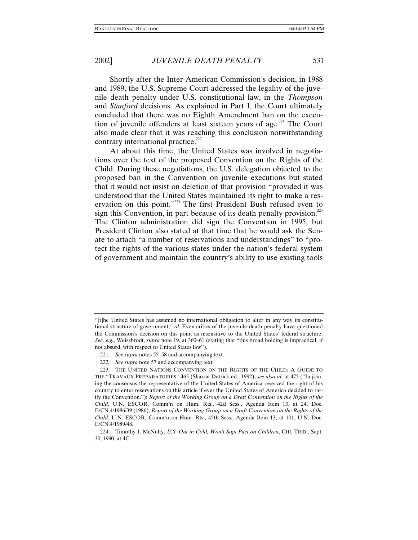Shortly after the Inter-American Commission's decision, in 1988 and 1989, the U.S. Supreme Court addressed the legality of the juvenile death penalty under U.S. constitutional law, in the *Thompson* and *Stanford* decisions. As explained in Part I, the Court ultimately concluded that there was no Eighth Amendment ban on the execution of juvenile offenders at least sixteen years of age. $221$  The Court also made clear that it was reaching this conclusion notwithstanding contrary international practice. $222$ 

At about this time, the United States was involved in negotiations over the text of the proposed Convention on the Rights of the Child. During these negotiations, the U.S. delegation objected to the proposed ban in the Convention on juvenile executions but stated that it would not insist on deletion of that provision "provided it was understood that the United States maintained its right to make a reservation on this point."<sup>223</sup> The first President Bush refused even to sign this Convention, in part because of its death penalty provision.<sup>224</sup> The Clinton administration did sign the Convention in 1995, but President Clinton also stated at that time that he would ask the Senate to attach "a number of reservations and understandings" to "protect the rights of the various states under the nation's federal system of government and maintain the country's ability to use existing tools

<sup>&</sup>quot;[t]he United States has assumed no international obligation to alter in any way its constitutional structure of government," *id.* Even critics of the juvenile death penalty have questioned the Commission's decision on this point as insensitive to the United States' federal structure. *See, e.g.*, Weissbrodt, *supra* note 19, at 360–61 (stating that "this broad holding is impractical, if not absurd, with respect to United States law").

<sup>221</sup>*. See supra* notes 55–58 and accompanying text.

<sup>222</sup>*. See supra* note 57 and accompanying text.

<sup>223.</sup> THE UNITED NATIONS CONVENTION ON THE RIGHTS OF THE CHILD: A GUIDE TO THE "TRAVAUX PREPARATOIRES" 465 (Sharon Detrick ed., 1992); *see also id.* at 475 ("In joining the consensus the representative of the United States of America reserved the right of his country to enter reservations on this article if ever the United States of America decided to ratify the Convention."); *Report of the Working Group on a Draft Convention on the Rights of the Child*, U.N. ESCOR, Comm'n on Hum. Rts., 42d Sess., Agenda Item 13, at 24, Doc. E/CN.4/1986/39 (1986); *Report of the Working Group on a Draft Convention on the Rights of the Child*, U.N. ESCOR, Comm'n on Hum. Rts., 45th Sess., Agenda Item 13, at 101, U.N. Doc. E/CN.4/1989/48.

<sup>224.</sup> Timothy J. McNulty, *U.S. Out in Cold, Won't Sign Pact on Children*, CHI. TRIB., Sept. 30, 1990, at 4C.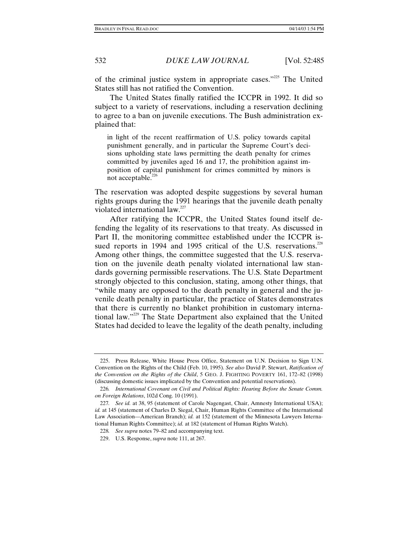of the criminal justice system in appropriate cases."<sup>225</sup> The United States still has not ratified the Convention.

The United States finally ratified the ICCPR in 1992. It did so subject to a variety of reservations, including a reservation declining to agree to a ban on juvenile executions. The Bush administration explained that:

in light of the recent reaffirmation of U.S. policy towards capital punishment generally, and in particular the Supreme Court's decisions upholding state laws permitting the death penalty for crimes committed by juveniles aged 16 and 17, the prohibition against imposition of capital punishment for crimes committed by minors is not acceptable. $\overline{2}$ 

The reservation was adopted despite suggestions by several human rights groups during the 1991 hearings that the juvenile death penalty violated international law.<sup>227</sup>

After ratifying the ICCPR, the United States found itself defending the legality of its reservations to that treaty. As discussed in Part II, the monitoring committee established under the ICCPR issued reports in 1994 and 1995 critical of the U.S. reservations.<sup>228</sup> Among other things, the committee suggested that the U.S. reservation on the juvenile death penalty violated international law standards governing permissible reservations. The U.S. State Department strongly objected to this conclusion, stating, among other things, that "while many are opposed to the death penalty in general and the juvenile death penalty in particular, the practice of States demonstrates that there is currently no blanket prohibition in customary international law."<sup>229</sup> The State Department also explained that the United States had decided to leave the legality of the death penalty, including

<sup>225.</sup> Press Release, White House Press Office, Statement on U.N. Decision to Sign U.N. Convention on the Rights of the Child (Feb. 10, 1995). *See also* David P. Stewart, *Ratification of the Convention on the Rights of the Child*, 5 GEO. J. FIGHTING POVERTY 161, 172–82 (1998) (discussing domestic issues implicated by the Convention and potential reservations).

<sup>226</sup>*. International Covenant on Civil and Political Rights: Hearing Before the Senate Comm. on Foreign Relations*, 102d Cong. 10 (1991).

<sup>227</sup>*. See id.* at 38, 95 (statement of Carole Nagengast, Chair, Amnesty International USA); *id.* at 145 (statement of Charles D. Siegal, Chair, Human Rights Committee of the International Law Association—American Branch); *id.* at 152 (statement of the Minnesota Lawyers International Human Rights Committee); *id.* at 182 (statement of Human Rights Watch).

<sup>228</sup>*. See supra* notes 79–82 and accompanying text.

<sup>229.</sup> U.S. Response, *supra* note 111, at 267.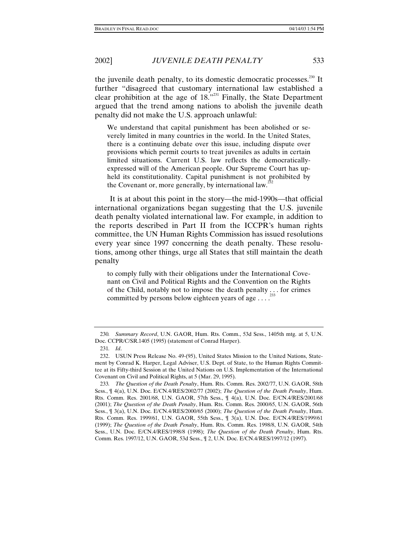the juvenile death penalty, to its domestic democratic processes.<sup>230</sup> It further "disagreed that customary international law established a clear prohibition at the age of  $18.^{231}$  Finally, the State Department argued that the trend among nations to abolish the juvenile death penalty did not make the U.S. approach unlawful:

We understand that capital punishment has been abolished or severely limited in many countries in the world. In the United States, there is a continuing debate over this issue, including dispute over provisions which permit courts to treat juveniles as adults in certain limited situations. Current U.S. law reflects the democraticallyexpressed will of the American people. Our Supreme Court has upheld its constitutionality. Capital punishment is not prohibited by the Covenant or, more generally, by international law.<sup>232</sup>

It is at about this point in the story—the mid-1990s—that official international organizations began suggesting that the U.S. juvenile death penalty violated international law. For example, in addition to the reports described in Part II from the ICCPR's human rights committee, the UN Human Rights Commission has issued resolutions every year since 1997 concerning the death penalty. These resolutions, among other things, urge all States that still maintain the death penalty

to comply fully with their obligations under the International Covenant on Civil and Political Rights and the Convention on the Rights of the Child, notably not to impose the death penalty . . . for crimes committed by persons below eighteen years of age ....

<sup>230</sup>*. Summary Record*, U.N. GAOR, Hum. Rts. Comm., 53d Sess., 1405th mtg. at 5, U.N. Doc. CCPR/C/SR.1405 (1995) (statement of Conrad Harper).

<sup>231</sup>*. Id*.

<sup>232.</sup> USUN Press Release No. 49-(95), United States Mission to the United Nations, Statement by Conrad K. Harper, Legal Adviser, U.S. Dept. of State, to the Human Rights Committee at its Fifty-third Session at the United Nations on U.S. Implementation of the International Covenant on Civil and Political Rights, at 5 (Mar. 29, 1995).

<sup>233</sup>*. The Question of the Death Penalty*, Hum. Rts. Comm. Res. 2002/77, U.N. GAOR, 58th Sess., ¶ 4(a), U.N. Doc. E/CN.4/RES/2002/77 (2002); *The Question of the Death Penalty*, Hum. Rts. Comm. Res. 2001/68, U.N. GAOR, 57th Sess., ¶ 4(a), U.N. Doc. E/CN.4/RES/2001/68 (2001); *The Question of the Death Penalty*, Hum. Rts. Comm. Res. 2000/65, U.N. GAOR, 56th Sess., ¶ 3(a), U.N. Doc. E/CN.4/RES/2000/65 (2000); *The Question of the Death Penalty*, Hum. Rts. Comm. Res. 1999/61, U.N. GAOR, 55th Sess., ¶ 3(a), U.N. Doc. E/CN.4/RES/1999/61 (1999); *The Question of the Death Penalty*, Hum. Rts. Comm. Res. 1998/8, U.N. GAOR, 54th Sess., U.N. Doc. E/CN.4/RES/1998/8 (1998); *The Question of the Death Penalty*, Hum. Rts. Comm. Res. 1997/12, U.N. GAOR, 53d Sess., ¶ 2, U.N. Doc. E/CN.4/RES/1997/12 (1997).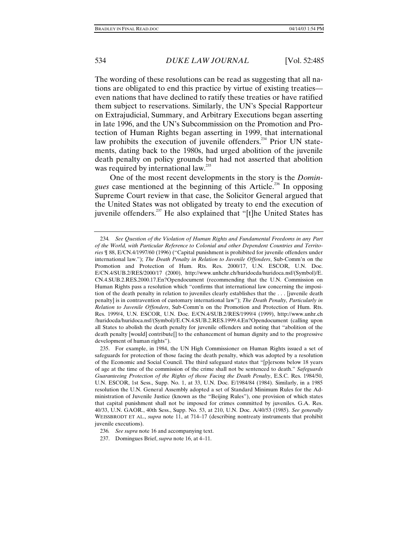The wording of these resolutions can be read as suggesting that all nations are obligated to end this practice by virtue of existing treaties even nations that have declined to ratify these treaties or have ratified them subject to reservations. Similarly, the UN's Special Rapporteur on Extrajudicial, Summary, and Arbitrary Executions began asserting in late 1996, and the UN's Subcommission on the Promotion and Protection of Human Rights began asserting in 1999, that international law prohibits the execution of juvenile offenders.<sup>234</sup> Prior UN statements, dating back to the 1980s, had urged abolition of the juvenile death penalty on policy grounds but had not asserted that abolition was required by international law.<sup>235</sup>

One of the most recent developments in the story is the *Domin*gues case mentioned at the beginning of this Article.<sup>236</sup> In opposing Supreme Court review in that case, the Solicitor General argued that the United States was not obligated by treaty to end the execution of juvenile offenders.<sup>237</sup> He also explained that "[t]he United States has

<sup>234</sup>*. See Question of the Violation of Human Rights and Fundamental Freedoms in any Part of the World, with Particular Reference to Colonial and other Dependent Countries and Territories* ¶ 88, E/CN.4/1997/60 (1996) ("Capital punishment is prohibited for juvenile offenders under international law."); *The Death Penalty in Relation to Juvenile Offenders*, Sub-Comm'n on the Promotion and Protection of Hum. Rts. Res. 2000/17, U.N. ESCOR, U.N. Doc. E/CN.4/SUB.2/RES/2000/17 (2000), http://www.unhchr.ch/huridocda/huridoca.nsf/(Symbol)/E. CN.4.SUB.2.RES.2000.17.En?Opendocument (recommending that the U.N. Commission on Human Rights pass a resolution which "confirms that international law concerning the imposition of the death penalty in relation to juveniles clearly establishes that the . . . [juvenile death penalty] is in contravention of customary international law"); *The Death Penalty, Particularly in Relation to Juvenile Offenders*, Sub-Comm'n on the Promotion and Protection of Hum. Rts. Res. 1999/4, U.N. ESCOR, U.N. Doc. E/CN.4/SUB.2/RES/1999/4 (1999), http://www.unhr.ch /huridocda/huridoca.nsf/(Symbol)/E.CN.4.SUB.2.RES.1999.4.En?Opendocument (calling upon all States to abolish the death penalty for juvenile offenders and noting that "abolition of the death penalty [would] contribute[] to the enhancement of human dignity and to the progressive development of human rights").

<sup>235.</sup> For example, in 1984, the UN High Commissioner on Human Rights issued a set of safeguards for protection of those facing the death penalty, which was adopted by a resolution of the Economic and Social Council. The third safeguard states that "[p]ersons below 18 years of age at the time of the commission of the crime shall not be sentenced to death." *Safeguards Guaranteeing Protection of the Rights of those Facing the Death Penalty*, E.S.C. Res. 1984/50, U.N. ESCOR, 1st Sess., Supp. No. 1, at 33, U.N. Doc. E/1984/84 (1984). Similarly, in a 1985 resolution the U.N. General Assembly adopted a set of Standard Minimum Rules for the Administration of Juvenile Justice (known as the "Beijing Rules"), one provision of which states that capital punishment shall not be imposed for crimes committed by juveniles. G.A. Res. 40/33, U.N. GAOR., 40th Sess., Supp. No. 53, at 210, U.N. Doc. A/40/53 (1985). *See generally* WEISSBRODT ET AL., *supra* note 11, at 714–17 (describing nontreaty instruments that prohibit juvenile executions).

<sup>236</sup>*. See supra* note 16 and accompanying text.

<sup>237.</sup> Domingues Brief, *supra* note 16, at 4–11.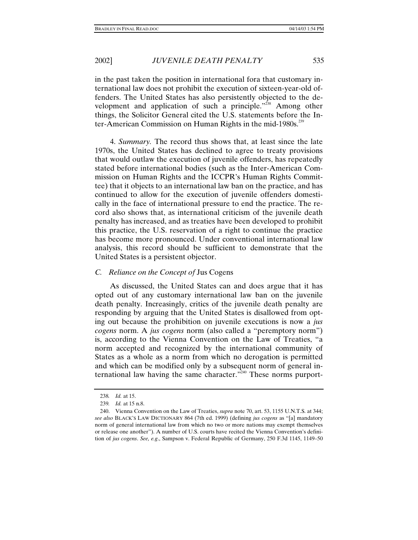in the past taken the position in international fora that customary international law does not prohibit the execution of sixteen-year-old offenders. The United States has also persistently objected to the development and application of such a principle."<sup>238</sup> Among other things, the Solicitor General cited the U.S. statements before the Inter-American Commission on Human Rights in the mid-1980s.<sup>239</sup>

4. *Summary.* The record thus shows that, at least since the late 1970s, the United States has declined to agree to treaty provisions that would outlaw the execution of juvenile offenders, has repeatedly stated before international bodies (such as the Inter-American Commission on Human Rights and the ICCPR's Human Rights Committee) that it objects to an international law ban on the practice, and has continued to allow for the execution of juvenile offenders domestically in the face of international pressure to end the practice. The record also shows that, as international criticism of the juvenile death penalty has increased, and as treaties have been developed to prohibit this practice, the U.S. reservation of a right to continue the practice has become more pronounced. Under conventional international law analysis, this record should be sufficient to demonstrate that the United States is a persistent objector.

# *C. Reliance on the Concept of* Jus Cogens

As discussed, the United States can and does argue that it has opted out of any customary international law ban on the juvenile death penalty. Increasingly, critics of the juvenile death penalty are responding by arguing that the United States is disallowed from opting out because the prohibition on juvenile executions is now a *jus cogens* norm. A *jus cogens* norm (also called a "peremptory norm") is, according to the Vienna Convention on the Law of Treaties, "a norm accepted and recognized by the international community of States as a whole as a norm from which no derogation is permitted and which can be modified only by a subsequent norm of general international law having the same character."<sup>240</sup> These norms purport-

<sup>238</sup>*. Id.* at 15.

<sup>239</sup>*. Id.* at 15 n.8.

<sup>240.</sup> Vienna Convention on the Law of Treaties, *supra* note 70, art. 53, 1155 U.N.T.S. at 344; *see also* BLACK'S LAW DICTIONARY 864 (7th ed. 1999) (defining *jus cogens* as "[a] mandatory norm of general international law from which no two or more nations may exempt themselves or release one another"). A number of U.S. courts have recited the Vienna Convention's definition of *jus cogens*. *See, e.g*., Sampson v. Federal Republic of Germany, 250 F.3d 1145, 1149–50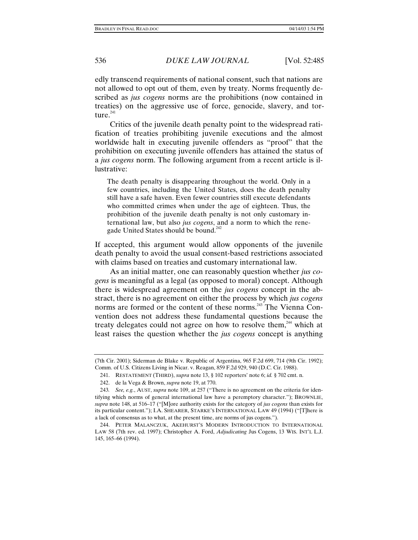edly transcend requirements of national consent, such that nations are not allowed to opt out of them, even by treaty. Norms frequently described as *jus cogens* norms are the prohibitions (now contained in treaties) on the aggressive use of force, genocide, slavery, and torture.<sup>241</sup>

Critics of the juvenile death penalty point to the widespread ratification of treaties prohibiting juvenile executions and the almost worldwide halt in executing juvenile offenders as "proof" that the prohibition on executing juvenile offenders has attained the status of a *jus cogens* norm. The following argument from a recent article is illustrative:

The death penalty is disappearing throughout the world. Only in a few countries, including the United States, does the death penalty still have a safe haven. Even fewer countries still execute defendants who committed crimes when under the age of eighteen. Thus, the prohibition of the juvenile death penalty is not only customary international law, but also *jus cogens*, and a norm to which the renegade United States should be bound.<sup>242</sup>

If accepted, this argument would allow opponents of the juvenile death penalty to avoid the usual consent-based restrictions associated with claims based on treaties and customary international law.

As an initial matter, one can reasonably question whether *jus cogens* is meaningful as a legal (as opposed to moral) concept. Although there is widespread agreement on the *jus cogens* concept in the abstract, there is no agreement on either the process by which *jus cogens* norms are formed or the content of these norms.<sup>243</sup> The Vienna Convention does not address these fundamental questions because the treaty delegates could not agree on how to resolve them, $244$  which at least raises the question whether the *jus cogens* concept is anything

<sup>(7</sup>th Cir. 2001); Siderman de Blake v. Republic of Argentina, 965 F.2d 699, 714 (9th Cir. 1992); Comm. of U.S. Citizens Living in Nicar. v. Reagan, 859 F.2d 929, 940 (D.C. Cir. 1988).

<sup>241.</sup> RESTATEMENT (THIRD), *supra* note 13, § 102 reporters' note 6; *id.* § 702 cmt. n.

<sup>242.</sup> de la Vega & Brown, *supra* note 19, at 770.

<sup>243</sup>*. See, e.g.*, AUST, *supra* note 109, at 257 ("There is no agreement on the criteria for identifying which norms of general international law have a peremptory character."); BROWNLIE, *supra* note 148, at 516–17 ("[M]ore authority exists for the category of *jus cogens* than exists for its particular content."); I.A. SHEARER, STARKE'S INTERNATIONAL LAW 49 (1994) ("[T]here is a lack of consensus as to what, at the present time, are norms of jus cogens.").

<sup>244.</sup> PETER MALANCZUK, AKEHURST'S MODERN INTRODUCTION TO INTERNATIONAL LAW 58 (7th rev. ed. 1997); Christopher A. Ford, *Adjudicating* Jus Cogens, 13 WIS. INT'L L.J. 145, 165–66 (1994).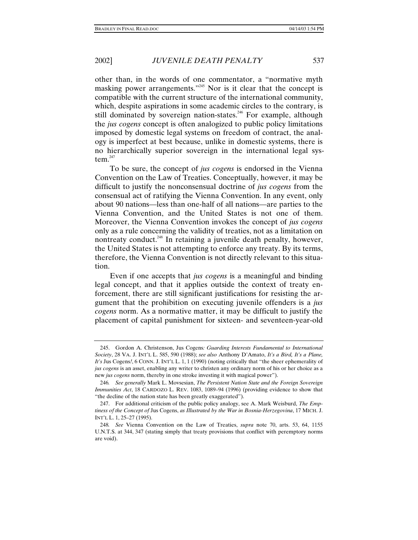other than, in the words of one commentator, a "normative myth masking power arrangements."<sup>245</sup> Nor is it clear that the concept is compatible with the current structure of the international community, which, despite aspirations in some academic circles to the contrary, is still dominated by sovereign nation-states.<sup>246</sup> For example, although the *jus cogens* concept is often analogized to public policy limitations imposed by domestic legal systems on freedom of contract, the analogy is imperfect at best because, unlike in domestic systems, there is no hierarchically superior sovereign in the international legal system. $247$ 

To be sure, the concept of *jus cogens* is endorsed in the Vienna Convention on the Law of Treaties. Conceptually, however, it may be difficult to justify the nonconsensual doctrine of *jus cogens* from the consensual act of ratifying the Vienna Convention. In any event, only about 90 nations—less than one-half of all nations—are parties to the Vienna Convention, and the United States is not one of them. Moreover, the Vienna Convention invokes the concept of *jus cogens* only as a rule concerning the validity of treaties, not as a limitation on nontreaty conduct.<sup>248</sup> In retaining a juvenile death penalty, however, the United States is not attempting to enforce any treaty. By its terms, therefore, the Vienna Convention is not directly relevant to this situation.

Even if one accepts that *jus cogens* is a meaningful and binding legal concept, and that it applies outside the context of treaty enforcement, there are still significant justifications for resisting the argument that the prohibition on executing juvenile offenders is a *jus cogens* norm. As a normative matter, it may be difficult to justify the placement of capital punishment for sixteen- and seventeen-year-old

<sup>245.</sup> Gordon A. Christenson, Jus Cogens*: Guarding Interests Fundamental to International Society*, 28 VA. J. INT'L L. 585, 590 (1988); *see also* Anthony D'Amato, *It's a Bird, It's a Plane, It's* Jus Cogens*!*, 6 CONN. J. INT'L L. 1, 1 (1990) (noting critically that "the sheer ephemerality of *jus cogens* is an asset, enabling any writer to christen any ordinary norm of his or her choice as a new *jus cogens* norm, thereby in one stroke investing it with magical power").

<sup>246</sup>*. See generally* Mark L. Movsesian, *The Persistent Nation State and the Foreign Sovereign Immunities Act*, 18 CARDOZO L. REV. 1083, 1089–94 (1996) (providing evidence to show that "the decline of the nation state has been greatly exaggerated").

<sup>247.</sup> For additional criticism of the public policy analogy, see A. Mark Weisburd, *The Emptiness of the Concept of* Jus Cogens, *as Illustrated by the War in Bosnia-Herzegovina*, 17 MICH. J. INT'L L. 1, 25–27 (1995).

<sup>248</sup>*. See* Vienna Convention on the Law of Treaties, *supra* note 70, arts. 53, 64, 1155 U.N.T.S. at 344, 347 (stating simply that treaty provisions that conflict with peremptory norms are void).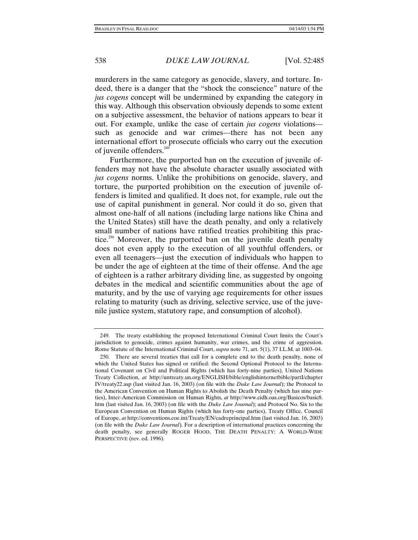murderers in the same category as genocide, slavery, and torture. Indeed, there is a danger that the "shock the conscience" nature of the *jus cogens* concept will be undermined by expanding the category in this way. Although this observation obviously depends to some extent on a subjective assessment, the behavior of nations appears to bear it out. For example, unlike the case of certain *jus cogens* violations such as genocide and war crimes—there has not been any international effort to prosecute officials who carry out the execution of juvenile offenders.<sup>249</sup>

Furthermore, the purported ban on the execution of juvenile offenders may not have the absolute character usually associated with *jus cogens* norms. Unlike the prohibitions on genocide, slavery, and torture, the purported prohibition on the execution of juvenile offenders is limited and qualified. It does not, for example, rule out the use of capital punishment in general. Nor could it do so, given that almost one-half of all nations (including large nations like China and the United States) still have the death penalty, and only a relatively small number of nations have ratified treaties prohibiting this practice.<sup>250</sup> Moreover, the purported ban on the juvenile death penalty does not even apply to the execution of all youthful offenders, or even all teenagers—just the execution of individuals who happen to be under the age of eighteen at the time of their offense. And the age of eighteen is a rather arbitrary dividing line, as suggested by ongoing debates in the medical and scientific communities about the age of maturity, and by the use of varying age requirements for other issues relating to maturity (such as driving, selective service, use of the juvenile justice system, statutory rape, and consumption of alcohol).

<sup>249.</sup> The treaty establishing the proposed International Criminal Court limits the Court's jurisdiction to genocide, crimes against humanity, war crimes, and the crime of aggression. Rome Statute of the International Criminal Court, *supra* note 71, art. 5(1), 37 I.L.M. at 1003–04.

<sup>250.</sup> There are several treaties that call for a complete end to the death penalty, none of which the United States has signed or ratified: the Second Optional Protocol to the International Covenant on Civil and Political Rights (which has forty-nine parties), United Nations Treaty Collection, *at* http://untreaty.un.org/ENGLISH/bible/englishinternetbible/partI/chapter IV/treaty22.asp (last visited Jan. 16, 2003) (on file with the *Duke Law Journal*); the Protocol to the American Convention on Human Rights to Abolish the Death Penalty (which has nine parties), Inter-American Commission on Human Rights, *at* http://www.cidh.oas.org/Basicos/basic8. htm (last visited Jan. 16, 2003) (on file with the *Duke Law Journal*); and Protocol No. Six to the European Convention on Human Rights (which has forty-one parties), Treaty Office, Council of Europe, *at* http://conventions.coe.int/Treaty/EN/cadreprincipal.htm (last visited Jan. 16, 2003) (on file with the *Duke Law Journal*). For a description of international practices concerning the death penalty, see generally ROGER HOOD, THE DEATH PENALTY: A WORLD-WIDE PERSPECTIVE (rev. ed. 1996).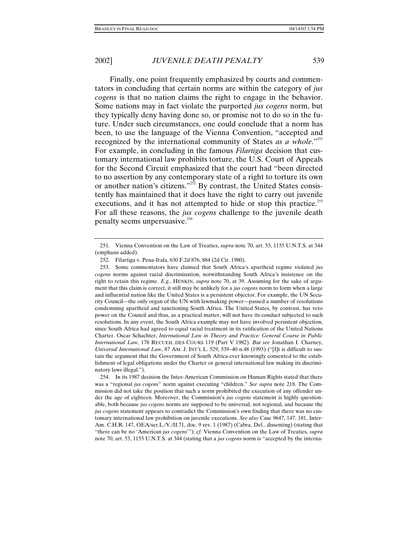Finally, one point frequently emphasized by courts and commentators in concluding that certain norms are within the category of *jus cogens* is that no nation claims the right to engage in the behavior. Some nations may in fact violate the purported *jus cogens* norm, but they typically deny having done so, or promise not to do so in the future. Under such circumstances, one could conclude that a norm has been, to use the language of the Vienna Convention, "accepted and recognized by the international community of States *as a whole*." 251 For example, in concluding in the famous *Filartiga* decision that customary international law prohibits torture, the U.S. Court of Appeals for the Second Circuit emphasized that the court had "been directed to no assertion by any contemporary state of a right to torture its own or another nation's citizens."<sup>252</sup> By contrast, the United States consistently has maintained that it does have the right to carry out juvenile executions, and it has not attempted to hide or stop this practice.<sup>253</sup> For all these reasons, the *jus cogens* challenge to the juvenile death penalty seems unpersuasive.<sup>254</sup>

<sup>251.</sup> Vienna Convention on the Law of Treaties, *supra* note 70, art. 53, 1155 U.N.T.S. at 344 (emphasis added).

<sup>252.</sup> Filartiga v. Pena-Irala, 630 F.2d 876, 884 (2d Cir. 1980).

<sup>253.</sup> Some commentators have claimed that South Africa's apartheid regime violated *jus cogens* norms against racial discrimination, notwithstanding South Africa's insistence on the right to retain this regime. *E.g.*, HENKIN, *supra* note 70, at 39. Assuming for the sake of argument that this claim is correct, it still may be unlikely for a *jus cogens* norm to form when a large and influential nation like the United States is a persistent objector. For example, the UN Security Council—the only organ of the UN with lawmaking power—passed a number of resolutions condemning apartheid and sanctioning South Africa. The United States, by contrast, has veto power on the Council and thus, as a practical matter, will not have its conduct subjected to such resolutions. In any event, the South Africa example may not have involved persistent objection, since South Africa had agreed to equal racial treatment in its ratification of the United Nations Charter. Oscar Schachter, *International Law in Theory and Practice: General Course in Public International Law*, 178 RECUEIL DES COURS 119 (Part V 1982). *But see* Jonathan I. Charney, *Universal International Law*, 87 AM. J. INT'L L. 529, 539–40 n.48 (1993) ("[I]t is difficult to sustain the argument that the Government of South Africa ever knowingly consented to the establishment of legal obligations under the Charter or general international law making its discriminatory laws illegal.").

<sup>254.</sup> In its 1987 decision the Inter-American Commission on Human Rights stated that there was a "regional *jus cogens*" norm against executing "children." *See supra* note 218. The Commission did not take the position that such a norm prohibited the execution of any offender under the age of eighteen. Moreover, the Commission's *jus cogens* statement is highly questionable, both because *jus cogens* norms are supposed to be universal, not regional, and because the *jus cogens* statement appears to contradict the Commission's own finding that there was no customary international law prohibition on juvenile executions. *See also* Case 9647, 147, 181, Inter-Am. C.H.R. 147, OEA/ser.L./V./II.71, doc. 9 rev. 1 (1987) (Cabra, Del., dissenting) (stating that "there can be no 'American *jus cogens*'"); c*f.* Vienna Convention on the Law of Treaties, *supra* note 70, art. 53, 1155 U.N.T.S. at 344 (stating that a *jus cogens* norm is "accepted by the interna-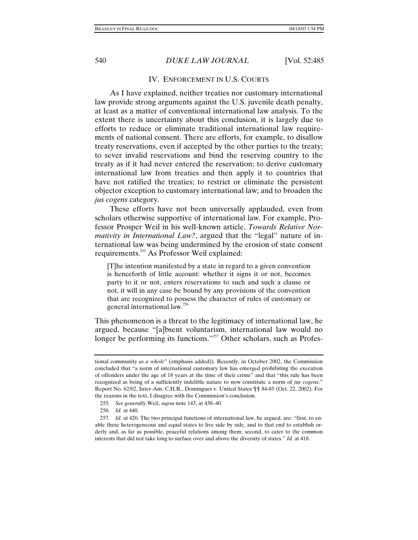#### IV. ENFORCEMENT IN U.S. COURTS

As I have explained, neither treaties nor customary international law provide strong arguments against the U.S. juvenile death penalty, at least as a matter of conventional international law analysis. To the extent there is uncertainty about this conclusion, it is largely due to efforts to reduce or eliminate traditional international law requirements of national consent. There are efforts, for example, to disallow treaty reservations, even if accepted by the other parties to the treaty; to sever invalid reservations and bind the reserving country to the treaty as if it had never entered the reservation; to derive customary international law from treaties and then apply it to countries that have not ratified the treaties; to restrict or eliminate the persistent objector exception to customary international law; and to broaden the *jus cogens* category.

These efforts have not been universally applauded, even from scholars otherwise supportive of international law. For example, Professor Prosper Weil in his well-known article, *Towards Relative Normativity in International Law?*, argued that the "legal" nature of international law was being undermined by the erosion of state consent requirements.<sup>255</sup> As Professor Weil explained:

[T]he intention manifested by a state in regard to a given convention is henceforth of little account: whether it signs it or not, becomes party to it or not, enters reservations to such and such a clause or not, it will in any case be bound by any provisions of the convention that are recognized to possess the character of rules of customary or general international law.<sup>256</sup>

This phenomenon is a threat to the legitimacy of international law, he argued, because "[a]bsent voluntarism, international law would no longer be performing its functions."<sup>257</sup> Other scholars, such as Profes-

tional community *as a whole*" (emphasis added)). Recently, in October 2002, the Commission concluded that "a norm of international customary law has emerged prohibiting the execution of offenders under the age of 18 years at the time of their crime" and that "this rule has been recognized as being of a sufficiently indelible nature to now constitute a norm of *jus cogens*." Report No. 62/02, Inter-Am. C.H.R., Domingues v. United States ¶¶ 84-85 (Oct. 22, 2002). For the reasons in the text, I disagree with the Commission's conclusion.

<sup>255</sup>*. See generally* Weil, *supra* note 143, at 438–40.

<sup>256</sup>*. Id.* at 440.

<sup>257</sup>*. Id.* at 420. The two principal functions of international law, he argued, are: "first, to enable these heterogeneous and equal states to live side by side, and to that end to establish orderly and, as far as possible, peaceful relations among them; second, to cater to the common interests that did not take long to surface over and above the diversity of states." *Id.* at 418.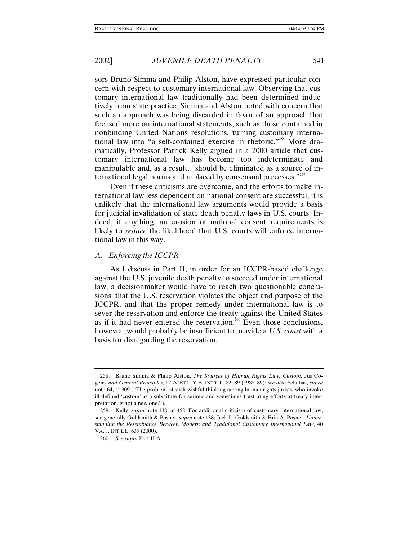sors Bruno Simma and Philip Alston, have expressed particular concern with respect to customary international law. Observing that customary international law traditionally had been determined inductively from state practice, Simma and Alston noted with concern that such an approach was being discarded in favor of an approach that focused more on international statements, such as those contained in nonbinding United Nations resolutions, turning customary international law into "a self-contained exercise in rhetoric." 258 More dramatically, Professor Patrick Kelly argued in a 2000 article that customary international law has become too indeterminate and manipulable and, as a result, "should be eliminated as a source of international legal norms and replaced by consensual processes." 259

Even if these criticisms are overcome, and the efforts to make international law less dependent on national consent are successful, it is unlikely that the international law arguments would provide a basis for judicial invalidation of state death penalty laws in U.S. courts. Indeed, if anything, an erosion of national consent requirements is likely to *reduce* the likelihood that U.S. courts will enforce international law in this way.

# *A. Enforcing the ICCPR*

As I discuss in Part II, in order for an ICCPR-based challenge against the U.S. juvenile death penalty to succeed under international law, a decisionmaker would have to reach two questionable conclusions: that the U.S. reservation violates the object and purpose of the ICCPR, and that the proper remedy under international law is to sever the reservation and enforce the treaty against the United States as if it had never entered the reservation.<sup>260</sup> Even those conclusions, however, would probably be insufficient to provide a *U.S. court* with a basis for disregarding the reservation.

<sup>258.</sup> Bruno Simma & Philip Alston, *The Sources of Human Rights Law: Custom,* Jus Cogens*, and General Principles*, 12 AUSTL. Y.B. INT'L L. 82, 89 (1988–89); *see also* Schabas, *supra* note 64, at 309 ("The problem of such wishful thinking among human rights jurists, who invoke ill-defined 'custom' as a substitute for serious and sometimes frustrating efforts at treaty interpretation, is not a new one.").

<sup>259.</sup> Kelly, *supra* note 138, at 452. For additional criticism of customary international law, see generally Goldsmith & Posner, *supra* note 138; Jack L. Goldsmith & Eric A. Posner, *Understanding the Resemblance Between Modern and Traditional Customary International Law*, 40 VA. J. INT'L L. 639 (2000).

<sup>260</sup>*. See supra* Part II.A.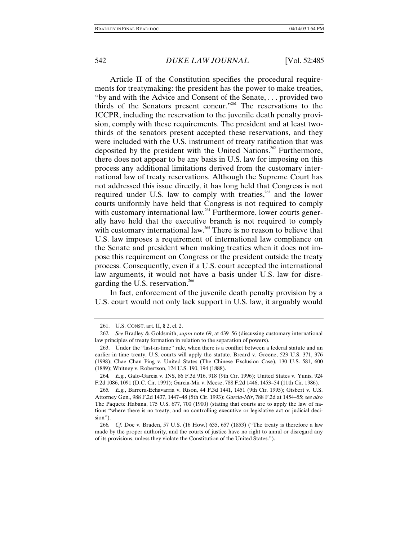Article II of the Constitution specifies the procedural requirements for treatymaking: the president has the power to make treaties, "by and with the Advice and Consent of the Senate, . . . provided two thirds of the Senators present concur." 261 The reservations to the ICCPR, including the reservation to the juvenile death penalty provision, comply with these requirements. The president and at least twothirds of the senators present accepted these reservations, and they were included with the U.S. instrument of treaty ratification that was deposited by the president with the United Nations.<sup>262</sup> Furthermore, there does not appear to be any basis in U.S. law for imposing on this process any additional limitations derived from the customary international law of treaty reservations. Although the Supreme Court has not addressed this issue directly, it has long held that Congress is not required under U.S. law to comply with treaties, $263$  and the lower courts uniformly have held that Congress is not required to comply with customary international law.<sup>264</sup> Furthermore, lower courts generally have held that the executive branch is not required to comply with customary international law.<sup>265</sup> There is no reason to believe that U.S. law imposes a requirement of international law compliance on the Senate and president when making treaties when it does not impose this requirement on Congress or the president outside the treaty process. Consequently, even if a U.S. court accepted the international law arguments, it would not have a basis under U.S. law for disregarding the U.S. reservation.<sup>266</sup>

In fact, enforcement of the juvenile death penalty provision by a U.S. court would not only lack support in U.S. law, it arguably would

<sup>261.</sup> U.S. CONST. art. II, § 2, cl. 2.

<sup>262</sup>*. See* Bradley & Goldsmith, *supra* note 69, at 439–56 (discussing customary international law principles of treaty formation in relation to the separation of powers).

<sup>263.</sup> Under the "last-in-time" rule, when there is a conflict between a federal statute and an earlier-in-time treaty, U.S. courts will apply the statute. Breard v. Greene, 523 U.S. 371, 376 (1998); Chae Chan Ping v. United States (The Chinese Exclusion Case), 130 U.S. 581, 600 (1889); Whitney v. Robertson, 124 U.S. 190, 194 (1888).

<sup>264</sup>*. E.g.*, Galo-Garcia v. INS, 86 F.3d 916, 918 (9th Cir. 1996); United States v. Yunis, 924 F.2d 1086, 1091 (D.C. Cir. 1991); Garcia-Mir v. Meese, 788 F.2d 1446, 1453–54 (11th Cir. 1986).

<sup>265</sup>*. E.g.*, Barrera-Echavarria v. Rison, 44 F.3d 1441, 1451 (9th Cir. 1995); Gisbert v. U.S. Attorney Gen., 988 F.2d 1437, 1447–48 (5th Cir. 1993); *Garcia-Mir*, 788 F.2d at 1454–55; *see also* The Paquete Habana, 175 U.S. 677, 700 (1900) (stating that courts are to apply the law of nations "where there is no treaty, and no controlling executive or legislative act or judicial decision").

<sup>266</sup>*. Cf.* Doe v. Braden, 57 U.S. (16 How.) 635, 657 (1853) ("The treaty is therefore a law made by the proper authority, and the courts of justice have no right to annul or disregard any of its provisions, unless they violate the Constitution of the United States.").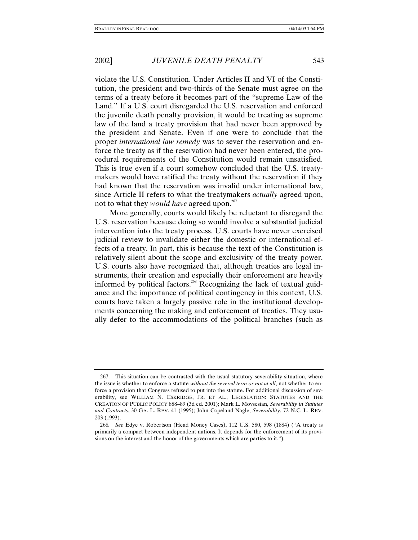violate the U.S. Constitution. Under Articles II and VI of the Constitution, the president and two-thirds of the Senate must agree on the terms of a treaty before it becomes part of the "supreme Law of the Land." If a U.S. court disregarded the U.S. reservation and enforced the juvenile death penalty provision, it would be treating as supreme law of the land a treaty provision that had never been approved by the president and Senate. Even if one were to conclude that the proper *international law remedy* was to sever the reservation and enforce the treaty as if the reservation had never been entered, the procedural requirements of the Constitution would remain unsatisfied. This is true even if a court somehow concluded that the U.S. treatymakers would have ratified the treaty without the reservation if they had known that the reservation was invalid under international law, since Article II refers to what the treatymakers *actually* agreed upon, not to what they *would have* agreed upon.<sup>267</sup>

More generally, courts would likely be reluctant to disregard the U.S. reservation because doing so would involve a substantial judicial intervention into the treaty process. U.S. courts have never exercised judicial review to invalidate either the domestic or international effects of a treaty. In part, this is because the text of the Constitution is relatively silent about the scope and exclusivity of the treaty power. U.S. courts also have recognized that, although treaties are legal instruments, their creation and especially their enforcement are heavily informed by political factors.<sup>268</sup> Recognizing the lack of textual guidance and the importance of political contingency in this context, U.S. courts have taken a largely passive role in the institutional developments concerning the making and enforcement of treaties. They usually defer to the accommodations of the political branches (such as

<sup>267.</sup> This situation can be contrasted with the usual statutory severability situation, where the issue is whether to enforce a statute *without the severed term or not at all*, not whether to enforce a provision that Congress refused to put into the statute. For additional discussion of severability, see WILLIAM N. ESKRIDGE, JR. ET AL., LEGISLATION: STATUTES AND THE CREATION OF PUBLIC POLICY 888–89 (3d ed. 2001); Mark L. Movsesian, *Severability in Statutes and Contracts*, 30 GA. L. REV. 41 (1995); John Copeland Nagle, *Severability*, 72 N.C. L. REV. 203 (1993).

<sup>268</sup>*. See* Edye v. Robertson (Head Money Cases), 112 U.S. 580, 598 (1884) ("A treaty is primarily a compact between independent nations. It depends for the enforcement of its provisions on the interest and the honor of the governments which are parties to it.").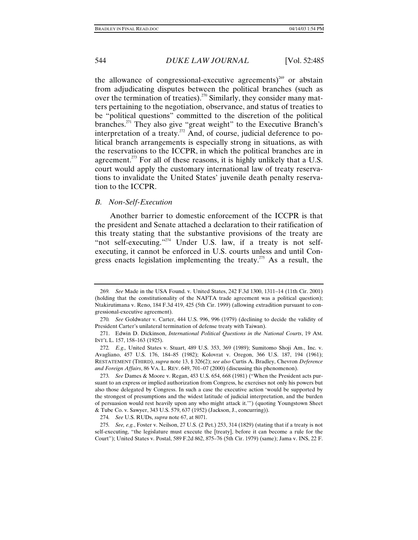the allowance of congressional-executive agreements)<sup>269</sup> or abstain from adjudicating disputes between the political branches (such as over the termination of treaties).<sup>270</sup> Similarly, they consider many matters pertaining to the negotiation, observance, and status of treaties to be "political questions" committed to the discretion of the political branches.271 They also give "great weight" to the Executive Branch's interpretation of a treaty.<sup>272</sup> And, of course, judicial deference to political branch arrangements is especially strong in situations, as with the reservations to the ICCPR, in which the political branches are in agreement.<sup>273</sup> For all of these reasons, it is highly unlikely that a U.S. court would apply the customary international law of treaty reservations to invalidate the United States' juvenile death penalty reservation to the ICCPR.

## *B. Non-Self-Execution*

Another barrier to domestic enforcement of the ICCPR is that the president and Senate attached a declaration to their ratification of this treaty stating that the substantive provisions of the treaty are "not self-executing."<sup>274</sup> Under U.S. law, if a treaty is not selfexecuting, it cannot be enforced in U.S. courts unless and until Congress enacts legislation implementing the treaty.<sup>275</sup> As a result, the

<sup>269</sup>*. See* Made in the USA Found. v. United States, 242 F.3d 1300, 1311–14 (11th Cir. 2001) (holding that the constitutionality of the NAFTA trade agreement was a political question); Ntakirutimana v. Reno, 184 F.3d 419, 425 (5th Cir. 1999) (allowing extradition pursuant to congressional-executive agreement).

<sup>270</sup>*. See* Goldwater v. Carter, 444 U.S. 996, 996 (1979) (declining to decide the validity of President Carter's unilateral termination of defense treaty with Taiwan).

<sup>271.</sup> Edwin D. Dickinson, *International Political Questions in the National Courts*, 19 AM. INT'L L. 157, 158–163 (1925).

<sup>272</sup>*. E.g.,* United States v. Stuart, 489 U.S. 353, 369 (1989); Sumitomo Shoji Am., Inc. v. Avagliano, 457 U.S. 176, 184–85 (1982); Kolovrat v. Oregon, 366 U.S. 187, 194 (1961); RESTATEMENT (THIRD), *supra* note 13, § 326(2); *see also* Curtis A. Bradley, Chevron *Deference and Foreign Affairs*, 86 VA. L. REV. 649, 701–07 (2000) (discussing this phenomenon).

<sup>273</sup>*. See* Dames & Moore v. Regan, 453 U.S. 654, 668 (1981) ("When the President acts pursuant to an express or implied authorization from Congress, he exercises not only his powers but also those delegated by Congress. In such a case the executive action 'would be supported by the strongest of presumptions and the widest latitude of judicial interpretation, and the burden of persuasion would rest heavily upon any who might attack it.'") (quoting Youngstown Sheet & Tube Co. v. Sawyer, 343 U.S. 579, 637 (1952) (Jackson, J., concurring)).

<sup>274</sup>*. See* U.S. RUDs, *supra* note 67, at 8071.

<sup>275</sup>*. See, e.g.*, Foster v. Neilson, 27 U.S. (2 Pet.) 253, 314 (1829) (stating that if a treaty is not self-executing, "the legislature must execute the [treaty], before it can become a rule for the Court"); United States v. Postal, 589 F.2d 862, 875–76 (5th Cir. 1979) (same); Jama v. INS, 22 F.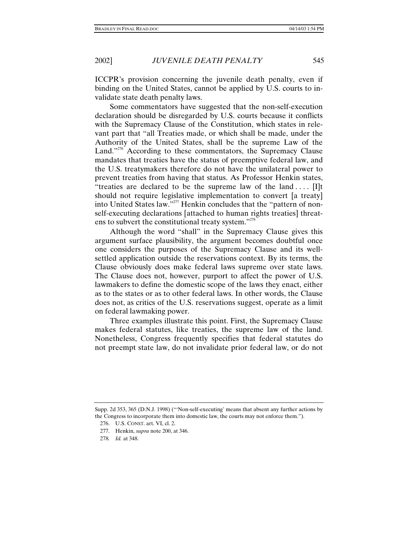ICCPR's provision concerning the juvenile death penalty, even if binding on the United States, cannot be applied by U.S. courts to invalidate state death penalty laws.

Some commentators have suggested that the non-self-execution declaration should be disregarded by U.S. courts because it conflicts with the Supremacy Clause of the Constitution, which states in relevant part that "all Treaties made, or which shall be made, under the Authority of the United States, shall be the supreme Law of the Land."<sup>276</sup> According to these commentators, the Supremacy Clause mandates that treaties have the status of preemptive federal law, and the U.S. treatymakers therefore do not have the unilateral power to prevent treaties from having that status. As Professor Henkin states, "treaties are declared to be the supreme law of the land  $\dots$ . [I]t should not require legislative implementation to convert [a treaty] into United States law." 277 Henkin concludes that the "pattern of nonself-executing declarations [attached to human rights treaties] threatens to subvert the constitutional treaty system."<sup>278</sup>

Although the word "shall" in the Supremacy Clause gives this argument surface plausibility, the argument becomes doubtful once one considers the purposes of the Supremacy Clause and its wellsettled application outside the reservations context. By its terms, the Clause obviously does make federal laws supreme over state laws. The Clause does not, however, purport to affect the power of U.S. lawmakers to define the domestic scope of the laws they enact, either as to the states or as to other federal laws. In other words, the Clause does not, as critics of the U.S. reservations suggest, operate as a limit on federal lawmaking power.

Three examples illustrate this point. First, the Supremacy Clause makes federal statutes, like treaties, the supreme law of the land. Nonetheless, Congress frequently specifies that federal statutes do not preempt state law, do not invalidate prior federal law, or do not

Supp. 2d 353, 365 (D.N.J. 1998) ("'Non-self-executing' means that absent any further actions by the Congress to incorporate them into domestic law, the courts may not enforce them.").

<sup>276.</sup> U.S. CONST. art. VI, cl. 2.

<sup>277.</sup> Henkin, *supra* note 200, at 346.

<sup>278</sup>*. Id.* at 348.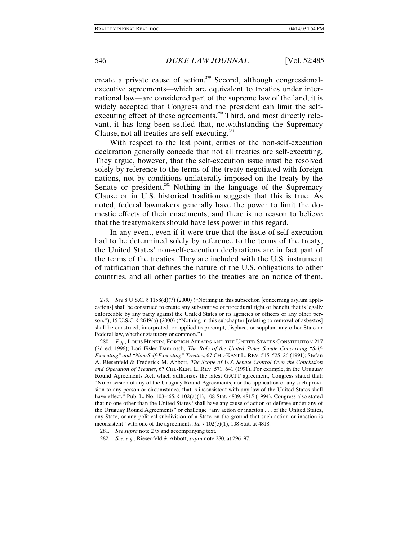create a private cause of action.<sup> $279$ </sup> Second, although congressionalexecutive agreements—which are equivalent to treaties under international law—are considered part of the supreme law of the land, it is widely accepted that Congress and the president can limit the selfexecuting effect of these agreements.<sup>280</sup> Third, and most directly relevant, it has long been settled that, notwithstanding the Supremacy Clause, not all treaties are self-executing.<sup>281</sup>

With respect to the last point, critics of the non-self-execution declaration generally concede that not all treaties are self-executing. They argue, however, that the self-execution issue must be resolved solely by reference to the terms of the treaty negotiated with foreign nations, not by conditions unilaterally imposed on the treaty by the Senate or president.<sup>282</sup> Nothing in the language of the Supremacy Clause or in U.S. historical tradition suggests that this is true. As noted, federal lawmakers generally have the power to limit the domestic effects of their enactments, and there is no reason to believe that the treatymakers should have less power in this regard.

In any event, even if it were true that the issue of self-execution had to be determined solely by reference to the terms of the treaty, the United States' non-self-execution declarations are in fact part of the terms of the treaties. They are included with the U.S. instrument of ratification that defines the nature of the U.S. obligations to other countries, and all other parties to the treaties are on notice of them.

<sup>279</sup>*. See* 8 U.S.C. § 1158(d)(7) (2000) ("Nothing in this subsection [concerning asylum applications] shall be construed to create any substantive or procedural right or benefit that is legally enforceable by any party against the United States or its agencies or officers or any other person."); 15 U.S.C. § 2649(a) (2000) ("Nothing in this subchapter [relating to removal of asbestos] shall be construed, interpreted, or applied to preempt, displace, or supplant any other State or Federal law, whether statutory or common.").

<sup>280</sup>*. E.g.*, LOUIS HENKIN, FOREIGN AFFAIRS AND THE UNITED STATES CONSTITUTION 217 (2d ed. 1996); Lori Fisler Damrosch, *The Role of the United States Senate Concerning "Self-Executing" and "Non-Self-Executing" Treaties*, 67 CHI.-KENT L. REV. 515, 525–26 (1991); Stefan A. Riesenfeld & Frederick M. Abbott, *The Scope of U.S. Senate Control Over the Conclusion and Operation of Treaties*, 67 CHI.-KENT L. REV. 571, 641 (1991). For example, in the Uruguay Round Agreements Act, which authorizes the latest GATT agreement, Congress stated that: "No provision of any of the Uruguay Round Agreements, nor the application of any such provision to any person or circumstance, that is inconsistent with any law of the United States shall have effect." Pub. L. No. 103-465, § 102(a)(1), 108 Stat. 4809, 4815 (1994). Congress also stated that no one other than the United States "shall have any cause of action or defense under any of the Uruguay Round Agreements" or challenge "any action or inaction . . . of the United States, any State, or any political subdivision of a State on the ground that such action or inaction is inconsistent" with one of the agreements. *Id.* § 102(c)(1), 108 Stat. at 4818.

<sup>281</sup>*. See supra* note 275 and accompanying text.

<sup>282</sup>*. See, e.g.*, Riesenfeld & Abbott, *supra* note 280, at 296–97.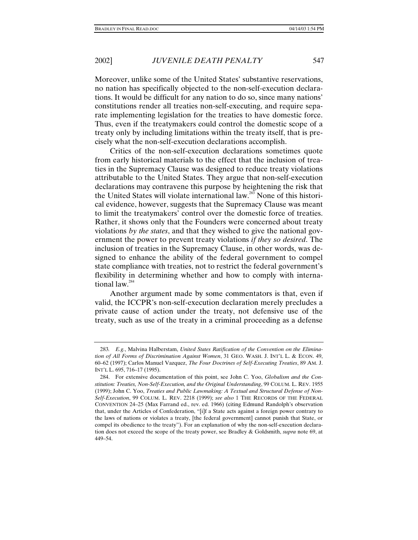Moreover, unlike some of the United States' substantive reservations, no nation has specifically objected to the non-self-execution declarations. It would be difficult for any nation to do so, since many nations' constitutions render all treaties non-self-executing, and require separate implementing legislation for the treaties to have domestic force. Thus, even if the treatymakers could control the domestic scope of a treaty only by including limitations within the treaty itself, that is precisely what the non-self-execution declarations accomplish.

Critics of the non-self-execution declarations sometimes quote from early historical materials to the effect that the inclusion of treaties in the Supremacy Clause was designed to reduce treaty violations attributable to the United States. They argue that non-self-execution declarations may contravene this purpose by heightening the risk that the United States will violate international law.283 None of this historical evidence, however, suggests that the Supremacy Clause was meant to limit the treatymakers' control over the domestic force of treaties. Rather, it shows only that the Founders were concerned about treaty violations *by the states*, and that they wished to give the national government the power to prevent treaty violations *if they so desired*. The inclusion of treaties in the Supremacy Clause, in other words, was designed to enhance the ability of the federal government to compel state compliance with treaties, not to restrict the federal government's flexibility in determining whether and how to comply with international law.<sup>284</sup>

Another argument made by some commentators is that, even if valid, the ICCPR's non-self-execution declaration merely precludes a private cause of action under the treaty, not defensive use of the treaty, such as use of the treaty in a criminal proceeding as a defense

<sup>283</sup>*. E.g.*, Malvina Halberstam, *United States Ratification of the Convention on the Elimination of All Forms of Discrimination Against Women*, 31 GEO. WASH. J. INT'L L. & ECON. 49, 60–62 (1997); Carlos Manuel Vazquez, *The Four Doctrines of Self-Executing Treaties*, 89 AM. J. INT'L L. 695, 716–17 (1995).

<sup>284.</sup> For extensive documentation of this point, see John C. Yoo, *Globalism and the Constitution: Treaties, Non-Self-Execution, and the Original Understanding*, 99 COLUM. L. REV. 1955 (1999); John C. Yoo, *Treaties and Public Lawmaking: A Textual and Structural Defense of Non-Self-Execution*, 99 COLUM. L. REV. 2218 (1999); *see also* 1 THE RECORDS OF THE FEDERAL CONVENTION 24–25 (Max Farrand ed., rev. ed. 1966) (citing Edmund Randolph's observation that, under the Articles of Confederation, "[i]f a State acts against a foreign power contrary to the laws of nations or violates a treaty, [the federal government] cannot punish that State, or compel its obedience to the treaty"). For an explanation of why the non-self-execution declaration does not exceed the scope of the treaty power, see Bradley & Goldsmith, *supra* note 69, at 449–54.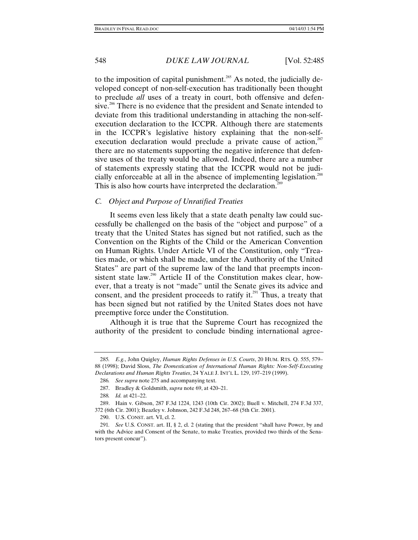to the imposition of capital punishment.<sup>285</sup> As noted, the judicially developed concept of non-self-execution has traditionally been thought to preclude *all* uses of a treaty in court, both offensive and defensive.<sup>286</sup> There is no evidence that the president and Senate intended to deviate from this traditional understanding in attaching the non-selfexecution declaration to the ICCPR. Although there are statements in the ICCPR's legislative history explaining that the non-selfexecution declaration would preclude a private cause of action, $287$ there are no statements supporting the negative inference that defensive uses of the treaty would be allowed. Indeed, there are a number of statements expressly stating that the ICCPR would not be judicially enforceable at all in the absence of implementing legislation.<sup>288</sup> This is also how courts have interpreted the declaration.<sup>289</sup>

## *C. Object and Purpose of Unratified Treaties*

It seems even less likely that a state death penalty law could successfully be challenged on the basis of the "object and purpose" of a treaty that the United States has signed but not ratified, such as the Convention on the Rights of the Child or the American Convention on Human Rights. Under Article VI of the Constitution, only "Treaties made, or which shall be made, under the Authority of the United States" are part of the supreme law of the land that preempts inconsistent state law.<sup>290</sup> Article II of the Constitution makes clear, however, that a treaty is not "made" until the Senate gives its advice and consent, and the president proceeds to ratify it.<sup>291</sup> Thus, a treaty that has been signed but not ratified by the United States does not have preemptive force under the Constitution.

Although it is true that the Supreme Court has recognized the authority of the president to conclude binding international agree-

<sup>285</sup>*. E.g.*, John Quigley, *Human Rights Defenses in U.S. Courts*, 20 HUM. RTS. Q. 555, 579– 88 (1998); David Sloss, *The Domestication of International Human Rights: Non-Self-Executing Declarations and Human Rights Treaties*, 24 YALE J. INT'L L. 129, 197–219 (1999).

<sup>286</sup>*. See supra* note 275 and accompanying text.

<sup>287.</sup> Bradley & Goldsmith, *supra* note 69, at 420–21.

<sup>288</sup>*. Id.* at 421–22.

<sup>289.</sup> Hain v. Gibson, 287 F.3d 1224, 1243 (10th Cir. 2002); Buell v. Mitchell, 274 F.3d 337, 372 (6th Cir. 2001); Beazley v. Johnson, 242 F.3d 248, 267–68 (5th Cir. 2001).

<sup>290.</sup> U.S. CONST. art. VI, cl. 2.

<sup>291</sup>*. See* U.S. CONST. art. II, § 2, cl. 2 (stating that the president "shall have Power, by and with the Advice and Consent of the Senate, to make Treaties, provided two thirds of the Senators present concur").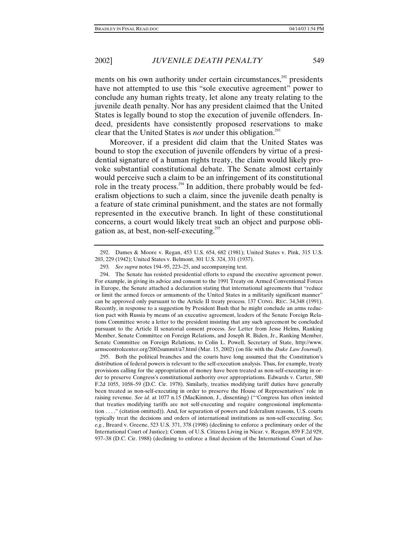ments on his own authority under certain circumstances, $^{292}$  presidents have not attempted to use this "sole executive agreement" power to conclude any human rights treaty, let alone any treaty relating to the juvenile death penalty. Nor has any president claimed that the United States is legally bound to stop the execution of juvenile offenders. Indeed, presidents have consistently proposed reservations to make clear that the United States is *not* under this obligation.<sup>293</sup>

Moreover, if a president did claim that the United States was bound to stop the execution of juvenile offenders by virtue of a presidential signature of a human rights treaty, the claim would likely provoke substantial constitutional debate. The Senate almost certainly would perceive such a claim to be an infringement of its constitutional role in the treaty process.<sup>294</sup> In addition, there probably would be federalism objections to such a claim, since the juvenile death penalty is a feature of state criminal punishment, and the states are not formally represented in the executive branch. In light of these constitutional concerns, a court would likely treat such an object and purpose obligation as, at best, non-self-executing.<sup>295</sup>

294. The Senate has resisted presidential efforts to expand the executive agreement power. For example, in giving its advice and consent to the 1991 Treaty on Armed Conventional Forces in Europe, the Senate attached a declaration stating that international agreements that "reduce or limit the armed forces or armaments of the United States in a militarily significant manner" can be approved only pursuant to the Article II treaty process. 137 CONG. REC. 34,348 (1991). Recently, in response to a suggestion by President Bush that he might conclude an arms reduction pact with Russia by means of an executive agreement, leaders of the Senate Foreign Relations Committee wrote a letter to the president insisting that any such agreement be concluded pursuant to the Article II senatorial consent process. *See* Letter from Jesse Helms, Ranking Member, Senate Committee on Foreign Relations, and Joseph R. Biden, Jr., Ranking Member, Senate Committee on Foreign Relations, to Colin L. Powell, Secretary of State, http://www. armscontrolcenter.org/2002summit/a7.html (Mar. 15, 2002) (on file with the *Duke Law Journal*).

295. Both the political branches and the courts have long assumed that the Constitution's distribution of federal powers is relevant to the self-execution analysis. Thus, for example, treaty provisions calling for the appropriation of money have been treated as non-self-executing in order to preserve Congress's constitutional authority over appropriations. Edwards v. Carter, 580 F.2d 1055, 1058–59 (D.C. Cir. 1978). Similarly, treaties modifying tariff duties have generally been treated as non-self-executing in order to preserve the House of Representatives' role in raising revenue. *See id*. at 1077 n.15 (MacKinnon, J., dissenting) ("'Congress has often insisted that treaties modifying tariffs are not self-executing and require congressional implementation . . . ." (citation omitted)). And, for separation of powers and federalism reasons, U.S. courts typically treat the decisions and orders of international institutions as non-self-executing. *See, e.g.*, Breard v. Greene, 523 U.S. 371, 378 (1998) (declining to enforce a preliminary order of the International Court of Justice); Comm. of U.S. Citizens Living in Nicar. v. Reagan, 859 F.2d 929, 937–38 (D.C. Cir. 1988) (declining to enforce a final decision of the International Court of Jus-

<sup>292.</sup> Dames & Moore v. Regan, 453 U.S. 654, 682 (1981); United States v. Pink, 315 U.S. 203, 229 (1942); United States v. Belmont, 301 U.S. 324, 331 (1937).

<sup>293</sup>*. See supra* notes 194–95, 223–25, and accompanying text.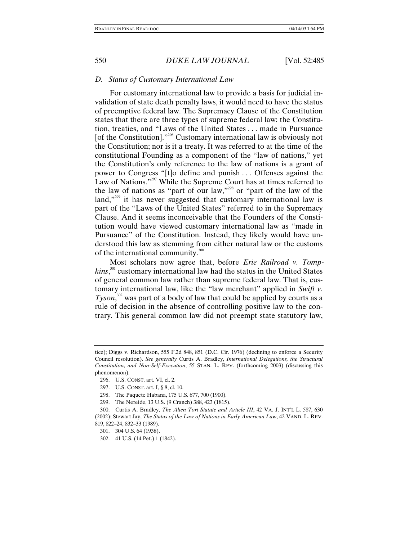## *D. Status of Customary International Law*

For customary international law to provide a basis for judicial invalidation of state death penalty laws, it would need to have the status of preemptive federal law. The Supremacy Clause of the Constitution states that there are three types of supreme federal law: the Constitution, treaties, and "Laws of the United States . . . made in Pursuance [of the Constitution]." 296 Customary international law is obviously not the Constitution; nor is it a treaty. It was referred to at the time of the constitutional Founding as a component of the "law of nations," yet the Constitution's only reference to the law of nations is a grant of power to Congress "[t]o define and punish . . . Offenses against the Law of Nations."<sup>297</sup> While the Supreme Court has at times referred to the law of nations as "part of our law,"<sup>298</sup> or "part of the law of the land,"<sup>299</sup> it has never suggested that customary international law is part of the "Laws of the United States" referred to in the Supremacy Clause. And it seems inconceivable that the Founders of the Constitution would have viewed customary international law as "made in Pursuance" of the Constitution. Instead, they likely would have understood this law as stemming from either natural law or the customs of the international community.<sup>300</sup>

Most scholars now agree that, before *Erie Railroad v. Tompkins*, 301 customary international law had the status in the United States of general common law rather than supreme federal law. That is, customary international law, like the "law merchant" applied in *Swift v. Tyson*, 302 was part of a body of law that could be applied by courts as a rule of decision in the absence of controlling positive law to the contrary. This general common law did not preempt state statutory law,

tice); Diggs v. Richardson, 555 F.2d 848, 851 (D.C. Cir. 1976) (declining to enforce a Security Council resolution). *See generally* Curtis A. Bradley, *International Delegations, the Structural Constitution*, *and Non-Self-Execution*, 55 STAN. L. REV. (forthcoming 2003) (discussing this phenomenon).

<sup>296.</sup> U.S. CONST. art. VI, cl. 2.

<sup>297.</sup> U.S. CONST. art. I, § 8, cl. 10.

<sup>298.</sup> The Paquete Habana, 175 U.S. 677, 700 (1900).

<sup>299.</sup> The Nereide, 13 U.S. (9 Cranch) 388, 423 (1815).

<sup>300.</sup> Curtis A. Bradley, *The Alien Tort Statute and Article III*, 42 VA. J. INT'L L. 587, 630 (2002); Stewart Jay, *The Status of the Law of Nations in Early American Law*, 42 VAND. L. REV. 819, 822–24, 832–33 (1989).

<sup>301. 304</sup> U.S. 64 (1938).

<sup>302. 41</sup> U.S. (14 Pet.) 1 (1842).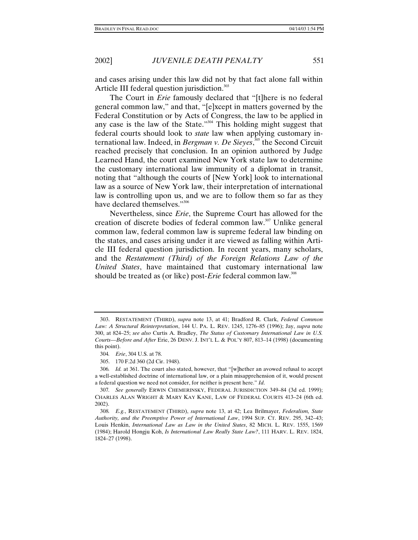and cases arising under this law did not by that fact alone fall within Article III federal question jurisdiction.<sup>303</sup>

The Court in *Erie* famously declared that "[t]here is no federal general common law," and that, "[e]xcept in matters governed by the Federal Constitution or by Acts of Congress, the law to be applied in any case is the law of the State."<sup>304</sup> This holding might suggest that federal courts should look to *state* law when applying customary international law. Indeed, in *Bergman v. De Sieyes*, 305 the Second Circuit reached precisely that conclusion. In an opinion authored by Judge Learned Hand, the court examined New York state law to determine the customary international law immunity of a diplomat in transit, noting that "although the courts of [New York] look to international law as a source of New York law, their interpretation of international law is controlling upon us, and we are to follow them so far as they have declared themselves."<sup>306</sup>

Nevertheless, since *Erie*, the Supreme Court has allowed for the creation of discrete bodies of federal common law.<sup>307</sup> Unlike general common law, federal common law is supreme federal law binding on the states, and cases arising under it are viewed as falling within Article III federal question jurisdiction. In recent years, many scholars, and the *Restatement (Third) of the Foreign Relations Law of the United States*, have maintained that customary international law should be treated as (or like) post-*Erie* federal common law.<sup>308</sup>

<sup>303.</sup> RESTATEMENT (THIRD), *supra* note 13, at 41; Bradford R. Clark, *Federal Common Law: A Structural Reinterpretation*, 144 U. PA. L. REV. 1245, 1276–85 (1996); Jay, *supra* note 300, at 824–25; *see also* Curtis A. Bradley, *The Status of Customary International Law in U.S. Courts—Before and After* Erie, 26 DENV. J. INT'L L. & POL'Y 807, 813–14 (1998) (documenting this point).

<sup>304</sup>*. Erie*, 304 U.S. at 78.

<sup>305. 170</sup> F.2d 360 (2d Cir. 1948).

<sup>306</sup>*. Id.* at 361. The court also stated, however, that "[w]hether an avowed refusal to accept a well-established doctrine of international law, or a plain misapprehension of it, would present a federal question we need not consider, for neither is present here." *Id*.

<sup>307</sup>*. See generally* ERWIN CHEMERINSKY, FEDERAL JURISDICTION 349–84 (3d ed. 1999); CHARLES ALAN WRIGHT & MARY KAY KANE, LAW OF FEDERAL COURTS 413–24 (6th ed. 2002).

<sup>308</sup>*. E.g.*, RESTATEMENT (THIRD), *supra* note 13, at 42; Lea Brilmayer, *Federalism, State Authority, and the Preemptive Power of International Law*, 1994 SUP. CT. REV. 295, 342–43; Louis Henkin, *International Law as Law in the United States*, 82 MICH. L. REV. 1555, 1569 (1984); Harold Hongju Koh, *Is International Law Really State Law?*, 111 HARV. L. REV. 1824, 1824–27 (1998).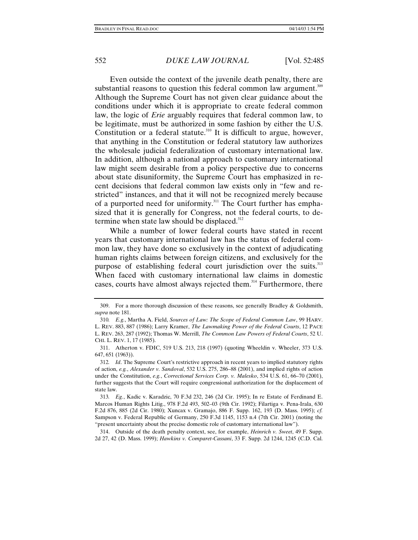Even outside the context of the juvenile death penalty, there are substantial reasons to question this federal common law argument.<sup>309</sup> Although the Supreme Court has not given clear guidance about the conditions under which it is appropriate to create federal common law, the logic of *Erie* arguably requires that federal common law, to be legitimate, must be authorized in some fashion by either the U.S. Constitution or a federal statute.<sup>310</sup> It is difficult to argue, however, that anything in the Constitution or federal statutory law authorizes the wholesale judicial federalization of customary international law. In addition, although a national approach to customary international law might seem desirable from a policy perspective due to concerns about state disuniformity, the Supreme Court has emphasized in recent decisions that federal common law exists only in "few and restricted" instances, and that it will not be recognized merely because of a purported need for uniformity.<sup>311</sup> The Court further has emphasized that it is generally for Congress, not the federal courts, to determine when state law should be displaced.<sup>312</sup>

While a number of lower federal courts have stated in recent years that customary international law has the status of federal common law, they have done so exclusively in the context of adjudicating human rights claims between foreign citizens, and exclusively for the purpose of establishing federal court jurisdiction over the suits.<sup>313</sup> When faced with customary international law claims in domestic cases, courts have almost always rejected them.<sup>314</sup> Furthermore, there

314. Outside of the death penalty context, see, for example, *Heinrich v. Sweet*, 49 F. Supp. 2d 27, 42 (D. Mass. 1999); *Hawkins v. Comparet-Cassani*, 33 F. Supp. 2d 1244, 1245 (C.D. Cal.

<sup>309.</sup> For a more thorough discussion of these reasons, see generally Bradley & Goldsmith, *supra* note 181.

<sup>310</sup>*. E.g.*, Martha A. Field, *Sources of Law: The Scope of Federal Common Law*, 99 HARV. L. REV. 883, 887 (1986); Larry Kramer, *The Lawmaking Power of the Federal Courts*, 12 PACE L. REV. 263, 287 (1992); Thomas W. Merrill, *The Common Law Powers of Federal Courts*, 52 U. CHI. L. REV. 1, 17 (1985).

<sup>311.</sup> Atherton v. FDIC, 519 U.S. 213, 218 (1997) (quoting Wheeldin v. Wheeler, 373 U.S. 647, 651 (1963)).

<sup>312</sup>*. Id*. The Supreme Court's restrictive approach in recent years to implied statutory rights of action, *e.g.*, *Alexander v. Sandoval*, 532 U.S. 275, 286–88 (2001), and implied rights of action under the Constitution, *e.g.*, *Correctional Services Corp. v. Malesko*, 534 U.S. 61, 66–70 (2001), further suggests that the Court will require congressional authorization for the displacement of state law.

<sup>313</sup>*. Eg.*, Kadic v. Karadzic, 70 F.3d 232, 246 (2d Cir. 1995); In re Estate of Ferdinand E. Marcos Human Rights Litig., 978 F.2d 493, 502–03 (9th Cir. 1992); Filartiga v. Pena-Irala, 630 F.2d 876, 885 (2d Cir. 1980); Xuncax v. Gramajo, 886 F. Supp. 162, 193 (D. Mass. 1995); *cf.* Sampson v. Federal Republic of Germany, 250 F.3d 1145, 1153 n.4 (7th Cir. 2001) (noting the "present uncertainty about the precise domestic role of customary international law").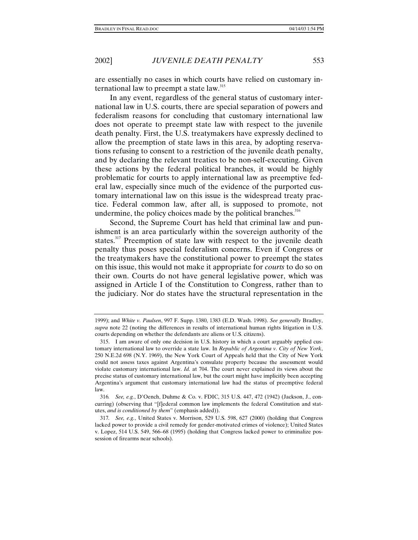are essentially no cases in which courts have relied on customary international law to preempt a state law.<sup>315</sup>

In any event, regardless of the general status of customary international law in U.S. courts, there are special separation of powers and federalism reasons for concluding that customary international law does not operate to preempt state law with respect to the juvenile death penalty. First, the U.S. treatymakers have expressly declined to allow the preemption of state laws in this area, by adopting reservations refusing to consent to a restriction of the juvenile death penalty, and by declaring the relevant treaties to be non-self-executing. Given these actions by the federal political branches, it would be highly problematic for courts to apply international law as preemptive federal law, especially since much of the evidence of the purported customary international law on this issue is the widespread treaty practice. Federal common law, after all, is supposed to promote, not undermine, the policy choices made by the political branches. $316$ 

Second, the Supreme Court has held that criminal law and punishment is an area particularly within the sovereign authority of the states.<sup>317</sup> Preemption of state law with respect to the juvenile death penalty thus poses special federalism concerns. Even if Congress or the treatymakers have the constitutional power to preempt the states on this issue, this would not make it appropriate for *courts* to do so on their own. Courts do not have general legislative power, which was assigned in Article I of the Constitution to Congress, rather than to the judiciary. Nor do states have the structural representation in the

<sup>1999);</sup> and *White v. Paulsen*, 997 F. Supp. 1380, 1383 (E.D. Wash. 1998). *See generally* Bradley, *supra* note 22 (noting the differences in results of international human rights litigation in U.S. courts depending on whether the defendants are aliens or U.S. citizens).

<sup>315.</sup> I am aware of only one decision in U.S. history in which a court arguably applied customary international law to override a state law. In *Republic of Argentina v. City of New York*, 250 N.E.2d 698 (N.Y. 1969), the New York Court of Appeals held that the City of New York could not assess taxes against Argentina's consulate property because the assessment would violate customary international law. *Id.* at 704. The court never explained its views about the precise status of customary international law, but the court might have implicitly been accepting Argentina's argument that customary international law had the status of preemptive federal law.

<sup>316</sup>*. See, e.g.*, D'Oench, Duhme & Co. v. FDIC, 315 U.S. 447, 472 (1942) (Jackson, J., concurring) (observing that "[f]ederal common law implements the federal Constitution and statutes, *and is conditioned by them*" (emphasis added)).

<sup>317</sup>*. See, e.g.*, United States v. Morrison, 529 U.S. 598, 627 (2000) (holding that Congress lacked power to provide a civil remedy for gender-motivated crimes of violence); United States v. Lopez, 514 U.S. 549, 566–68 (1995) (holding that Congress lacked power to criminalize possession of firearms near schools).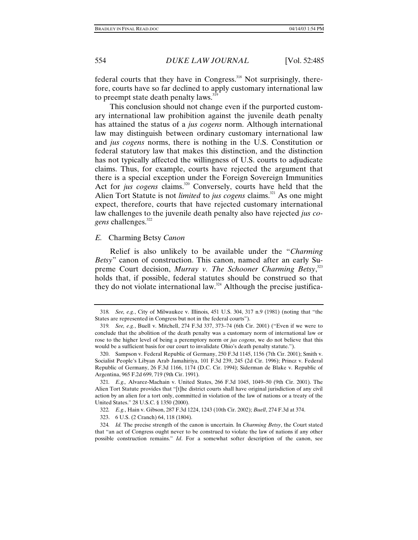federal courts that they have in Congress.<sup>318</sup> Not surprisingly, therefore, courts have so far declined to apply customary international law to preempt state death penalty laws.<sup>319</sup>

This conclusion should not change even if the purported customary international law prohibition against the juvenile death penalty has attained the status of a *jus cogens* norm. Although international law may distinguish between ordinary customary international law and *jus cogens* norms, there is nothing in the U.S. Constitution or federal statutory law that makes this distinction, and the distinction has not typically affected the willingness of U.S. courts to adjudicate claims. Thus, for example, courts have rejected the argument that there is a special exception under the Foreign Sovereign Immunities Act for *jus cogens* claims.<sup>320</sup> Conversely, courts have held that the Alien Tort Statute is not *limited* to *jus cogens* claims.<sup>321</sup> As one might expect, therefore, courts that have rejected customary international law challenges to the juvenile death penalty also have rejected *jus co*gens challenges.<sup>322</sup>

### *E.* Charming Betsy *Canon*

Relief is also unlikely to be available under the "*Charming Betsy*" canon of construction. This canon, named after an early Supreme Court decision, Murray v. The Schooner Charming Betsy,<sup>323</sup> holds that, if possible, federal statutes should be construed so that they do not violate international law.<sup>324</sup> Although the precise justifica-

<sup>318</sup>*. See, e.g.*, City of Milwaukee v. Illinois, 451 U.S. 304, 317 n.9 (1981) (noting that "the States are represented in Congress but not in the federal courts").

<sup>319</sup>*. See, e.g.*, Buell v. Mitchell, 274 F.3d 337, 373–74 (6th Cir. 2001) ("Even if we were to conclude that the abolition of the death penalty was a customary norm of international law or rose to the higher level of being a peremptory norm or *jus cogens*, we do not believe that this would be a sufficient basis for our court to invalidate Ohio's death penalty statute.").

<sup>320.</sup> Sampson v. Federal Republic of Germany, 250 F.3d 1145, 1156 (7th Cir. 2001); Smith v. Socialist People's Libyan Arab Jamahiriya, 101 F.3d 239, 245 (2d Cir. 1996); Princz v. Federal Republic of Germany, 26 F.3d 1166, 1174 (D.C. Cir. 1994); Siderman de Blake v. Republic of Argentina, 965 F.2d 699, 719 (9th Cir. 1991).

<sup>321</sup>*. E.g.,* Alvarez-Machain v. United States, 266 F.3d 1045, 1049–50 (9th Cir. 2001). The Alien Tort Statute provides that "[t]he district courts shall have original jurisdiction of any civil action by an alien for a tort only, committed in violation of the law of nations or a treaty of the United States." 28 U.S.C. § 1350 (2000).

<sup>322</sup>*. E.g.*, Hain v. Gibson, 287 F.3d 1224, 1243 (10th Cir. 2002); *Buell*, 274 F.3d at 374.

<sup>323. 6</sup> U.S. (2 Cranch) 64, 118 (1804).

<sup>324</sup>*. Id.* The precise strength of the canon is uncertain. In *Charming Betsy*, the Court stated that "an act of Congress ought never to be construed to violate the law of nations if any other possible construction remains." *Id*. For a somewhat softer description of the canon, see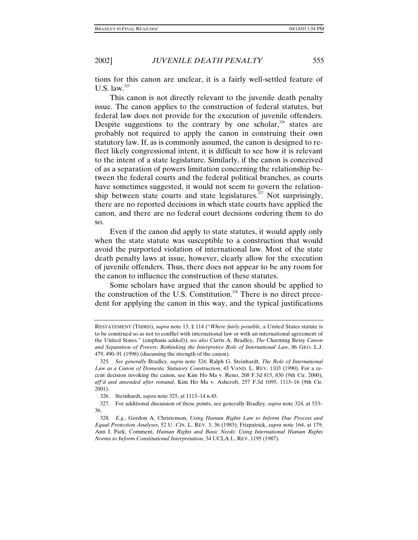tions for this canon are unclear, it is a fairly well-settled feature of U.S. law. $325$ 

This canon is not directly relevant to the juvenile death penalty issue. The canon applies to the construction of federal statutes, but federal law does not provide for the execution of juvenile offenders. Despite suggestions to the contrary by one scholar, $326$  states are probably not required to apply the canon in construing their own statutory law. If, as is commonly assumed, the canon is designed to reflect likely congressional intent, it is difficult to see how it is relevant to the intent of a state legislature. Similarly, if the canon is conceived of as a separation of powers limitation concerning the relationship between the federal courts and the federal political branches, as courts have sometimes suggested, it would not seem to govern the relationship between state courts and state legislatures.<sup>327</sup> Not surprisingly, there are no reported decisions in which state courts have applied the canon, and there are no federal court decisions ordering them to do so.

Even if the canon did apply to state statutes, it would apply only when the state statute was susceptible to a construction that would avoid the purported violation of international law. Most of the state death penalty laws at issue, however, clearly allow for the execution of juvenile offenders. Thus, there does not appear to be any room for the canon to influence the construction of these statutes.

Some scholars have argued that the canon should be applied to the construction of the U.S. Constitution.<sup>328</sup> There is no direct precedent for applying the canon in this way, and the typical justifications

RESTATEMENT (THIRD), *supra* note 13, § 114 ("*Where fairly possible*, a United States statute is to be construed so as not to conflict with international law or with an international agreement of the United States." (emphasis added)); *see also* Curtis A. Bradley, *The* Charming Betsy *Canon and Separation of Powers: Rethinking the Interpretive Role of International Law*, 86 GEO. L.J. 479, 490–91 (1998) (discussing the strength of the canon).

<sup>325</sup>*. See generally* Bradley, *supra* note 324; Ralph G. Steinhardt, *The Role of International Law as a Canon of Domestic Statutory Construction*, 43 VAND. L. REV. 1103 (1990). For a recent decision invoking the canon, see Kim Ho Ma v. Reno, 208 F.3d 815, 830 (9th Cir. 2000), *aff'd and amended after remand*, Kim Ho Ma v. Ashcroft, 257 F.3d 1095, 1115–16 (9th Cir. 2001).

<sup>326.</sup> Steinhardt, *supra* note 325, at 1113–14 n.45.

<sup>327.</sup> For additional discussion of these points, see generally Bradley, *supra* note 324, at 533– 36.

<sup>328</sup>*. E.g.*, Gordon A. Christenson, *Using Human Rights Law to Inform Due Process and Equal Protection Analyses*, 52 U. CIN. L. REV. 3, 36 (1983); Fitzpatrick, *supra* note 164, at 179; Ann I. Park, Comment, *Human Rights and Basic Needs: Using International Human Rights Norms to Inform Constitutional Interpretation*, 34 UCLA L. REV. 1195 (1987).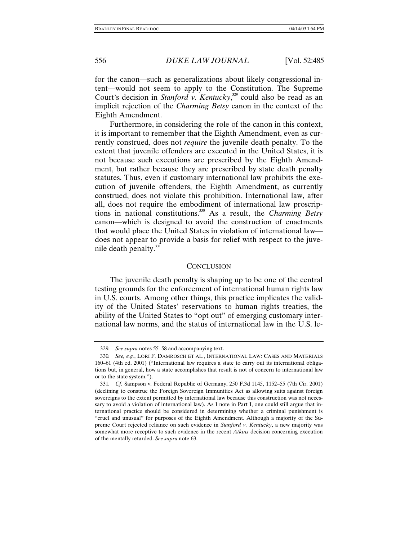for the canon—such as generalizations about likely congressional intent—would not seem to apply to the Constitution. The Supreme Court's decision in *Stanford v. Kentucky*,<sup>329</sup> could also be read as an implicit rejection of the *Charming Betsy* canon in the context of the Eighth Amendment.

Furthermore, in considering the role of the canon in this context, it is important to remember that the Eighth Amendment, even as currently construed, does not *require* the juvenile death penalty. To the extent that juvenile offenders are executed in the United States, it is not because such executions are prescribed by the Eighth Amendment, but rather because they are prescribed by state death penalty statutes. Thus, even if customary international law prohibits the execution of juvenile offenders, the Eighth Amendment, as currently construed, does not violate this prohibition. International law, after all, does not require the embodiment of international law proscriptions in national constitutions.330 As a result, the *Charming Betsy* canon—which is designed to avoid the construction of enactments that would place the United States in violation of international law does not appear to provide a basis for relief with respect to the juvenile death penalty. $331$ 

## **CONCLUSION**

The juvenile death penalty is shaping up to be one of the central testing grounds for the enforcement of international human rights law in U.S. courts. Among other things, this practice implicates the validity of the United States' reservations to human rights treaties, the ability of the United States to "opt out" of emerging customary international law norms, and the status of international law in the U.S. le-

<sup>329</sup>*. See supra* notes 55–58 and accompanying text.

<sup>330</sup>*. See, e.g.*, LORI F. DAMROSCH ET AL., INTERNATIONAL LAW: CASES AND MATERIALS 160–61 (4th ed. 2001) ("International law requires a state to carry out its international obligations but, in general, how a state accomplishes that result is not of concern to international law or to the state system.").

<sup>331</sup>*. Cf.* Sampson v. Federal Republic of Germany, 250 F.3d 1145, 1152–55 (7th Cir. 2001) (declining to construe the Foreign Sovereign Immunities Act as allowing suits against foreign sovereigns to the extent permitted by international law because this construction was not necessary to avoid a violation of international law). As I note in Part I, one could still argue that international practice should be considered in determining whether a criminal punishment is "cruel and unusual" for purposes of the Eighth Amendment. Although a majority of the Supreme Court rejected reliance on such evidence in *Stanford v. Kentucky*, a new majority was somewhat more receptive to such evidence in the recent *Atkins* decision concerning execution of the mentally retarded. *See supra* note 63.